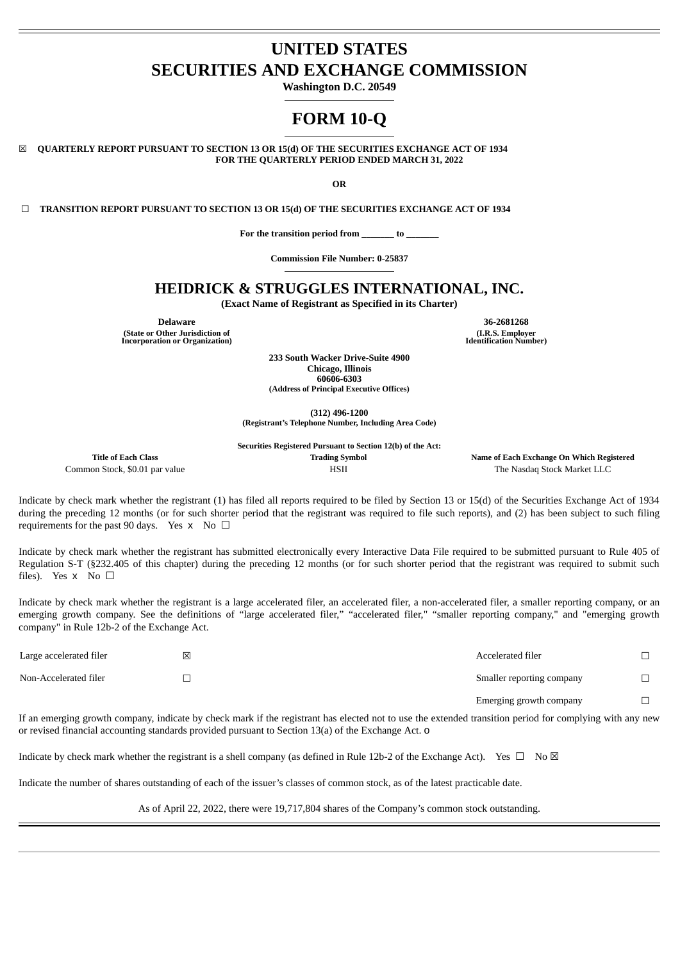# **UNITED STATES SECURITIES AND EXCHANGE COMMISSION**

**Washington D.C. 20549**

# **FORM 10-Q**

☒ **QUARTERLY REPORT PURSUANT TO SECTION 13 OR 15(d) OF THE SECURITIES EXCHANGE ACT OF 1934 FOR THE QUARTERLY PERIOD ENDED MARCH 31, 2022**

**OR**

☐ **TRANSITION REPORT PURSUANT TO SECTION 13 OR 15(d) OF THE SECURITIES EXCHANGE ACT OF 1934**

**For the transition period from \_\_\_\_\_\_\_ to \_\_\_\_\_\_\_**

**Commission File Number: 0-25837**

# **HEIDRICK & STRUGGLES INTERNATIONAL, INC.**

**(Exact Name of Registrant as Specified in its Charter)**

**(State or Other Jurisdiction of Incorporation or Organization)**

**Delaware 36-2681268 (I.R.S. Employer Identification Number)**

> **233 South Wacker Drive-Suite 4900 Chicago, Illinois 60606-6303 (Address of Principal Executive Offices)**

> > **(312) 496-1200**

**(Registrant's Telephone Number, Including Area Code)**

**Securities Registered Pursuant to Section 12(b) of the Act:**

**Title of Each Class Trading Symbol Name of Each Exchange On Which Registered** Common Stock, \$0.01 par value HSII The Nasdaq Stock Market LLC

Indicate by check mark whether the registrant (1) has filed all reports required to be filed by Section 13 or 15(d) of the Securities Exchange Act of 1934 during the preceding 12 months (or for such shorter period that the registrant was required to file such reports), and (2) has been subject to such filing requirements for the past 90 days. Yes  $x \to 0$ 

Indicate by check mark whether the registrant has submitted electronically every Interactive Data File required to be submitted pursuant to Rule 405 of Regulation S-T (§232.405 of this chapter) during the preceding 12 months (or for such shorter period that the registrant was required to submit such files). Yes  $x \in N_0 \square$ 

Indicate by check mark whether the registrant is a large accelerated filer, an accelerated filer, a non-accelerated filer, a smaller reporting company, or an emerging growth company. See the definitions of "large accelerated filer," "accelerated filer," "smaller reporting company," and "emerging growth company" in Rule 12b-2 of the Exchange Act.

| Large accelerated filer | ⊠ | Accelerated filer         |  |
|-------------------------|---|---------------------------|--|
| Non-Accelerated filer   |   | Smaller reporting company |  |
|                         |   | Emerging growth company   |  |

If an emerging growth company, indicate by check mark if the registrant has elected not to use the extended transition period for complying with any new or revised financial accounting standards provided pursuant to Section 13(a) of the Exchange Act. o

Indicate by check mark whether the registrant is a shell company (as defined in Rule 12b-2 of the Exchange Act). Yes  $\Box$  No  $\boxtimes$ 

Indicate the number of shares outstanding of each of the issuer's classes of common stock, as of the latest practicable date.

As of April 22, 2022, there were 19,717,804 shares of the Company's common stock outstanding.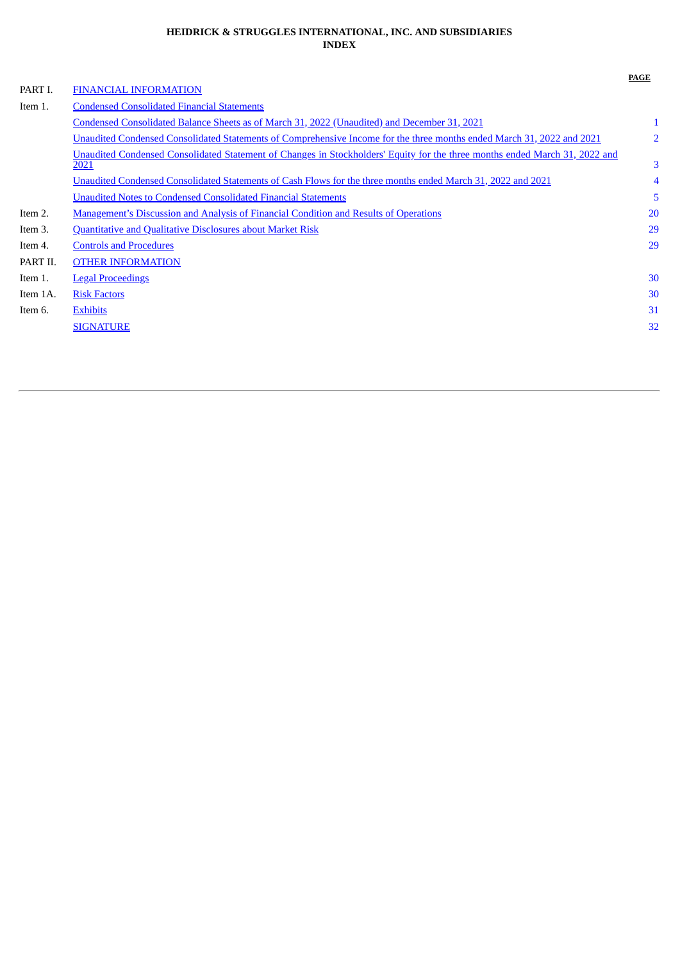### **HEIDRICK & STRUGGLES INTERNATIONAL, INC. AND SUBSIDIARIES INDEX**

<span id="page-1-0"></span>

|          |                                                                                                                                     | <b>PAGE</b>    |
|----------|-------------------------------------------------------------------------------------------------------------------------------------|----------------|
| PART I.  | <b>FINANCIAL INFORMATION</b>                                                                                                        |                |
| Item 1.  | <b>Condensed Consolidated Financial Statements</b>                                                                                  |                |
|          | Condensed Consolidated Balance Sheets as of March 31, 2022 (Unaudited) and December 31, 2021                                        |                |
|          | Unaudited Condensed Consolidated Statements of Comprehensive Income for the three months ended March 31, 2022 and 2021              | $\overline{2}$ |
|          | Unaudited Condensed Consolidated Statement of Changes in Stockholders' Equity for the three months ended March 31, 2022 and<br>2021 | 3              |
|          | Unaudited Condensed Consolidated Statements of Cash Flows for the three months ended March 31, 2022 and 2021                        | 4              |
|          | <b>Unaudited Notes to Condensed Consolidated Financial Statements</b>                                                               | 5              |
| Item 2.  | <b>Management's Discussion and Analysis of Financial Condition and Results of Operations</b>                                        | 20             |
| Item 3.  | <b>Quantitative and Qualitative Disclosures about Market Risk</b>                                                                   | 29             |
| Item 4.  | <b>Controls and Procedures</b>                                                                                                      | 29             |
| PART II. | <b>OTHER INFORMATION</b>                                                                                                            |                |
| Item 1.  | <b>Legal Proceedings</b>                                                                                                            | 30             |
| Item 1A. | <b>Risk Factors</b>                                                                                                                 | 30             |
| Item 6.  | <b>Exhibits</b>                                                                                                                     | 31             |
|          | <b>SIGNATURE</b>                                                                                                                    | 32             |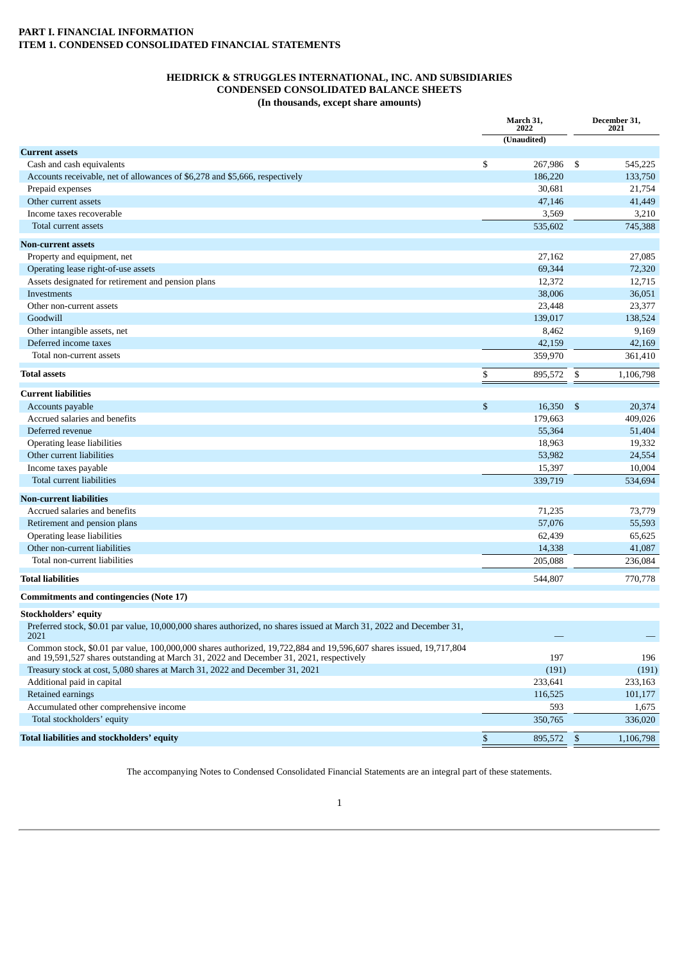### **HEIDRICK & STRUGGLES INTERNATIONAL, INC. AND SUBSIDIARIES CONDENSED CONSOLIDATED BALANCE SHEETS (In thousands, except share amounts)**

<span id="page-2-1"></span><span id="page-2-0"></span>

|                                                                                                                                                                                                               |                | March 31,<br>2022 |               | December 31,<br>2021 |  |  |
|---------------------------------------------------------------------------------------------------------------------------------------------------------------------------------------------------------------|----------------|-------------------|---------------|----------------------|--|--|
|                                                                                                                                                                                                               |                | (Unaudited)       |               |                      |  |  |
| <b>Current assets</b>                                                                                                                                                                                         |                |                   |               |                      |  |  |
| Cash and cash equivalents                                                                                                                                                                                     | \$             | 267,986           | \$            | 545,225              |  |  |
| Accounts receivable, net of allowances of \$6,278 and \$5,666, respectively                                                                                                                                   |                | 186,220           |               | 133,750              |  |  |
| Prepaid expenses                                                                                                                                                                                              |                | 30,681            |               | 21,754               |  |  |
| Other current assets                                                                                                                                                                                          |                | 47,146            |               | 41,449               |  |  |
| Income taxes recoverable                                                                                                                                                                                      |                | 3,569             |               | 3,210                |  |  |
| Total current assets                                                                                                                                                                                          |                | 535,602           |               | 745,388              |  |  |
| <b>Non-current assets</b>                                                                                                                                                                                     |                |                   |               |                      |  |  |
| Property and equipment, net                                                                                                                                                                                   |                | 27,162            |               | 27,085               |  |  |
| Operating lease right-of-use assets                                                                                                                                                                           |                | 69,344            |               | 72,320               |  |  |
| Assets designated for retirement and pension plans                                                                                                                                                            |                | 12,372            |               | 12,715               |  |  |
| Investments                                                                                                                                                                                                   |                | 38,006            |               | 36,051               |  |  |
| Other non-current assets                                                                                                                                                                                      |                | 23,448            |               | 23,377               |  |  |
| Goodwill                                                                                                                                                                                                      |                | 139,017           |               | 138,524              |  |  |
| Other intangible assets, net                                                                                                                                                                                  |                | 8,462             |               | 9,169                |  |  |
| Deferred income taxes                                                                                                                                                                                         |                | 42,159            |               | 42,169               |  |  |
| Total non-current assets                                                                                                                                                                                      |                | 359,970           |               | 361,410              |  |  |
| <b>Total assets</b>                                                                                                                                                                                           | \$             | 895,572           | \$            | 1,106,798            |  |  |
| <b>Current liabilities</b>                                                                                                                                                                                    |                |                   |               |                      |  |  |
| Accounts payable                                                                                                                                                                                              | \$             | 16,350            | \$            | 20,374               |  |  |
| Accrued salaries and benefits                                                                                                                                                                                 |                | 179,663           |               | 409,026              |  |  |
| Deferred revenue                                                                                                                                                                                              |                | 55,364            |               | 51,404               |  |  |
|                                                                                                                                                                                                               |                | 18,963            |               |                      |  |  |
| Operating lease liabilities<br>Other current liabilities                                                                                                                                                      |                | 53,982            |               | 19,332<br>24,554     |  |  |
|                                                                                                                                                                                                               |                |                   |               |                      |  |  |
| Income taxes payable<br>Total current liabilities                                                                                                                                                             |                | 15,397            |               | 10,004               |  |  |
|                                                                                                                                                                                                               |                | 339,719           |               | 534,694              |  |  |
| <b>Non-current liabilities</b>                                                                                                                                                                                |                |                   |               |                      |  |  |
| Accrued salaries and benefits                                                                                                                                                                                 |                | 71,235            |               | 73,779               |  |  |
| Retirement and pension plans                                                                                                                                                                                  |                | 57,076            |               | 55,593               |  |  |
| <b>Operating lease liabilities</b>                                                                                                                                                                            |                | 62,439            |               | 65,625               |  |  |
| Other non-current liabilities                                                                                                                                                                                 |                | 14,338            |               | 41,087               |  |  |
| Total non-current liabilities                                                                                                                                                                                 |                | 205,088           |               | 236,084              |  |  |
| <b>Total liabilities</b>                                                                                                                                                                                      |                | 544,807           |               | 770,778              |  |  |
| <b>Commitments and contingencies (Note 17)</b>                                                                                                                                                                |                |                   |               |                      |  |  |
| <b>Stockholders' equity</b>                                                                                                                                                                                   |                |                   |               |                      |  |  |
| Preferred stock, \$0.01 par value, 10,000,000 shares authorized, no shares issued at March 31, 2022 and December 31,<br>2021                                                                                  |                |                   |               |                      |  |  |
| Common stock, \$0.01 par value, 100,000,000 shares authorized, 19,722,884 and 19,596,607 shares issued, 19,717,804<br>and 19,591,527 shares outstanding at March 31, 2022 and December 31, 2021, respectively |                | 197               |               | 196                  |  |  |
| Treasury stock at cost, 5,080 shares at March 31, 2022 and December 31, 2021                                                                                                                                  |                | (191)             |               | (191)                |  |  |
| Additional paid in capital                                                                                                                                                                                    |                | 233,641           |               | 233,163              |  |  |
| Retained earnings                                                                                                                                                                                             |                | 116,525           |               | 101,177              |  |  |
| Accumulated other comprehensive income                                                                                                                                                                        |                | 593               |               | 1,675                |  |  |
| Total stockholders' equity                                                                                                                                                                                    |                | 350,765           |               | 336,020              |  |  |
| Total liabilities and stockholders' equity                                                                                                                                                                    | $\mathfrak{S}$ | 895,572           | $\sqrt[6]{3}$ | 1,106,798            |  |  |
|                                                                                                                                                                                                               |                |                   |               |                      |  |  |

<span id="page-2-2"></span>The accompanying Notes to Condensed Consolidated Financial Statements are an integral part of these statements.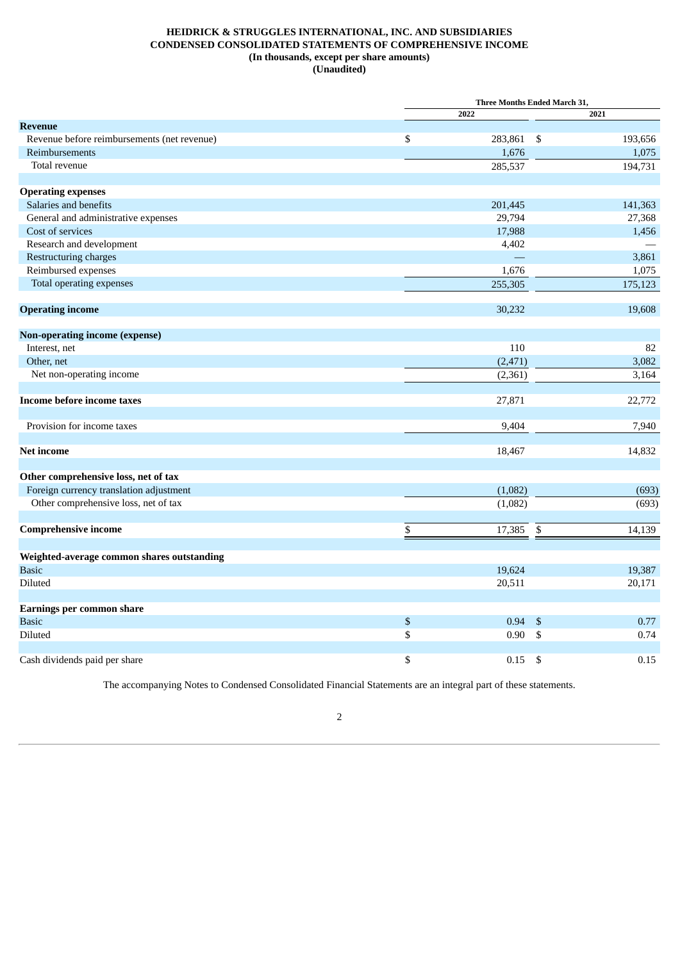### **HEIDRICK & STRUGGLES INTERNATIONAL, INC. AND SUBSIDIARIES CONDENSED CONSOLIDATED STATEMENTS OF COMPREHENSIVE INCOME (In thousands, except per share amounts) (Unaudited)**

|                                             |      | <b>Three Months Ended March 31,</b> |                |         |  |  |  |
|---------------------------------------------|------|-------------------------------------|----------------|---------|--|--|--|
|                                             |      | 2022                                |                | 2021    |  |  |  |
| <b>Revenue</b>                              |      |                                     |                |         |  |  |  |
| Revenue before reimbursements (net revenue) | \$   | 283,861                             | $\mathfrak s$  | 193,656 |  |  |  |
| Reimbursements                              |      | 1,676                               |                | 1,075   |  |  |  |
| Total revenue                               |      | 285,537                             |                | 194,731 |  |  |  |
| <b>Operating expenses</b>                   |      |                                     |                |         |  |  |  |
| Salaries and benefits                       |      | 201,445                             |                | 141,363 |  |  |  |
| General and administrative expenses         |      | 29,794                              |                | 27,368  |  |  |  |
| Cost of services                            |      | 17,988                              |                | 1,456   |  |  |  |
| Research and development                    |      |                                     |                |         |  |  |  |
|                                             |      | 4,402                               |                |         |  |  |  |
| Restructuring charges                       |      |                                     |                | 3,861   |  |  |  |
| Reimbursed expenses                         |      | 1,676                               |                | 1,075   |  |  |  |
| <b>Total operating expenses</b>             |      | 255,305                             |                | 175,123 |  |  |  |
| <b>Operating income</b>                     |      | 30,232                              |                | 19,608  |  |  |  |
| Non-operating income (expense)              |      |                                     |                |         |  |  |  |
| Interest, net                               |      | 110                                 |                | 82      |  |  |  |
| Other, net                                  |      | (2, 471)                            |                | 3,082   |  |  |  |
| Net non-operating income                    |      | (2, 361)                            |                | 3,164   |  |  |  |
| Income before income taxes                  |      | 27,871                              |                | 22,772  |  |  |  |
|                                             |      |                                     |                |         |  |  |  |
| Provision for income taxes                  |      | 9,404                               |                | 7,940   |  |  |  |
| <b>Net income</b>                           |      | 18,467                              |                | 14,832  |  |  |  |
|                                             |      |                                     |                |         |  |  |  |
| Other comprehensive loss, net of tax        |      |                                     |                |         |  |  |  |
| Foreign currency translation adjustment     |      | (1,082)                             |                | (693)   |  |  |  |
| Other comprehensive loss, net of tax        |      | (1,082)                             |                | (693)   |  |  |  |
|                                             |      |                                     |                |         |  |  |  |
| <b>Comprehensive income</b>                 | \$   | 17,385                              | \$             | 14,139  |  |  |  |
| Weighted-average common shares outstanding  |      |                                     |                |         |  |  |  |
| <b>Basic</b>                                |      | 19,624                              |                | 19,387  |  |  |  |
| Diluted                                     |      | 20,511                              |                | 20,171  |  |  |  |
|                                             |      |                                     |                |         |  |  |  |
| Earnings per common share                   |      |                                     |                |         |  |  |  |
| <b>Basic</b>                                | $\$$ | 0.94                                | $\mathfrak{s}$ | 0.77    |  |  |  |
| Diluted                                     | \$   | 0.90                                | $\mathfrak s$  | 0.74    |  |  |  |
| Cash dividends paid per share               | \$   | 0.15                                | \$             | 0.15    |  |  |  |

<span id="page-3-0"></span>The accompanying Notes to Condensed Consolidated Financial Statements are an integral part of these statements.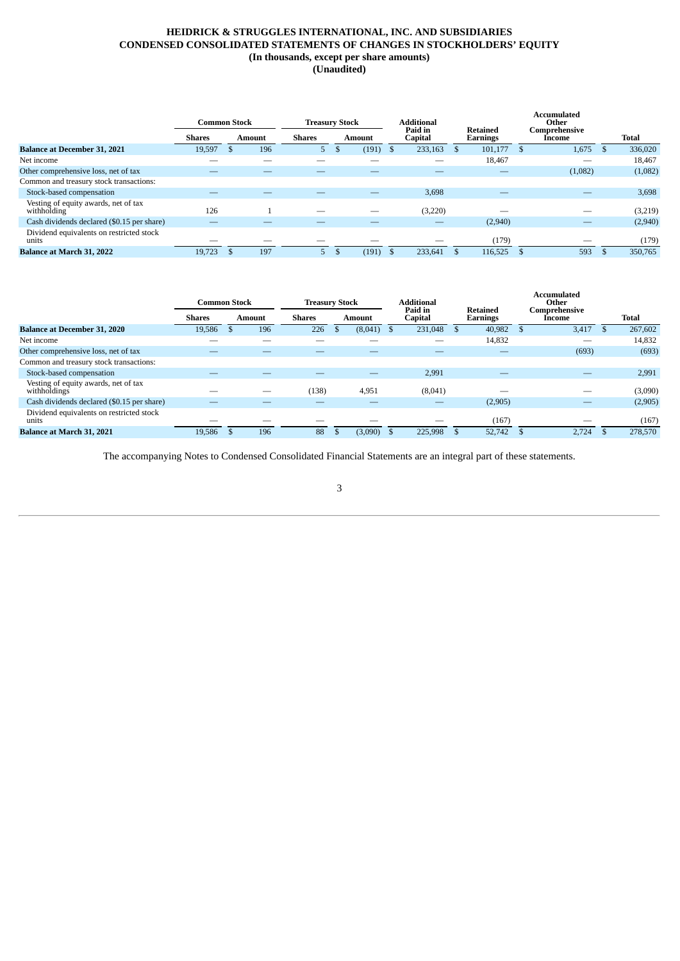### **HEIDRICK & STRUGGLES INTERNATIONAL, INC. AND SUBSIDIARIES CONDENSED CONSOLIDATED STATEMENTS OF CHANGES IN STOCKHOLDERS' EQUITY (In thousands, except per share amounts) (Unaudited)**

|                                                     | <b>Common Stock</b> | <b>Additional</b><br><b>Treasury Stock</b> |               |   |               | <b>Accumulated</b><br>Other |                    |                             |  |                         |   |         |
|-----------------------------------------------------|---------------------|--------------------------------------------|---------------|---|---------------|-----------------------------|--------------------|-----------------------------|--|-------------------------|---|---------|
|                                                     | <b>Shares</b>       | <b>Amount</b>                              | <b>Shares</b> |   | <b>Amount</b> |                             | Paid in<br>Capital | <b>Retained</b><br>Earnings |  | Comprehensive<br>Income |   | Total   |
| <b>Balance at December 31, 2021</b>                 | 19,597              | 196                                        | 5.            | S | (191)         | - \$                        | 233,163            | 101,177                     |  | 1,675                   | S | 336,020 |
| Net income                                          |                     |                                            |               |   |               |                             |                    | 18,467                      |  |                         |   | 18,467  |
| Other comprehensive loss, net of tax                |                     |                                            |               |   |               |                             |                    |                             |  | (1,082)                 |   | (1,082) |
| Common and treasury stock transactions:             |                     |                                            |               |   |               |                             |                    |                             |  |                         |   |         |
| Stock-based compensation                            |                     |                                            |               |   |               |                             | 3,698              |                             |  |                         |   | 3,698   |
| Vesting of equity awards, net of tax<br>withholding | 126                 |                                            |               |   |               |                             | (3,220)            |                             |  |                         |   | (3,219) |
| Cash dividends declared (\$0.15 per share)          |                     |                                            |               |   |               |                             |                    | (2,940)                     |  |                         |   | (2,940) |
| Dividend equivalents on restricted stock<br>units   |                     |                                            |               |   |               |                             |                    | (179)                       |  |                         |   | (179)   |
| <b>Balance at March 31, 2022</b>                    | 19.723              | 197                                        |               |   | (191)         |                             | 233,641            | 116,525                     |  | 593                     |   | 350,765 |

|                                                      | <b>Common Stock</b> |  |        |               | <b>Treasury Stock</b> |               |      | <b>Additional</b>  |   |                             | <b>Accumulated</b><br>Other |                         |     |         |
|------------------------------------------------------|---------------------|--|--------|---------------|-----------------------|---------------|------|--------------------|---|-----------------------------|-----------------------------|-------------------------|-----|---------|
|                                                      | <b>Shares</b>       |  | Amount | <b>Shares</b> |                       | <b>Amount</b> |      | Paid in<br>Capital |   | <b>Retained</b><br>Earnings |                             | Comprehensive<br>Income |     | Total   |
| <b>Balance at December 31, 2020</b>                  | 19,586              |  | 196    | 226           | <sup>S</sup>          | (8,041)       | - \$ | 231,048            | æ | 40,982                      |                             | 3,417                   | \$. | 267,602 |
| Net income                                           |                     |  |        |               |                       |               |      |                    |   | 14,832                      |                             |                         |     | 14,832  |
| Other comprehensive loss, net of tax                 |                     |  |        |               |                       |               |      |                    |   |                             |                             | (693)                   |     | (693)   |
| Common and treasury stock transactions:              |                     |  |        |               |                       |               |      |                    |   |                             |                             |                         |     |         |
| Stock-based compensation                             |                     |  |        |               |                       |               |      | 2,991              |   |                             |                             |                         |     | 2,991   |
| Vesting of equity awards, net of tax<br>withholdings |                     |  |        | (138)         |                       | 4,951         |      | (8,041)            |   |                             |                             |                         |     | (3,090) |
| Cash dividends declared (\$0.15 per share)           |                     |  |        |               |                       |               |      |                    |   | (2,905)                     |                             |                         |     | (2,905) |
| Dividend equivalents on restricted stock<br>units    |                     |  |        |               |                       |               |      |                    |   | (167)                       |                             |                         |     | (167)   |
| Balance at March 31, 2021                            | 19,586              |  | 196    | 88            |                       | (3,090)       |      | 225,998            |   | 52,742                      |                             | 2.724                   |     | 278,570 |

<span id="page-4-0"></span>The accompanying Notes to Condensed Consolidated Financial Statements are an integral part of these statements.

3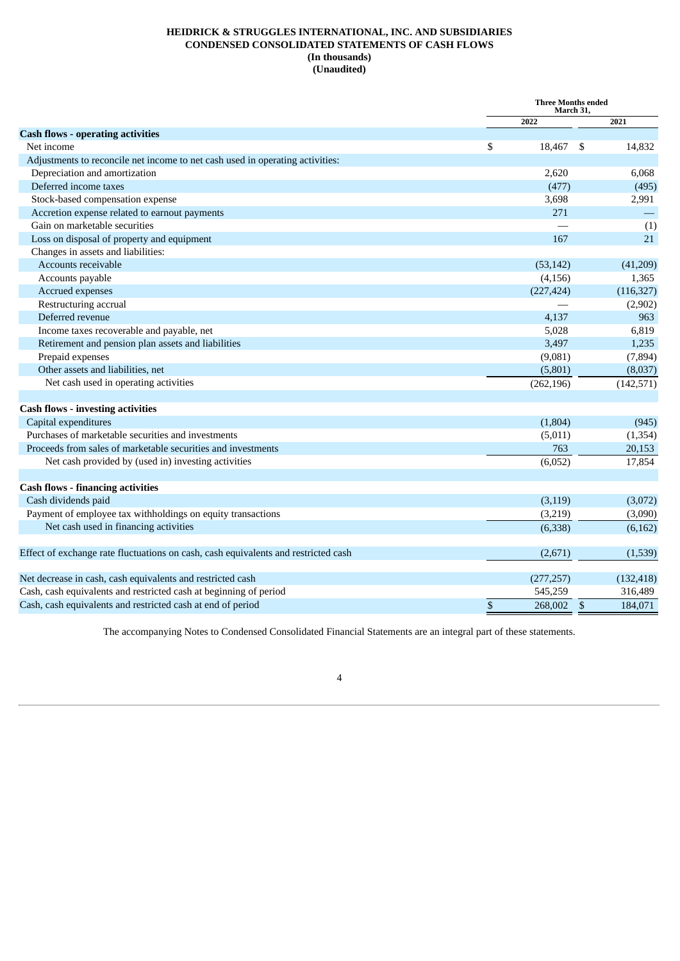### **HEIDRICK & STRUGGLES INTERNATIONAL, INC. AND SUBSIDIARIES CONDENSED CONSOLIDATED STATEMENTS OF CASH FLOWS (In thousands) (Unaudited)**

|                                                                                    | <b>Three Months ended</b><br>March 31, |                    |            |  |  |  |
|------------------------------------------------------------------------------------|----------------------------------------|--------------------|------------|--|--|--|
|                                                                                    | 2022                                   |                    | 2021       |  |  |  |
| <b>Cash flows - operating activities</b>                                           |                                        |                    |            |  |  |  |
| Net income                                                                         | \$<br>18,467 \$                        |                    | 14,832     |  |  |  |
| Adjustments to reconcile net income to net cash used in operating activities:      |                                        |                    |            |  |  |  |
| Depreciation and amortization                                                      | 2,620                                  |                    | 6,068      |  |  |  |
| Deferred income taxes                                                              | (477)                                  |                    | (495)      |  |  |  |
| Stock-based compensation expense                                                   | 3,698                                  |                    | 2,991      |  |  |  |
| Accretion expense related to earnout payments                                      | 271                                    |                    |            |  |  |  |
| Gain on marketable securities                                                      |                                        |                    | (1)        |  |  |  |
| Loss on disposal of property and equipment                                         | 167                                    |                    | 21         |  |  |  |
| Changes in assets and liabilities:                                                 |                                        |                    |            |  |  |  |
| Accounts receivable                                                                | (53, 142)                              |                    | (41,209)   |  |  |  |
| Accounts payable                                                                   | (4, 156)                               |                    | 1,365      |  |  |  |
| Accrued expenses                                                                   | (227, 424)                             |                    | (116, 327) |  |  |  |
| Restructuring accrual                                                              |                                        |                    | (2,902)    |  |  |  |
| Deferred revenue                                                                   | 4,137                                  |                    | 963        |  |  |  |
| Income taxes recoverable and payable, net                                          | 5,028                                  |                    | 6,819      |  |  |  |
| Retirement and pension plan assets and liabilities                                 | 3,497                                  |                    | 1,235      |  |  |  |
| Prepaid expenses                                                                   | (9,081)                                |                    | (7, 894)   |  |  |  |
| Other assets and liabilities, net                                                  | (5,801)                                |                    | (8,037)    |  |  |  |
| Net cash used in operating activities                                              | (262, 196)                             |                    | (142, 571) |  |  |  |
| <b>Cash flows - investing activities</b>                                           |                                        |                    |            |  |  |  |
| Capital expenditures                                                               | (1,804)                                |                    | (945)      |  |  |  |
| Purchases of marketable securities and investments                                 | (5,011)                                |                    | (1, 354)   |  |  |  |
| Proceeds from sales of marketable securities and investments                       | 763                                    |                    | 20,153     |  |  |  |
| Net cash provided by (used in) investing activities                                | (6,052)                                |                    | 17,854     |  |  |  |
|                                                                                    |                                        |                    |            |  |  |  |
| <b>Cash flows - financing activities</b>                                           |                                        |                    |            |  |  |  |
| Cash dividends paid                                                                | (3, 119)                               |                    | (3,072)    |  |  |  |
| Payment of employee tax withholdings on equity transactions                        | (3,219)                                |                    | (3,090)    |  |  |  |
| Net cash used in financing activities                                              | (6, 338)                               |                    | (6, 162)   |  |  |  |
| Effect of exchange rate fluctuations on cash, cash equivalents and restricted cash | (2,671)                                |                    | (1,539)    |  |  |  |
| Net decrease in cash, cash equivalents and restricted cash                         | (277, 257)                             |                    | (132, 418) |  |  |  |
| Cash, cash equivalents and restricted cash at beginning of period                  | 545,259                                |                    | 316,489    |  |  |  |
| Cash, cash equivalents and restricted cash at end of period                        | \$<br>268,002                          | $\mathbf{\hat{S}}$ | 184,071    |  |  |  |

<span id="page-5-0"></span>The accompanying Notes to Condensed Consolidated Financial Statements are an integral part of these statements.

4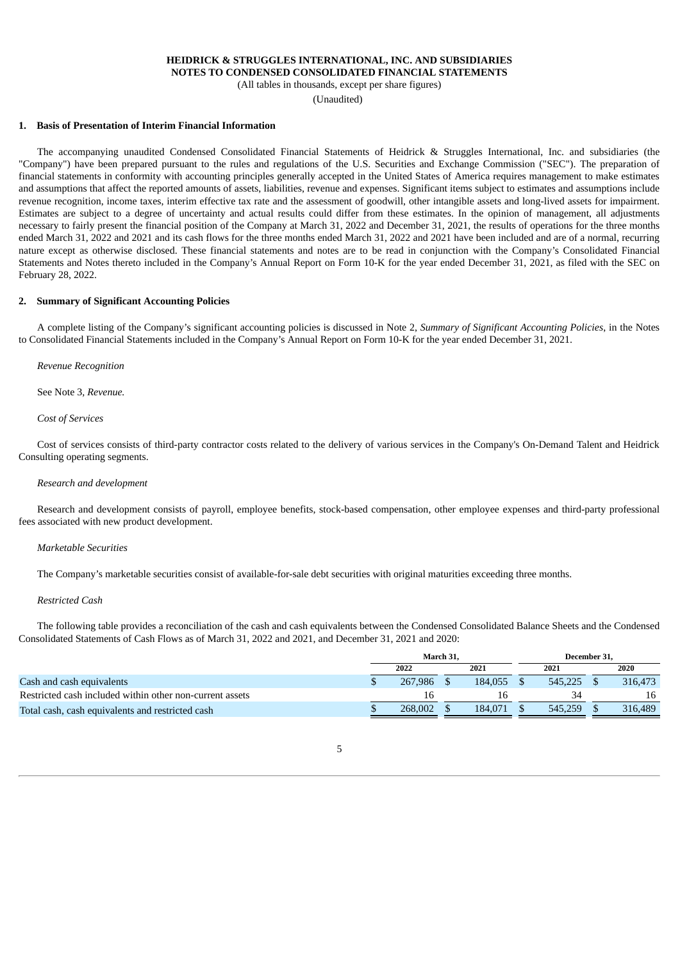### **HEIDRICK & STRUGGLES INTERNATIONAL, INC. AND SUBSIDIARIES NOTES TO CONDENSED CONSOLIDATED FINANCIAL STATEMENTS**

(All tables in thousands, except per share figures)

(Unaudited)

### **1. Basis of Presentation of Interim Financial Information**

The accompanying unaudited Condensed Consolidated Financial Statements of Heidrick & Struggles International, Inc. and subsidiaries (the "Company") have been prepared pursuant to the rules and regulations of the U.S. Securities and Exchange Commission ("SEC"). The preparation of financial statements in conformity with accounting principles generally accepted in the United States of America requires management to make estimates and assumptions that affect the reported amounts of assets, liabilities, revenue and expenses. Significant items subject to estimates and assumptions include revenue recognition, income taxes, interim effective tax rate and the assessment of goodwill, other intangible assets and long-lived assets for impairment. Estimates are subject to a degree of uncertainty and actual results could differ from these estimates. In the opinion of management, all adjustments necessary to fairly present the financial position of the Company at March 31, 2022 and December 31, 2021, the results of operations for the three months ended March 31, 2022 and 2021 and its cash flows for the three months ended March 31, 2022 and 2021 have been included and are of a normal, recurring nature except as otherwise disclosed. These financial statements and notes are to be read in conjunction with the Company's Consolidated Financial Statements and Notes thereto included in the Company's Annual Report on Form 10-K for the year ended December 31, 2021, as filed with the SEC on February 28, 2022.

### **2. Summary of Significant Accounting Policies**

A complete listing of the Company's significant accounting policies is discussed in Note 2, *Summary of Significant Accounting Policies*, in the Notes to Consolidated Financial Statements included in the Company's Annual Report on Form 10-K for the year ended December 31, 2021.

*Revenue Recognition*

See Note 3*, Revenue.*

*Cost of Services*

Cost of services consists of third-party contractor costs related to the delivery of various services in the Company's On-Demand Talent and Heidrick Consulting operating segments.

### *Research and development*

Research and development consists of payroll, employee benefits, stock-based compensation, other employee expenses and third-party professional fees associated with new product development.

### *Marketable Securities*

The Company's marketable securities consist of available-for-sale debt securities with original maturities exceeding three months.

#### *Restricted Cash*

The following table provides a reconciliation of the cash and cash equivalents between the Condensed Consolidated Balance Sheets and the Condensed Consolidated Statements of Cash Flows as of March 31, 2022 and 2021, and December 31, 2021 and 2020:

|                                                          | March 31. |         |  |         |  | December 31. |  |         |  |
|----------------------------------------------------------|-----------|---------|--|---------|--|--------------|--|---------|--|
|                                                          |           | 2022    |  | 2021    |  | 2021         |  | 2020    |  |
| Cash and cash equivalents                                |           | 267.986 |  | 184.055 |  | 545,225      |  | 316,473 |  |
| Restricted cash included within other non-current assets |           | 16      |  |         |  | 34           |  | 16      |  |
| Total cash, cash equivalents and restricted cash         |           | 268,002 |  | 184.071 |  | 545,259      |  | 316.489 |  |

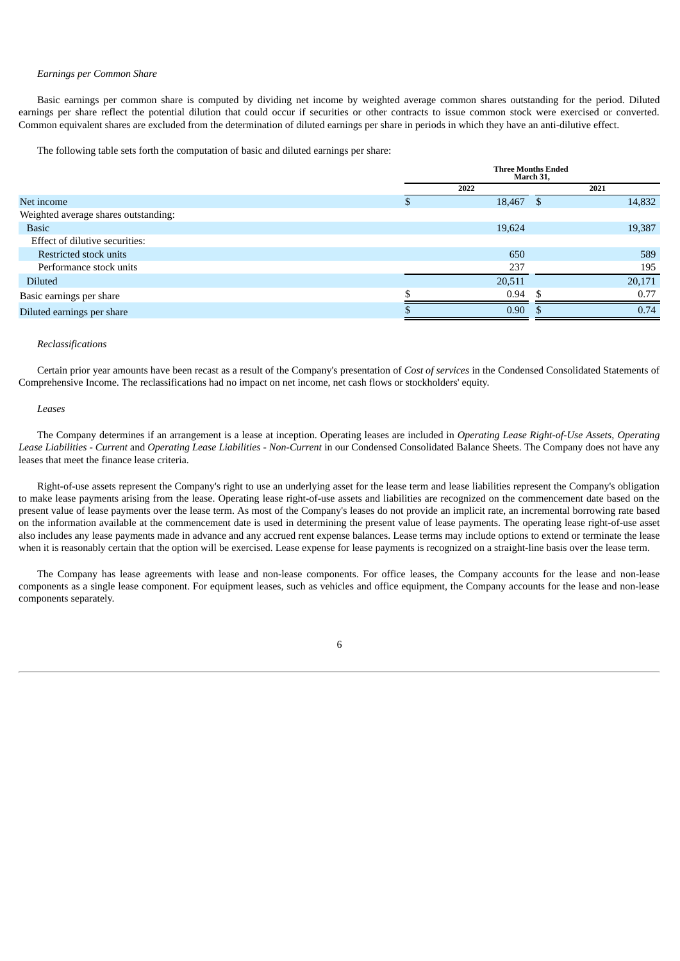#### *Earnings per Common Share*

Basic earnings per common share is computed by dividing net income by weighted average common shares outstanding for the period. Diluted earnings per share reflect the potential dilution that could occur if securities or other contracts to issue common stock were exercised or converted. Common equivalent shares are excluded from the determination of diluted earnings per share in periods in which they have an anti-dilutive effect.

The following table sets forth the computation of basic and diluted earnings per share:

|                                      | <b>Three Months Ended</b><br>March 31, |              |  |  |  |  |  |
|--------------------------------------|----------------------------------------|--------------|--|--|--|--|--|
|                                      | 2022                                   |              |  |  |  |  |  |
| Net income                           | 18,467                                 | 14,832<br>-S |  |  |  |  |  |
| Weighted average shares outstanding: |                                        |              |  |  |  |  |  |
| <b>Basic</b>                         | 19,624                                 | 19,387       |  |  |  |  |  |
| Effect of dilutive securities:       |                                        |              |  |  |  |  |  |
| Restricted stock units               | 650                                    | 589          |  |  |  |  |  |
| Performance stock units              | 237                                    | 195          |  |  |  |  |  |
| <b>Diluted</b>                       | 20,511                                 | 20,171       |  |  |  |  |  |
| Basic earnings per share             | 0.94                                   | 0.77<br>-S   |  |  |  |  |  |
| Diluted earnings per share           | 0.90                                   | 0.74         |  |  |  |  |  |

### *Reclassifications*

Certain prior year amounts have been recast as a result of the Company's presentation of *Cost of services* in the Condensed Consolidated Statements of Comprehensive Income. The reclassifications had no impact on net income, net cash flows or stockholders' equity.

#### *Leases*

The Company determines if an arrangement is a lease at inception. Operating leases are included in *Operating Lease Right-of-Use Assets*, *Operating Lease Liabilities - Current* and *Operating Lease Liabilities - Non-Current* in our Condensed Consolidated Balance Sheets. The Company does not have any leases that meet the finance lease criteria.

Right-of-use assets represent the Company's right to use an underlying asset for the lease term and lease liabilities represent the Company's obligation to make lease payments arising from the lease. Operating lease right-of-use assets and liabilities are recognized on the commencement date based on the present value of lease payments over the lease term. As most of the Company's leases do not provide an implicit rate, an incremental borrowing rate based on the information available at the commencement date is used in determining the present value of lease payments. The operating lease right-of-use asset also includes any lease payments made in advance and any accrued rent expense balances. Lease terms may include options to extend or terminate the lease when it is reasonably certain that the option will be exercised. Lease expense for lease payments is recognized on a straight-line basis over the lease term.

The Company has lease agreements with lease and non-lease components. For office leases, the Company accounts for the lease and non-lease components as a single lease component. For equipment leases, such as vehicles and office equipment, the Company accounts for the lease and non-lease components separately.

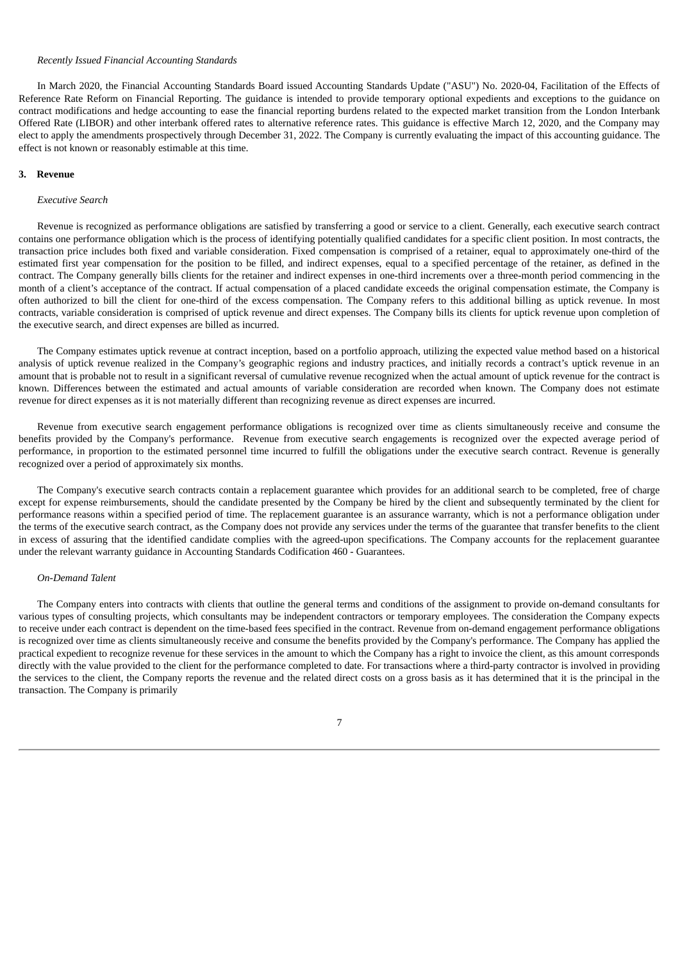### *Recently Issued Financial Accounting Standards*

In March 2020, the Financial Accounting Standards Board issued Accounting Standards Update ("ASU") No. 2020-04, Facilitation of the Effects of Reference Rate Reform on Financial Reporting. The guidance is intended to provide temporary optional expedients and exceptions to the guidance on contract modifications and hedge accounting to ease the financial reporting burdens related to the expected market transition from the London Interbank Offered Rate (LIBOR) and other interbank offered rates to alternative reference rates. This guidance is effective March 12, 2020, and the Company may elect to apply the amendments prospectively through December 31, 2022. The Company is currently evaluating the impact of this accounting guidance. The effect is not known or reasonably estimable at this time.

### **3. Revenue**

#### *Executive Search*

Revenue is recognized as performance obligations are satisfied by transferring a good or service to a client. Generally, each executive search contract contains one performance obligation which is the process of identifying potentially qualified candidates for a specific client position. In most contracts, the transaction price includes both fixed and variable consideration. Fixed compensation is comprised of a retainer, equal to approximately one-third of the estimated first year compensation for the position to be filled, and indirect expenses, equal to a specified percentage of the retainer, as defined in the contract. The Company generally bills clients for the retainer and indirect expenses in one-third increments over a three-month period commencing in the month of a client's acceptance of the contract. If actual compensation of a placed candidate exceeds the original compensation estimate, the Company is often authorized to bill the client for one-third of the excess compensation. The Company refers to this additional billing as uptick revenue. In most contracts, variable consideration is comprised of uptick revenue and direct expenses. The Company bills its clients for uptick revenue upon completion of the executive search, and direct expenses are billed as incurred.

The Company estimates uptick revenue at contract inception, based on a portfolio approach, utilizing the expected value method based on a historical analysis of uptick revenue realized in the Company's geographic regions and industry practices, and initially records a contract's uptick revenue in an amount that is probable not to result in a significant reversal of cumulative revenue recognized when the actual amount of uptick revenue for the contract is known. Differences between the estimated and actual amounts of variable consideration are recorded when known. The Company does not estimate revenue for direct expenses as it is not materially different than recognizing revenue as direct expenses are incurred.

Revenue from executive search engagement performance obligations is recognized over time as clients simultaneously receive and consume the benefits provided by the Company's performance. Revenue from executive search engagements is recognized over the expected average period of performance, in proportion to the estimated personnel time incurred to fulfill the obligations under the executive search contract. Revenue is generally recognized over a period of approximately six months.

The Company's executive search contracts contain a replacement guarantee which provides for an additional search to be completed, free of charge except for expense reimbursements, should the candidate presented by the Company be hired by the client and subsequently terminated by the client for performance reasons within a specified period of time. The replacement guarantee is an assurance warranty, which is not a performance obligation under the terms of the executive search contract, as the Company does not provide any services under the terms of the guarantee that transfer benefits to the client in excess of assuring that the identified candidate complies with the agreed-upon specifications. The Company accounts for the replacement guarantee under the relevant warranty guidance in Accounting Standards Codification 460 - Guarantees.

#### *On-Demand Talent*

The Company enters into contracts with clients that outline the general terms and conditions of the assignment to provide on-demand consultants for various types of consulting projects, which consultants may be independent contractors or temporary employees. The consideration the Company expects to receive under each contract is dependent on the time-based fees specified in the contract. Revenue from on-demand engagement performance obligations is recognized over time as clients simultaneously receive and consume the benefits provided by the Company's performance. The Company has applied the practical expedient to recognize revenue for these services in the amount to which the Company has a right to invoice the client, as this amount corresponds directly with the value provided to the client for the performance completed to date. For transactions where a third-party contractor is involved in providing the services to the client, the Company reports the revenue and the related direct costs on a gross basis as it has determined that it is the principal in the transaction. The Company is primarily

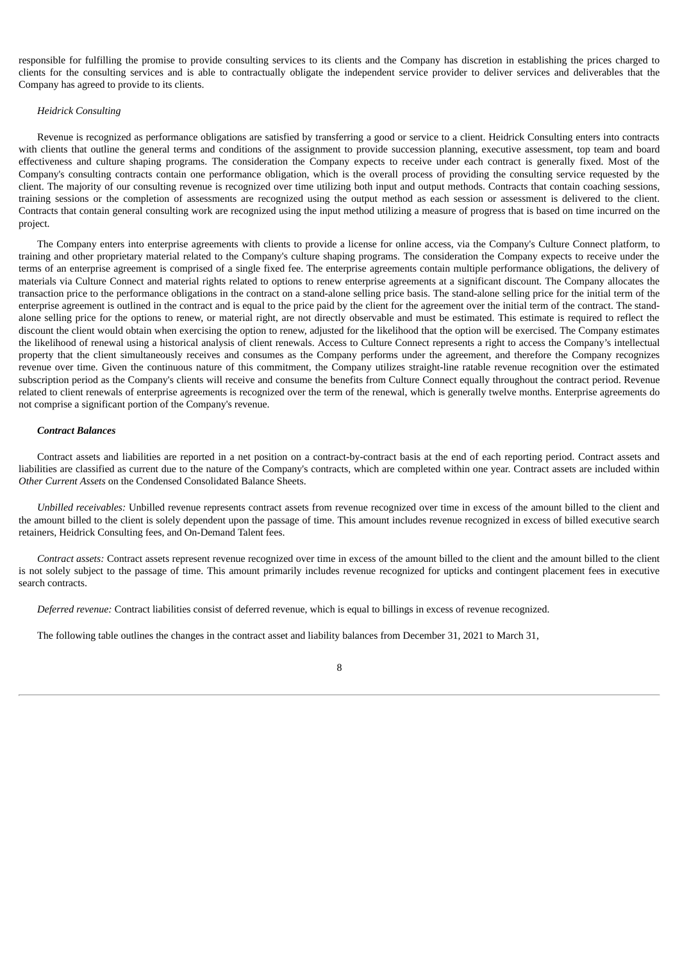responsible for fulfilling the promise to provide consulting services to its clients and the Company has discretion in establishing the prices charged to clients for the consulting services and is able to contractually obligate the independent service provider to deliver services and deliverables that the Company has agreed to provide to its clients.

### *Heidrick Consulting*

Revenue is recognized as performance obligations are satisfied by transferring a good or service to a client. Heidrick Consulting enters into contracts with clients that outline the general terms and conditions of the assignment to provide succession planning, executive assessment, top team and board effectiveness and culture shaping programs. The consideration the Company expects to receive under each contract is generally fixed. Most of the Company's consulting contracts contain one performance obligation, which is the overall process of providing the consulting service requested by the client. The majority of our consulting revenue is recognized over time utilizing both input and output methods. Contracts that contain coaching sessions, training sessions or the completion of assessments are recognized using the output method as each session or assessment is delivered to the client. Contracts that contain general consulting work are recognized using the input method utilizing a measure of progress that is based on time incurred on the project.

The Company enters into enterprise agreements with clients to provide a license for online access, via the Company's Culture Connect platform, to training and other proprietary material related to the Company's culture shaping programs. The consideration the Company expects to receive under the terms of an enterprise agreement is comprised of a single fixed fee. The enterprise agreements contain multiple performance obligations, the delivery of materials via Culture Connect and material rights related to options to renew enterprise agreements at a significant discount. The Company allocates the transaction price to the performance obligations in the contract on a stand-alone selling price basis. The stand-alone selling price for the initial term of the enterprise agreement is outlined in the contract and is equal to the price paid by the client for the agreement over the initial term of the contract. The standalone selling price for the options to renew, or material right, are not directly observable and must be estimated. This estimate is required to reflect the discount the client would obtain when exercising the option to renew, adjusted for the likelihood that the option will be exercised. The Company estimates the likelihood of renewal using a historical analysis of client renewals. Access to Culture Connect represents a right to access the Company's intellectual property that the client simultaneously receives and consumes as the Company performs under the agreement, and therefore the Company recognizes revenue over time. Given the continuous nature of this commitment, the Company utilizes straight-line ratable revenue recognition over the estimated subscription period as the Company's clients will receive and consume the benefits from Culture Connect equally throughout the contract period. Revenue related to client renewals of enterprise agreements is recognized over the term of the renewal, which is generally twelve months. Enterprise agreements do not comprise a significant portion of the Company's revenue.

### *Contract Balances*

Contract assets and liabilities are reported in a net position on a contract-by-contract basis at the end of each reporting period. Contract assets and liabilities are classified as current due to the nature of the Company's contracts, which are completed within one year. Contract assets are included within *Other Current Assets* on the Condensed Consolidated Balance Sheets.

*Unbilled receivables:* Unbilled revenue represents contract assets from revenue recognized over time in excess of the amount billed to the client and the amount billed to the client is solely dependent upon the passage of time. This amount includes revenue recognized in excess of billed executive search retainers, Heidrick Consulting fees, and On-Demand Talent fees.

*Contract assets:* Contract assets represent revenue recognized over time in excess of the amount billed to the client and the amount billed to the client is not solely subject to the passage of time. This amount primarily includes revenue recognized for upticks and contingent placement fees in executive search contracts.

*Deferred revenue:* Contract liabilities consist of deferred revenue, which is equal to billings in excess of revenue recognized.

The following table outlines the changes in the contract asset and liability balances from December 31, 2021 to March 31,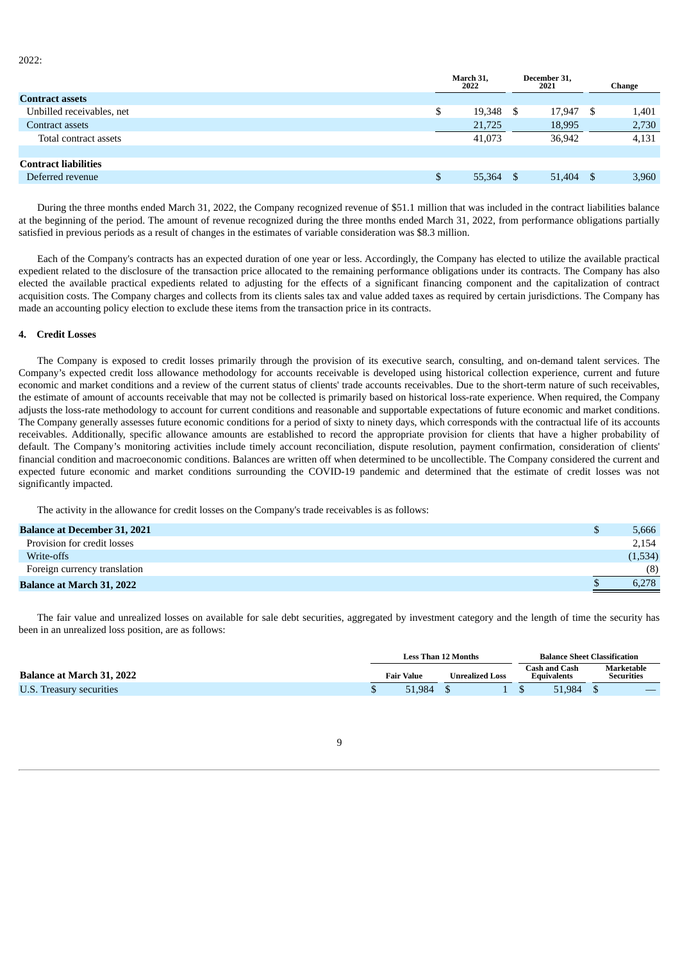$2022$ 

|                             | March 31,<br>2022 |        | December 31,<br>2021 | <b>Change</b> |
|-----------------------------|-------------------|--------|----------------------|---------------|
| <b>Contract assets</b>      |                   |        |                      |               |
| Unbilled receivables, net   |                   | 19,348 | 17,947 \$            | 1,401         |
| Contract assets             |                   | 21,725 | 18,995               | 2,730         |
| Total contract assets       |                   | 41,073 | 36,942               | 4,131         |
|                             |                   |        |                      |               |
| <b>Contract liabilities</b> |                   |        |                      |               |
| Deferred revenue            |                   | 55,364 | 51,404               | 3,960         |

During the three months ended March 31, 2022, the Company recognized revenue of \$51.1 million that was included in the contract liabilities balance at the beginning of the period. The amount of revenue recognized during the three months ended March 31, 2022, from performance obligations partially satisfied in previous periods as a result of changes in the estimates of variable consideration was \$8.3 million.

Each of the Company's contracts has an expected duration of one year or less. Accordingly, the Company has elected to utilize the available practical expedient related to the disclosure of the transaction price allocated to the remaining performance obligations under its contracts. The Company has also elected the available practical expedients related to adjusting for the effects of a significant financing component and the capitalization of contract acquisition costs. The Company charges and collects from its clients sales tax and value added taxes as required by certain jurisdictions. The Company has made an accounting policy election to exclude these items from the transaction price in its contracts.

### **4. Credit Losses**

The Company is exposed to credit losses primarily through the provision of its executive search, consulting, and on-demand talent services. The Company's expected credit loss allowance methodology for accounts receivable is developed using historical collection experience, current and future economic and market conditions and a review of the current status of clients' trade accounts receivables. Due to the short-term nature of such receivables, the estimate of amount of accounts receivable that may not be collected is primarily based on historical loss-rate experience. When required, the Company adjusts the loss-rate methodology to account for current conditions and reasonable and supportable expectations of future economic and market conditions. The Company generally assesses future economic conditions for a period of sixty to ninety days, which corresponds with the contractual life of its accounts receivables. Additionally, specific allowance amounts are established to record the appropriate provision for clients that have a higher probability of default. The Company's monitoring activities include timely account reconciliation, dispute resolution, payment confirmation, consideration of clients' financial condition and macroeconomic conditions. Balances are written off when determined to be uncollectible. The Company considered the current and expected future economic and market conditions surrounding the COVID-19 pandemic and determined that the estimate of credit losses was not significantly impacted.

The activity in the allowance for credit losses on the Company's trade receivables is as follows:

| <b>Balance at December 31, 2021</b> | 5,666   |
|-------------------------------------|---------|
| Provision for credit losses         | 2,154   |
| Write-offs                          | (1,534) |
| Foreign currency translation        | (8)     |
| <b>Balance at March 31, 2022</b>    | 6.278   |

The fair value and unrealized losses on available for sale debt securities, aggregated by investment category and the length of time the security has been in an unrealized loss position, are as follows:

|                                  | Less Than 12 Months |                   |                 |  |                                     |        | <b>Balance Sheet Classification</b> |  |  |  |
|----------------------------------|---------------------|-------------------|-----------------|--|-------------------------------------|--------|-------------------------------------|--|--|--|
| <b>Balance at March 31, 2022</b> |                     | <b>Fair Value</b> | Unrealized Loss |  | Cash and Cash<br><b>Equivalents</b> |        | Marketable<br><b>Securities</b>     |  |  |  |
| U.S. Treasury securities         |                     | 51.984            |                 |  |                                     | 51.984 |                                     |  |  |  |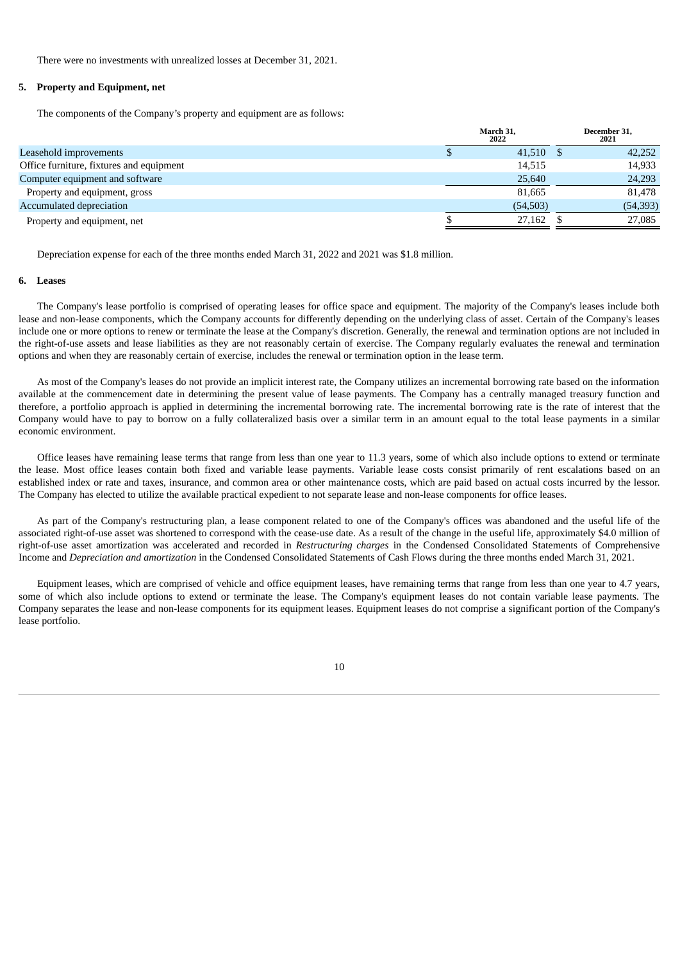There were no investments with unrealized losses at December 31, 2021.

### **5. Property and Equipment, net**

The components of the Company's property and equipment are as follows:

| 41,510<br>Leasehold improvements<br>Office furniture, fixtures and equipment<br>14,515<br>Computer equipment and software<br>25,640<br>Property and equipment, gross<br>81,665<br>Accumulated depreciation<br>(54, 503)<br>27,162<br>Property and equipment, net | March 31,<br>2022 |  | December 31,<br>2021 |
|------------------------------------------------------------------------------------------------------------------------------------------------------------------------------------------------------------------------------------------------------------------|-------------------|--|----------------------|
|                                                                                                                                                                                                                                                                  |                   |  | 42,252               |
|                                                                                                                                                                                                                                                                  |                   |  | 14,933               |
|                                                                                                                                                                                                                                                                  |                   |  | 24,293               |
|                                                                                                                                                                                                                                                                  |                   |  | 81,478               |
|                                                                                                                                                                                                                                                                  |                   |  | (54, 393)            |
|                                                                                                                                                                                                                                                                  |                   |  | 27,085               |

Depreciation expense for each of the three months ended March 31, 2022 and 2021 was \$1.8 million.

### **6. Leases**

The Company's lease portfolio is comprised of operating leases for office space and equipment. The majority of the Company's leases include both lease and non-lease components, which the Company accounts for differently depending on the underlying class of asset. Certain of the Company's leases include one or more options to renew or terminate the lease at the Company's discretion. Generally, the renewal and termination options are not included in the right-of-use assets and lease liabilities as they are not reasonably certain of exercise. The Company regularly evaluates the renewal and termination options and when they are reasonably certain of exercise, includes the renewal or termination option in the lease term.

As most of the Company's leases do not provide an implicit interest rate, the Company utilizes an incremental borrowing rate based on the information available at the commencement date in determining the present value of lease payments. The Company has a centrally managed treasury function and therefore, a portfolio approach is applied in determining the incremental borrowing rate. The incremental borrowing rate is the rate of interest that the Company would have to pay to borrow on a fully collateralized basis over a similar term in an amount equal to the total lease payments in a similar economic environment.

Office leases have remaining lease terms that range from less than one year to 11.3 years, some of which also include options to extend or terminate the lease. Most office leases contain both fixed and variable lease payments. Variable lease costs consist primarily of rent escalations based on an established index or rate and taxes, insurance, and common area or other maintenance costs, which are paid based on actual costs incurred by the lessor. The Company has elected to utilize the available practical expedient to not separate lease and non-lease components for office leases.

As part of the Company's restructuring plan, a lease component related to one of the Company's offices was abandoned and the useful life of the associated right-of-use asset was shortened to correspond with the cease-use date. As a result of the change in the useful life, approximately \$4.0 million of right-of-use asset amortization was accelerated and recorded in *Restructuring charges* in the Condensed Consolidated Statements of Comprehensive Income and *Depreciation and amortization* in the Condensed Consolidated Statements of Cash Flows during the three months ended March 31, 2021.

Equipment leases, which are comprised of vehicle and office equipment leases, have remaining terms that range from less than one year to 4.7 years, some of which also include options to extend or terminate the lease. The Company's equipment leases do not contain variable lease payments. The Company separates the lease and non-lease components for its equipment leases. Equipment leases do not comprise a significant portion of the Company's lease portfolio.

10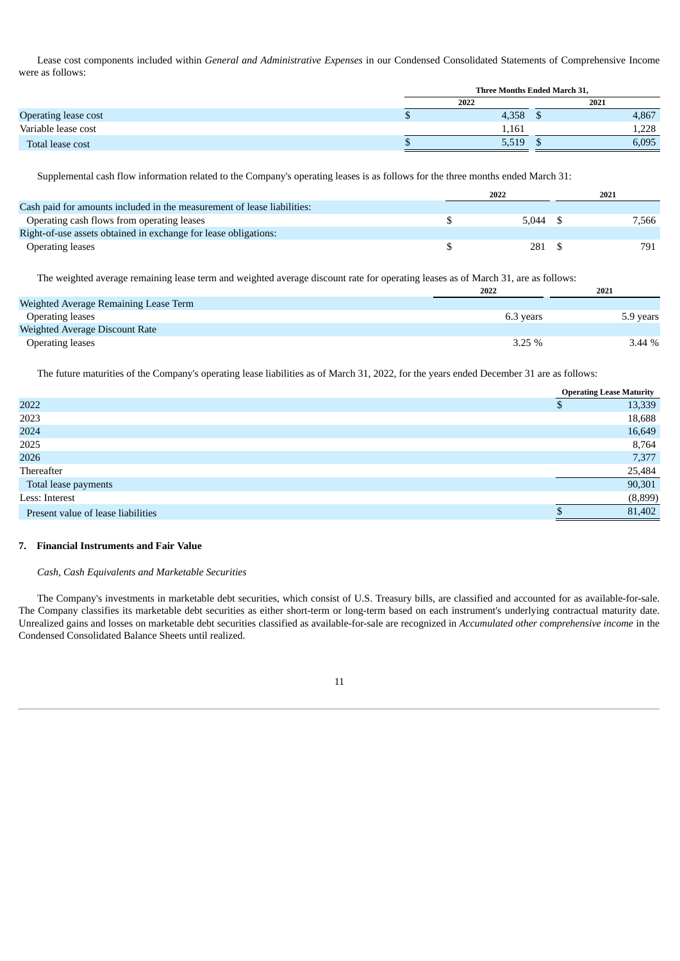Lease cost components included within *General and Administrative Expenses* in our Condensed Consolidated Statements of Comprehensive Income were as follows:

|                      | Three Months Ended March 31, |       |      |       |  |  |  |
|----------------------|------------------------------|-------|------|-------|--|--|--|
|                      | 2022                         |       | 2021 |       |  |  |  |
| Operating lease cost |                              | 4,358 |      | 4,867 |  |  |  |
| Variable lease cost  |                              | 1,161 |      | 1,228 |  |  |  |
| Total lease cost     |                              | 5,519 |      | 6,095 |  |  |  |

Supplemental cash flow information related to the Company's operating leases is as follows for the three months ended March 31:

|                                                                         | 2022  | 2021  |
|-------------------------------------------------------------------------|-------|-------|
| Cash paid for amounts included in the measurement of lease liabilities: |       |       |
| Operating cash flows from operating leases                              | 5.044 | 7.566 |
| Right-of-use assets obtained in exchange for lease obligations:         |       |       |
| Operating leases                                                        | 281   | 791   |

The weighted average remaining lease term and weighted average discount rate for operating leases as of March 31, are as follows:

|                                       | 2022      | 2021      |
|---------------------------------------|-----------|-----------|
| Weighted Average Remaining Lease Term |           |           |
| <b>Operating leases</b>               | 6.3 years | 5.9 years |
| Weighted Average Discount Rate        |           |           |
| <b>Operating leases</b>               | $3.25\%$  | 3.44%     |

The future maturities of the Company's operating lease liabilities as of March 31, 2022, for the years ended December 31 are as follows:

|                                    | <b>Operating Lease Maturity</b> |
|------------------------------------|---------------------------------|
| 2022                               | 13,339                          |
| 2023                               | 18,688                          |
| 2024                               | 16,649                          |
| 2025                               | 8,764                           |
| 2026                               | 7,377                           |
| Thereafter                         | 25,484                          |
| Total lease payments               | 90,301                          |
| Less: Interest                     | (8,899)                         |
| Present value of lease liabilities | 81,402                          |

### **7. Financial Instruments and Fair Value**

### *Cash, Cash Equivalents and Marketable Securities*

The Company's investments in marketable debt securities, which consist of U.S. Treasury bills, are classified and accounted for as available-for-sale. The Company classifies its marketable debt securities as either short-term or long-term based on each instrument's underlying contractual maturity date. Unrealized gains and losses on marketable debt securities classified as available-for-sale are recognized in *Accumulated other comprehensive income* in the Condensed Consolidated Balance Sheets until realized.

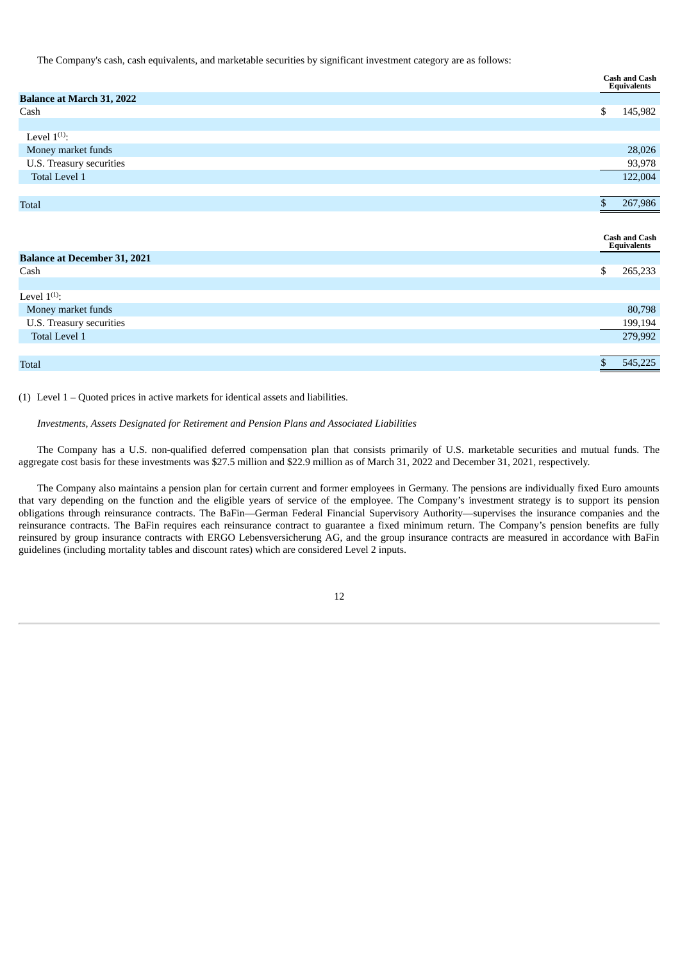The Company's cash, cash equivalents, and marketable securities by significant investment category are as follows:

|                                     | <b>Cash and Cash</b><br><b>Equivalents</b> |
|-------------------------------------|--------------------------------------------|
| <b>Balance at March 31, 2022</b>    |                                            |
| Cash                                | 145,982<br>\$                              |
|                                     |                                            |
| Level $1^{(1)}$ :                   |                                            |
| Money market funds                  | 28,026                                     |
| U.S. Treasury securities            | 93,978                                     |
| Total Level 1                       | 122,004                                    |
|                                     |                                            |
| Total                               | 267,986<br>$\mathbb{S}$                    |
|                                     |                                            |
|                                     | <b>Cash and Cash</b><br><b>Equivalents</b> |
| <b>Balance at December 31, 2021</b> |                                            |
| Cash                                | \$<br>265,233                              |
|                                     |                                            |
| Level $1^{(1)}$ :                   |                                            |
| Money market funds                  | 80,798                                     |
| U.S. Treasury securities            | 199,194                                    |
| Total Level 1                       | 279,992                                    |
|                                     |                                            |
|                                     |                                            |
| <b>Total</b>                        | 545,225<br>\$                              |

(1) Level 1 – Quoted prices in active markets for identical assets and liabilities.

### *Investments, Assets Designated for Retirement and Pension Plans and Associated Liabilities*

The Company has a U.S. non-qualified deferred compensation plan that consists primarily of U.S. marketable securities and mutual funds. The aggregate cost basis for these investments was \$27.5 million and \$22.9 million as of March 31, 2022 and December 31, 2021, respectively.

The Company also maintains a pension plan for certain current and former employees in Germany. The pensions are individually fixed Euro amounts that vary depending on the function and the eligible years of service of the employee. The Company's investment strategy is to support its pension obligations through reinsurance contracts. The BaFin—German Federal Financial Supervisory Authority—supervises the insurance companies and the reinsurance contracts. The BaFin requires each reinsurance contract to guarantee a fixed minimum return. The Company's pension benefits are fully reinsured by group insurance contracts with ERGO Lebensversicherung AG, and the group insurance contracts are measured in accordance with BaFin guidelines (including mortality tables and discount rates) which are considered Level 2 inputs.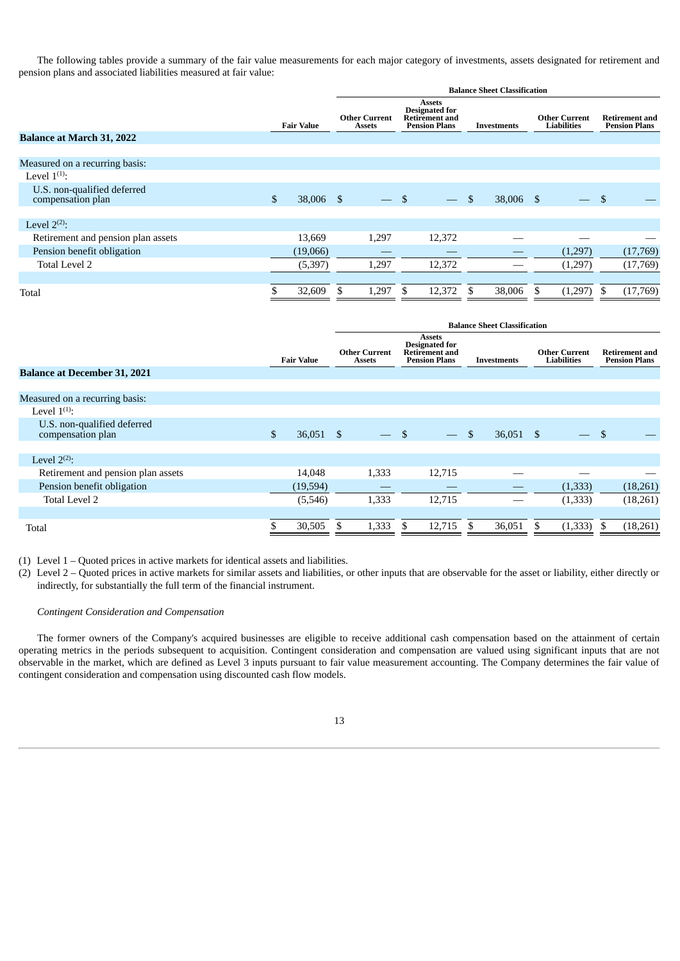The following tables provide a summary of the fair value measurements for each major category of investments, assets designated for retirement and pension plans and associated liabilities measured at fair value:

|                                                  |                   | <b>Balance Sheet Classification</b>                                                                                       |        |             |                          |                                            |           |  |                                               |    |          |
|--------------------------------------------------|-------------------|---------------------------------------------------------------------------------------------------------------------------|--------|-------------|--------------------------|--------------------------------------------|-----------|--|-----------------------------------------------|----|----------|
|                                                  | <b>Fair Value</b> | <b>Assets</b><br><b>Designated for</b><br><b>Other Current</b><br><b>Retirement and</b><br><b>Pension Plans</b><br>Assets |        | Investments |                          | <b>Other Current</b><br><b>Liabilities</b> |           |  | <b>Retirement and</b><br><b>Pension Plans</b> |    |          |
| <b>Balance at March 31, 2022</b>                 |                   |                                                                                                                           |        |             |                          |                                            |           |  |                                               |    |          |
|                                                  |                   |                                                                                                                           |        |             |                          |                                            |           |  |                                               |    |          |
| Measured on a recurring basis:                   |                   |                                                                                                                           |        |             |                          |                                            |           |  |                                               |    |          |
| Level $1^{(1)}$ :                                |                   |                                                                                                                           |        |             |                          |                                            |           |  |                                               |    |          |
| U.S. non-qualified deferred<br>compensation plan | \$<br>38,006      | - \$                                                                                                                      | $-$ \$ |             | $\overline{\phantom{0}}$ | \$                                         | 38,006 \$ |  |                                               | \$ |          |
|                                                  |                   |                                                                                                                           |        |             |                          |                                            |           |  |                                               |    |          |
| Level $2^{(2)}$ :                                |                   |                                                                                                                           |        |             |                          |                                            |           |  |                                               |    |          |
| Retirement and pension plan assets               | 13,669            |                                                                                                                           | 1,297  |             | 12,372                   |                                            |           |  |                                               |    |          |
| Pension benefit obligation                       | (19,066)          |                                                                                                                           |        |             |                          |                                            |           |  | (1,297)                                       |    | (17,769) |
| Total Level 2                                    | (5, 397)          |                                                                                                                           | 1,297  |             | 12,372                   |                                            |           |  | (1,297)                                       |    | (17,769) |
|                                                  |                   |                                                                                                                           |        |             |                          |                                            |           |  |                                               |    |          |
| Total                                            | 32,609            |                                                                                                                           | 1,297  | \$.         | 12,372                   |                                            | 38,006    |  | (1,297)                                       |    | (17,769) |

|                                                  |                   | <b>Balance Sheet Classification</b> |                                |     |                                                                                         |   |             |     |                                     |    |                                               |
|--------------------------------------------------|-------------------|-------------------------------------|--------------------------------|-----|-----------------------------------------------------------------------------------------|---|-------------|-----|-------------------------------------|----|-----------------------------------------------|
|                                                  | <b>Fair Value</b> |                                     | <b>Other Current</b><br>Assets |     | <b>Assets</b><br><b>Designated for</b><br><b>Retirement and</b><br><b>Pension Plans</b> |   | Investments |     | <b>Other Current</b><br>Liabilities |    | <b>Retirement and</b><br><b>Pension Plans</b> |
| <b>Balance at December 31, 2021</b>              |                   |                                     |                                |     |                                                                                         |   |             |     |                                     |    |                                               |
|                                                  |                   |                                     |                                |     |                                                                                         |   |             |     |                                     |    |                                               |
| Measured on a recurring basis:                   |                   |                                     |                                |     |                                                                                         |   |             |     |                                     |    |                                               |
| Level $1^{(1)}$ :                                |                   |                                     |                                |     |                                                                                         |   |             |     |                                     |    |                                               |
| U.S. non-qualified deferred<br>compensation plan | \$<br>$36,051$ \$ |                                     | $-$ \$                         |     | $-$ \$                                                                                  |   | $36,051$ \$ |     |                                     | \$ |                                               |
|                                                  |                   |                                     |                                |     |                                                                                         |   |             |     |                                     |    |                                               |
| Level $2^{(2)}$ :                                |                   |                                     |                                |     |                                                                                         |   |             |     |                                     |    |                                               |
| Retirement and pension plan assets               | 14,048            |                                     | 1,333                          |     | 12,715                                                                                  |   |             |     |                                     |    |                                               |
| Pension benefit obligation                       | (19,594)          |                                     |                                |     |                                                                                         |   |             |     | (1,333)                             |    | (18, 261)                                     |
| Total Level 2                                    | (5, 546)          |                                     | 1,333                          |     | 12,715                                                                                  |   |             |     | (1, 333)                            |    | (18,261)                                      |
|                                                  |                   |                                     |                                |     |                                                                                         |   |             |     |                                     |    |                                               |
| Total                                            | 30,505            |                                     | 1,333                          | \$. | 12,715                                                                                  | S | 36,051      | \$. | (1, 333)                            | Ж  | (18,261)                                      |

(1) Level 1 – Quoted prices in active markets for identical assets and liabilities.

(2) Level 2 – Quoted prices in active markets for similar assets and liabilities, or other inputs that are observable for the asset or liability, either directly or indirectly, for substantially the full term of the financial instrument.

*Contingent Consideration and Compensation*

The former owners of the Company's acquired businesses are eligible to receive additional cash compensation based on the attainment of certain operating metrics in the periods subsequent to acquisition. Contingent consideration and compensation are valued using significant inputs that are not observable in the market, which are defined as Level 3 inputs pursuant to fair value measurement accounting. The Company determines the fair value of contingent consideration and compensation using discounted cash flow models.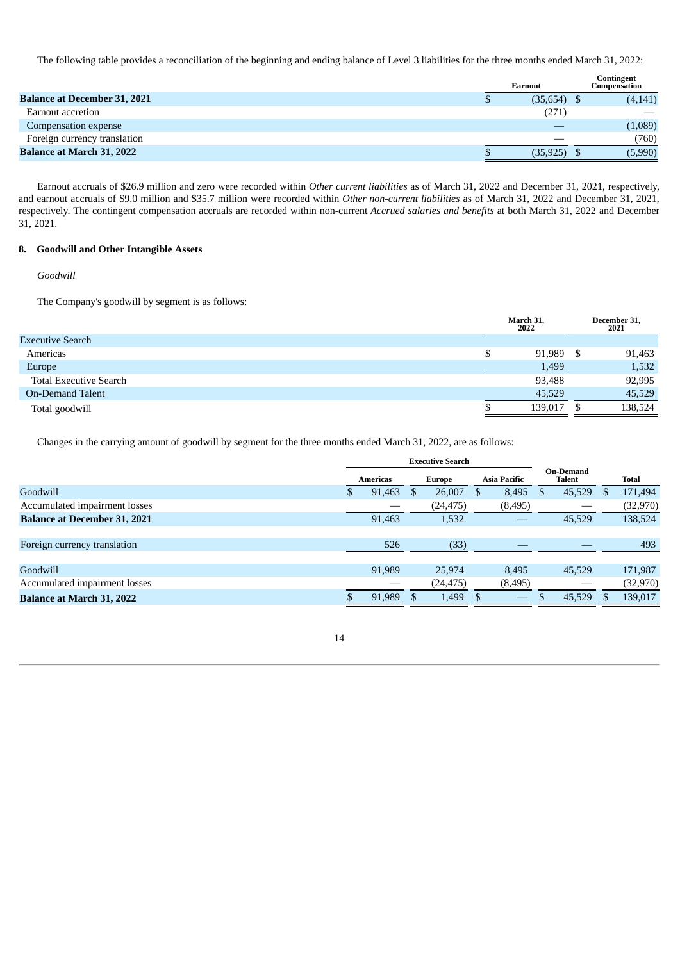The following table provides a reconciliation of the beginning and ending balance of Level 3 liabilities for the three months ended March 31, 2022:

|                                     | Earnout   | Contingent<br>Compensation |
|-------------------------------------|-----------|----------------------------|
| <b>Balance at December 31, 2021</b> | (35,654)  | (4, 141)                   |
| Earnout accretion                   | (271)     |                            |
| Compensation expense                |           | (1,089)                    |
| Foreign currency translation        |           | (760)                      |
| <b>Balance at March 31, 2022</b>    | (35, 925) | (5,990)                    |

Earnout accruals of \$26.9 million and zero were recorded within *Other current liabilities* as of March 31, 2022 and December 31, 2021, respectively, and earnout accruals of \$9.0 million and \$35.7 million were recorded within *Other non-current liabilities* as of March 31, 2022 and December 31, 2021, respectively. The contingent compensation accruals are recorded within non-current *Accrued salaries and benefits* at both March 31, 2022 and December 31, 2021.

### **8. Goodwill and Other Intangible Assets**

### *Goodwill*

The Company's goodwill by segment is as follows:

|                               |   | March 31,<br>2022 |      | December 31,<br>2021 |
|-------------------------------|---|-------------------|------|----------------------|
| <b>Executive Search</b>       |   |                   |      |                      |
| Americas                      | C | 91.989            | - \$ | 91,463               |
| Europe                        |   | 1,499             |      | 1,532                |
| <b>Total Executive Search</b> |   | 93,488            |      | 92,995               |
| <b>On-Demand Talent</b>       |   | 45,529            |      | 45,529               |
| Total goodwill                |   | 139,017           |      | 138,524              |

Changes in the carrying amount of goodwill by segment for the three months ended March 31, 2022, are as follows:

|                                     | <b>Executive Search</b>          |        |                     |                                   |   |                          |   |        |    |           |
|-------------------------------------|----------------------------------|--------|---------------------|-----------------------------------|---|--------------------------|---|--------|----|-----------|
|                                     | <b>Americas</b><br><b>Europe</b> |        | <b>Asia Pacific</b> | <b>On-Demand</b><br><b>Talent</b> |   | Total                    |   |        |    |           |
| Goodwill                            | D                                | 91,463 | S                   | 26,007                            | S | 8,495                    | S | 45,529 | S  | 171,494   |
| Accumulated impairment losses       |                                  |        |                     | (24, 475)                         |   | (8, 495)                 |   |        |    | (32, 970) |
| <b>Balance at December 31, 2021</b> |                                  | 91,463 |                     | 1,532                             |   |                          |   | 45,529 |    | 138,524   |
|                                     |                                  |        |                     |                                   |   |                          |   |        |    |           |
| Foreign currency translation        |                                  | 526    |                     | (33)                              |   |                          |   |        |    | 493       |
|                                     |                                  |        |                     |                                   |   |                          |   |        |    |           |
| Goodwill                            |                                  | 91.989 |                     | 25,974                            |   | 8.495                    |   | 45,529 |    | 171,987   |
| Accumulated impairment losses       |                                  |        |                     | (24, 475)                         |   | (8, 495)                 |   |        |    | (32, 970) |
| <b>Balance at March 31, 2022</b>    |                                  | 91,989 |                     | 1,499                             |   | $\overline{\phantom{m}}$ |   | 45,529 | -S | 139,017   |
|                                     |                                  |        |                     |                                   |   |                          |   |        |    |           |

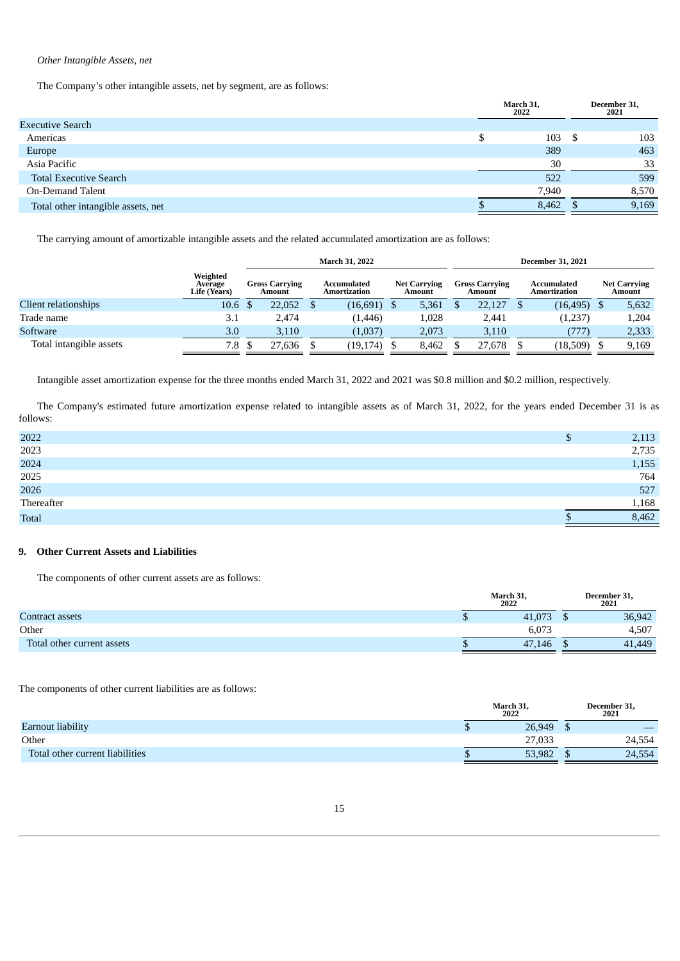### *Other Intangible Assets, net*

The Company's other intangible assets, net by segment, are as follows:

|                                    | March 31,<br>2022 |     | December 31,<br>2021 |
|------------------------------------|-------------------|-----|----------------------|
| <b>Executive Search</b>            |                   |     |                      |
| Americas                           | 103               | - S | 103                  |
| Europe                             | 389               |     | 463                  |
| Asia Pacific                       | 30                |     | 33                   |
| <b>Total Executive Search</b>      | 522               |     | 599                  |
| <b>On-Demand Talent</b>            | 7.940             |     | 8,570                |
| Total other intangible assets, net | 8.462             |     | 9,169                |
|                                    |                   |     |                      |

The carrying amount of amortizable intangible assets and the related accumulated amortization are as follows:

|                         |                                     | <b>March 31, 2022</b> |                                 |  |                             |  |                               | <b>December 31, 2021</b> |                                 |  |                             |  |                               |  |
|-------------------------|-------------------------------------|-----------------------|---------------------------------|--|-----------------------------|--|-------------------------------|--------------------------|---------------------------------|--|-----------------------------|--|-------------------------------|--|
|                         | Weighted<br>Average<br>Life (Years) |                       | <b>Gross Carrying</b><br>Amount |  | Accumulated<br>Amortization |  | <b>Net Carrying</b><br>Amount |                          | <b>Gross Carrying</b><br>Amount |  | Accumulated<br>Amortization |  | <b>Net Carrying</b><br>Amount |  |
| Client relationships    | 10.6                                |                       | 22,052                          |  | (16, 691)                   |  | 5,361                         |                          | 22,127                          |  | (16, 495)                   |  | 5,632                         |  |
| Trade name              | 3.1                                 |                       | 2.474                           |  | (1, 446)                    |  | 1,028                         |                          | 2,441                           |  | (1,237)                     |  | 1,204                         |  |
| Software                | 3.0                                 |                       | 3,110                           |  | (1,037)                     |  | 2,073                         |                          | 3,110                           |  | (777)                       |  | 2,333                         |  |
| Total intangible assets | 7.8                                 |                       | 27,636                          |  | (19, 174)                   |  | 8,462                         |                          | 27,678                          |  | (18, 509)                   |  | 9,169                         |  |

Intangible asset amortization expense for the three months ended March 31, 2022 and 2021 was \$0.8 million and \$0.2 million, respectively.

The Company's estimated future amortization expense related to intangible assets as of March 31, 2022, for the years ended December 31 is as follows:

| 2022         | ٠Đ | 2,113 |
|--------------|----|-------|
| 2023         |    | 2,735 |
| 2024         |    | 1,155 |
| 2025         |    | 764   |
| 2026         |    | 527   |
| Thereafter   |    | 1,168 |
| <b>Total</b> |    | 8,462 |
|              |    |       |

### **9. Other Current Assets and Liabilities**

The components of other current assets are as follows:

|                            | March 31,<br>2022 | December 31,<br>2021 |
|----------------------------|-------------------|----------------------|
| Contract assets            | 41,073            | 36,942               |
| Other                      | $6.07^{\circ}$    | 4,507                |
| Total other current assets | 47.146            | 41,449               |

The components of other current liabilities are as follows:

|                                 | March 31,<br>2022 | December 31,<br>2021     |
|---------------------------------|-------------------|--------------------------|
| <b>Earnout liability</b>        | 26,949            | $\overline{\phantom{a}}$ |
| Other                           | 27,033            | 24,554                   |
| Total other current liabilities | 53,982            | 24,554                   |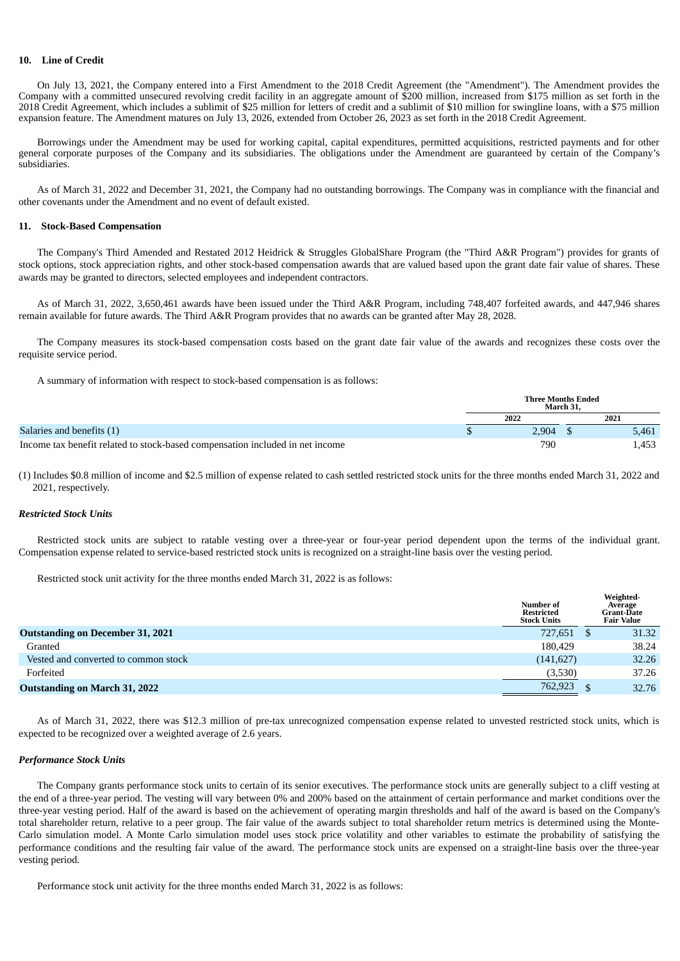#### **10. Line of Credit**

On July 13, 2021, the Company entered into a First Amendment to the 2018 Credit Agreement (the "Amendment"). The Amendment provides the Company with a committed unsecured revolving credit facility in an aggregate amount of \$200 million, increased from \$175 million as set forth in the 2018 Credit Agreement, which includes a sublimit of \$25 million for letters of credit and a sublimit of \$10 million for swingline loans, with a \$75 million expansion feature. The Amendment matures on July 13, 2026, extended from October 26, 2023 as set forth in the 2018 Credit Agreement.

Borrowings under the Amendment may be used for working capital, capital expenditures, permitted acquisitions, restricted payments and for other general corporate purposes of the Company and its subsidiaries. The obligations under the Amendment are guaranteed by certain of the Company's subsidiaries.

As of March 31, 2022 and December 31, 2021, the Company had no outstanding borrowings. The Company was in compliance with the financial and other covenants under the Amendment and no event of default existed.

#### **11. Stock-Based Compensation**

The Company's Third Amended and Restated 2012 Heidrick & Struggles GlobalShare Program (the "Third A&R Program") provides for grants of stock options, stock appreciation rights, and other stock-based compensation awards that are valued based upon the grant date fair value of shares. These awards may be granted to directors, selected employees and independent contractors.

As of March 31, 2022, 3,650,461 awards have been issued under the Third A&R Program, including 748,407 forfeited awards, and 447,946 shares remain available for future awards. The Third A&R Program provides that no awards can be granted after May 28, 2028.

The Company measures its stock-based compensation costs based on the grant date fair value of the awards and recognizes these costs over the requisite service period.

A summary of information with respect to stock-based compensation is as follows:

|                                                                               | <b>Three Months Ended</b><br>March 31. |       |
|-------------------------------------------------------------------------------|----------------------------------------|-------|
|                                                                               | 2022                                   | 2021  |
| Salaries and benefits (1)                                                     | 2.904                                  | 5,461 |
| Income tax benefit related to stock-based compensation included in net income | 790                                    | 1.453 |

(1) Includes \$0.8 million of income and \$2.5 million of expense related to cash settled restricted stock units for the three months ended March 31, 2022 and 2021, respectively.

### *Restricted Stock Units*

Restricted stock units are subject to ratable vesting over a three-year or four-year period dependent upon the terms of the individual grant. Compensation expense related to service-based restricted stock units is recognized on a straight-line basis over the vesting period.

Restricted stock unit activity for the three months ended March 31, 2022 is as follows:

|                                         | Number of<br>Restricted<br><b>Stock Units</b> | Weighted-<br>Average<br>Grant-Date<br><b>Fair Value</b> |
|-----------------------------------------|-----------------------------------------------|---------------------------------------------------------|
| <b>Outstanding on December 31, 2021</b> | 727,651                                       | 31.32                                                   |
| Granted                                 | 180,429                                       | 38.24                                                   |
| Vested and converted to common stock    | (141, 627)                                    | 32.26                                                   |
| Forfeited                               | (3,530)                                       | 37.26                                                   |
| <b>Outstanding on March 31, 2022</b>    | 762,923                                       | 32.76                                                   |

As of March 31, 2022, there was \$12.3 million of pre-tax unrecognized compensation expense related to unvested restricted stock units, which is expected to be recognized over a weighted average of 2.6 years.

#### *Performance Stock Units*

The Company grants performance stock units to certain of its senior executives. The performance stock units are generally subject to a cliff vesting at the end of a three-year period. The vesting will vary between 0% and 200% based on the attainment of certain performance and market conditions over the three-year vesting period. Half of the award is based on the achievement of operating margin thresholds and half of the award is based on the Company's total shareholder return, relative to a peer group. The fair value of the awards subject to total shareholder return metrics is determined using the Monte-Carlo simulation model. A Monte Carlo simulation model uses stock price volatility and other variables to estimate the probability of satisfying the performance conditions and the resulting fair value of the award. The performance stock units are expensed on a straight-line basis over the three-year vesting period.

Performance stock unit activity for the three months ended March 31, 2022 is as follows: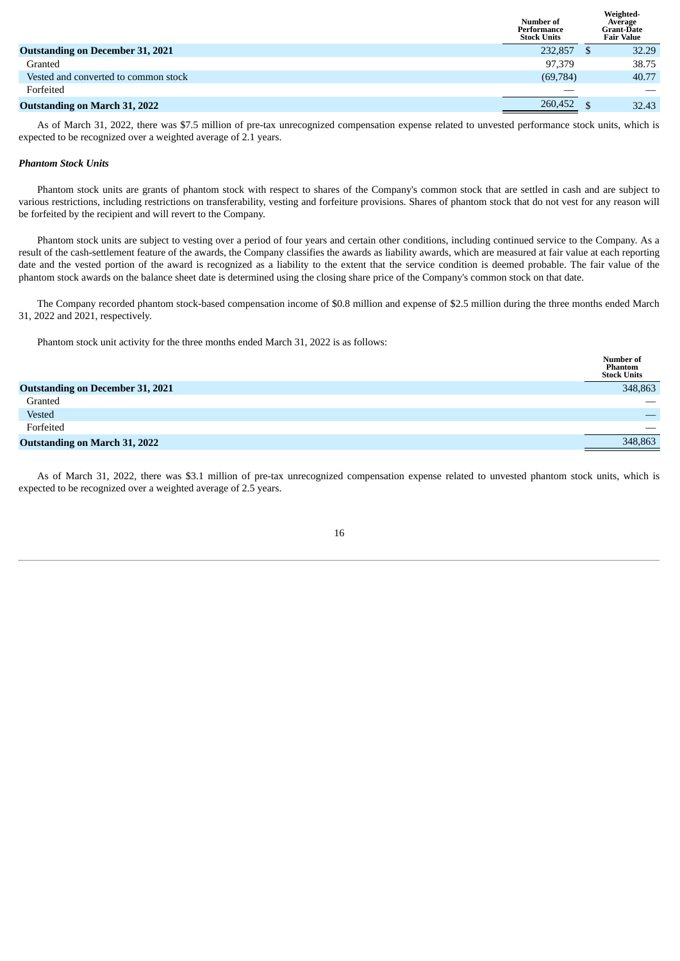|                                         | Number of<br>Performance<br><b>Stock Units</b> | Weighted-<br>Average<br><b>Grant-Date</b><br><b>Fair Value</b> |
|-----------------------------------------|------------------------------------------------|----------------------------------------------------------------|
| <b>Outstanding on December 31, 2021</b> | 232,857                                        | 32.29                                                          |
| Granted                                 | 97.379                                         | 38.75                                                          |
| Vested and converted to common stock    | (69, 784)                                      | 40.77                                                          |
| Forfeited                               |                                                |                                                                |
| <b>Outstanding on March 31, 2022</b>    | 260,452                                        | 32.43                                                          |

As of March 31, 2022, there was \$7.5 million of pre-tax unrecognized compensation expense related to unvested performance stock units, which is expected to be recognized over a weighted average of 2.1 years.

### *Phantom Stock Units*

Phantom stock units are grants of phantom stock with respect to shares of the Company's common stock that are settled in cash and are subject to various restrictions, including restrictions on transferability, vesting and forfeiture provisions. Shares of phantom stock that do not vest for any reason will be forfeited by the recipient and will revert to the Company.

Phantom stock units are subject to vesting over a period of four years and certain other conditions, including continued service to the Company. As a result of the cash-settlement feature of the awards, the Company classifies the awards as liability awards, which are measured at fair value at each reporting date and the vested portion of the award is recognized as a liability to the extent that the service condition is deemed probable. The fair value of the phantom stock awards on the balance sheet date is determined using the closing share price of the Company's common stock on that date.

The Company recorded phantom stock-based compensation income of \$0.8 million and expense of \$2.5 million during the three months ended March 31, 2022 and 2021, respectively.

Phantom stock unit activity for the three months ended March 31, 2022 is as follows:

|                                         | Number of<br>Phantom<br><b>Stock Units</b> |
|-----------------------------------------|--------------------------------------------|
| <b>Outstanding on December 31, 2021</b> | 348,863                                    |
| Granted                                 |                                            |
| <b>Vested</b>                           |                                            |
| Forfeited                               |                                            |
| <b>Outstanding on March 31, 2022</b>    | 348,863                                    |

As of March 31, 2022, there was \$3.1 million of pre-tax unrecognized compensation expense related to unvested phantom stock units, which is expected to be recognized over a weighted average of 2.5 years.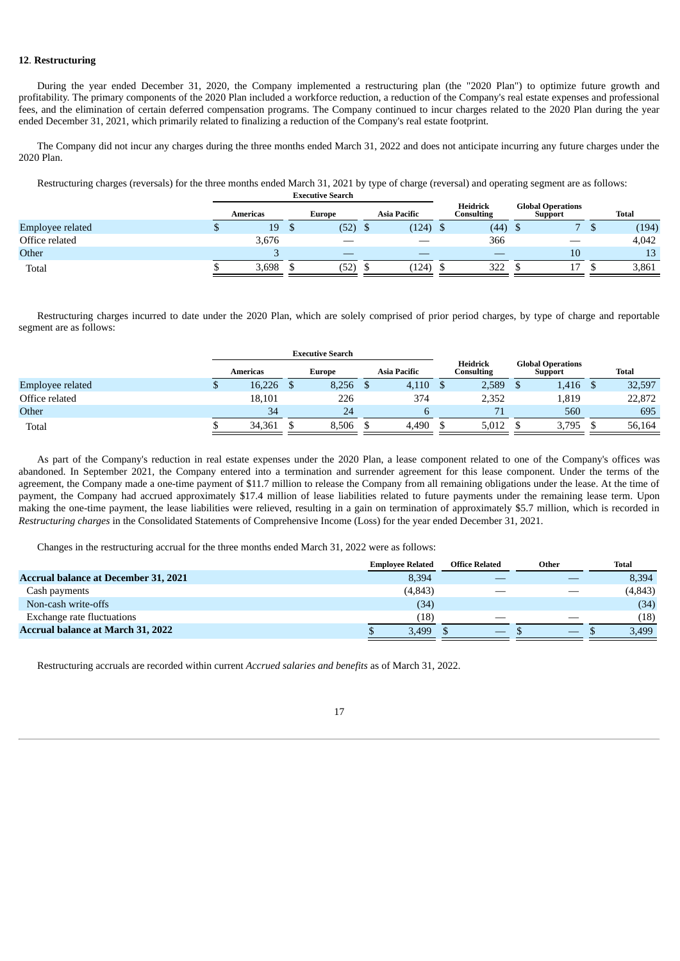### **12**. **Restructuring**

During the year ended December 31, 2020, the Company implemented a restructuring plan (the "2020 Plan") to optimize future growth and profitability. The primary components of the 2020 Plan included a workforce reduction, a reduction of the Company's real estate expenses and professional fees, and the elimination of certain deferred compensation programs. The Company continued to incur charges related to the 2020 Plan during the year ended December 31, 2021, which primarily related to finalizing a reduction of the Company's real estate footprint.

The Company did not incur any charges during the three months ended March 31, 2022 and does not anticipate incurring any future charges under the 2020 Plan.

Restructuring charges (reversals) for the three months ended March 31, 2021 by type of charge (reversal) and operating segment are as follows: **Executive Search**

| Americas | Europe | <b>Asia Pacific</b> | Heidrick<br><b>Consulting</b> | Support        |                          | Total |
|----------|--------|---------------------|-------------------------------|----------------|--------------------------|-------|
| 19       | (52)   | (124)               | (44)                          | $\overline{ }$ |                          | (194) |
| 3,676    |        |                     | 366                           |                |                          | 4,042 |
|          | _      |                     |                               | 10             |                          | 13    |
| 3,698    | (52)   | (124)               | 322                           | 17             |                          | 3,861 |
|          |        |                     |                               |                | <b>Global Operations</b> |       |

Restructuring charges incurred to date under the 2020 Plan, which are solely comprised of prior period charges, by type of charge and reportable segment are as follows:

|                  |          | <b>Executive Search</b> |              |                        |                                     |        |
|------------------|----------|-------------------------|--------------|------------------------|-------------------------------------|--------|
|                  | Americas | <b>Europe</b>           | Asia Pacific | Heidrick<br>Consulting | <b>Global Operations</b><br>Support | Total  |
| Employee related | 16,226   | 8,256                   | 4,110        | 2,589                  | 1,416                               | 32,597 |
| Office related   | 18,101   | 226                     | 374          | 2,352                  | 1,819                               | 22,872 |
| Other            | 34       | 24                      |              | 71                     | 560                                 | 695    |
| Total            | 34,361   | 8,506                   | 4,490        | 5,012                  | 3,795                               | 56,164 |

As part of the Company's reduction in real estate expenses under the 2020 Plan, a lease component related to one of the Company's offices was abandoned. In September 2021, the Company entered into a termination and surrender agreement for this lease component. Under the terms of the agreement, the Company made a one-time payment of \$11.7 million to release the Company from all remaining obligations under the lease. At the time of payment, the Company had accrued approximately \$17.4 million of lease liabilities related to future payments under the remaining lease term. Upon making the one-time payment, the lease liabilities were relieved, resulting in a gain on termination of approximately \$5.7 million, which is recorded in *Restructuring charges* in the Consolidated Statements of Comprehensive Income (Loss) for the year ended December 31, 2021.

Changes in the restructuring accrual for the three months ended March 31, 2022 were as follows:

|                                          | <b>Employee Related</b> | Office Related           | Other | Total    |
|------------------------------------------|-------------------------|--------------------------|-------|----------|
| Accrual balance at December 31, 2021     | 8,394                   |                          |       | 8,394    |
| Cash payments                            | (4, 843)                | $\overline{\phantom{a}}$ |       | (4, 843) |
| Non-cash write-offs                      | (34)                    |                          |       | (34)     |
| <b>Exchange rate fluctuations</b>        | (18)                    | $\overline{\phantom{a}}$ |       | (18)     |
| <b>Accrual balance at March 31, 2022</b> | 3.499                   | __                       |       | 3,499    |

Restructuring accruals are recorded within current *Accrued salaries and benefits* as of March 31, 2022.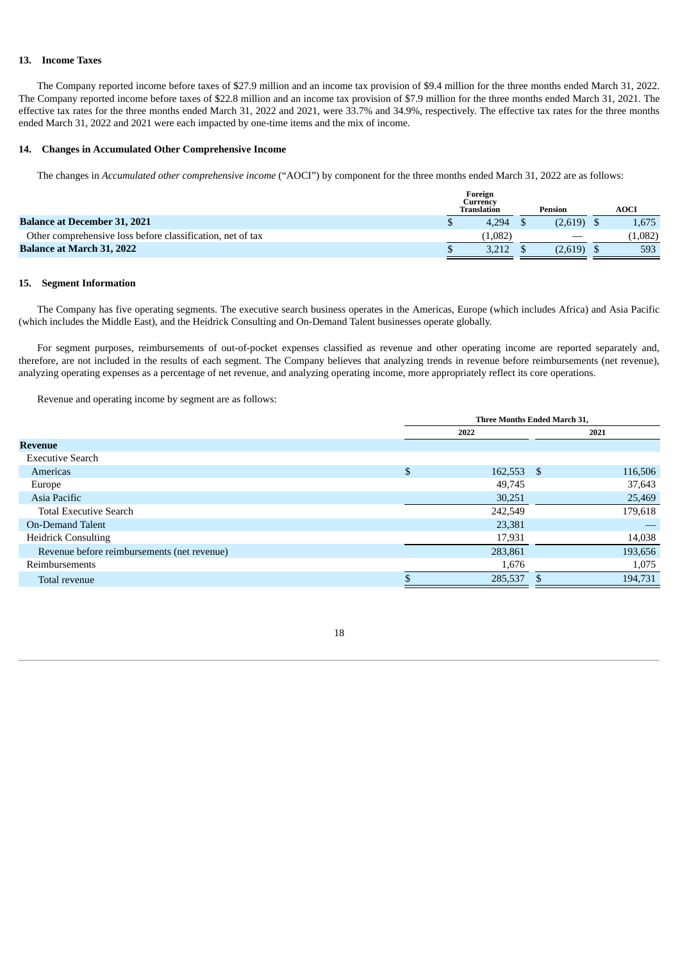### **13. Income Taxes**

The Company reported income before taxes of \$27.9 million and an income tax provision of \$9.4 million for the three months ended March 31, 2022. The Company reported income before taxes of \$22.8 million and an income tax provision of \$7.9 million for the three months ended March 31, 2021. The effective tax rates for the three months ended March 31, 2022 and 2021, were 33.7% and 34.9%, respectively. The effective tax rates for the three months ended March 31, 2022 and 2021 were each impacted by one-time items and the mix of income.

### **14. Changes in Accumulated Other Comprehensive Income**

The changes in *Accumulated other comprehensive income* ("AOCI") by component for the three months ended March 31, 2022 are as follows:

|                                                            | Foreign<br>Currency<br>Translation | Pension | <b>AOCI</b> |
|------------------------------------------------------------|------------------------------------|---------|-------------|
| <b>Balance at December 31, 2021</b>                        | 4.294                              | (2,619) | 1,675       |
| Other comprehensive loss before classification, net of tax | 1,082                              |         | (1,082)     |
| <b>Balance at March 31, 2022</b>                           | 3.212                              | (2,619) | 593         |

### **15. Segment Information**

The Company has five operating segments. The executive search business operates in the Americas, Europe (which includes Africa) and Asia Pacific (which includes the Middle East), and the Heidrick Consulting and On-Demand Talent businesses operate globally.

For segment purposes, reimbursements of out-of-pocket expenses classified as revenue and other operating income are reported separately and, therefore, are not included in the results of each segment. The Company believes that analyzing trends in revenue before reimbursements (net revenue), analyzing operating expenses as a percentage of net revenue, and analyzing operating income, more appropriately reflect its core operations.

Revenue and operating income by segment are as follows:

| <b>Three Months Ended March 31.</b> |  |            |
|-------------------------------------|--|------------|
| 2022                                |  | 2021       |
|                                     |  |            |
|                                     |  |            |
| \$                                  |  | 116,506    |
| 49,745                              |  | 37,643     |
| 30,251                              |  | 25,469     |
| 242,549                             |  | 179,618    |
| 23,381                              |  |            |
| 17,931                              |  | 14,038     |
| 283,861                             |  | 193,656    |
| 1,676                               |  | 1,075      |
| 285,537                             |  | 194,731    |
|                                     |  | 162,553 \$ |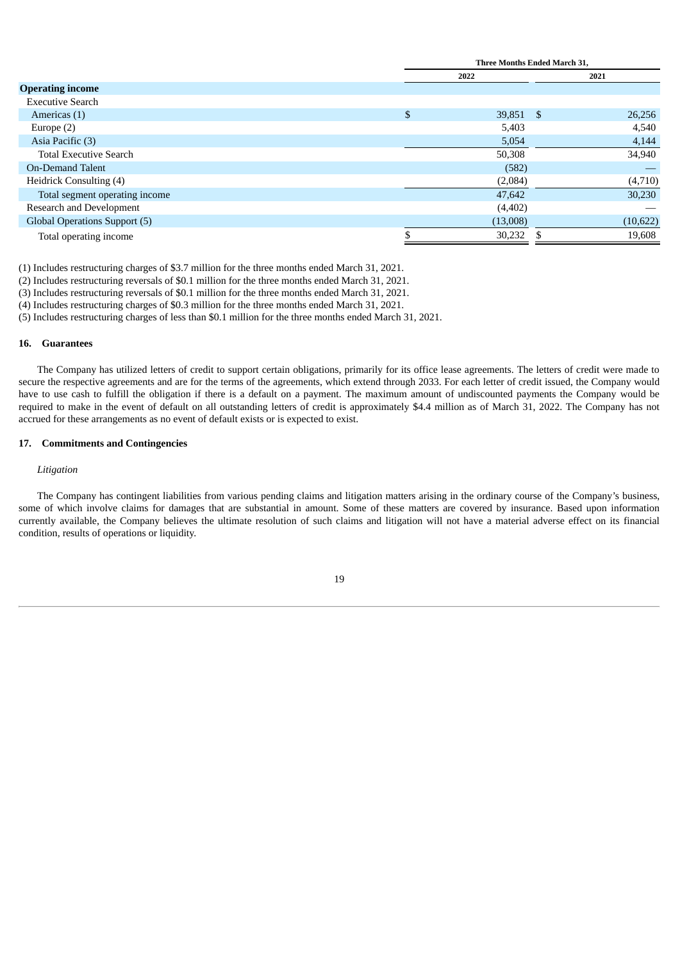|                                | <b>Three Months Ended March 31,</b> |           |  |           |
|--------------------------------|-------------------------------------|-----------|--|-----------|
|                                |                                     | 2022      |  | 2021      |
| <b>Operating income</b>        |                                     |           |  |           |
| <b>Executive Search</b>        |                                     |           |  |           |
| Americas (1)                   | \$                                  | 39,851 \$ |  | 26,256    |
| Europe (2)                     |                                     | 5,403     |  | 4,540     |
| Asia Pacific (3)               |                                     | 5,054     |  | 4,144     |
| <b>Total Executive Search</b>  |                                     | 50,308    |  | 34,940    |
| <b>On-Demand Talent</b>        |                                     | (582)     |  |           |
| Heidrick Consulting (4)        |                                     | (2,084)   |  | (4,710)   |
| Total segment operating income |                                     | 47,642    |  | 30,230    |
| Research and Development       |                                     | (4, 402)  |  |           |
| Global Operations Support (5)  |                                     | (13,008)  |  | (10, 622) |
| Total operating income         |                                     | 30,232    |  | 19,608    |

(1) Includes restructuring charges of \$3.7 million for the three months ended March 31, 2021.

(2) Includes restructuring reversals of \$0.1 million for the three months ended March 31, 2021.

(3) Includes restructuring reversals of \$0.1 million for the three months ended March 31, 2021.

(4) Includes restructuring charges of \$0.3 million for the three months ended March 31, 2021.

(5) Includes restructuring charges of less than \$0.1 million for the three months ended March 31, 2021.

### **16. Guarantees**

The Company has utilized letters of credit to support certain obligations, primarily for its office lease agreements. The letters of credit were made to secure the respective agreements and are for the terms of the agreements, which extend through 2033. For each letter of credit issued, the Company would have to use cash to fulfill the obligation if there is a default on a payment. The maximum amount of undiscounted payments the Company would be required to make in the event of default on all outstanding letters of credit is approximately \$4.4 million as of March 31, 2022. The Company has not accrued for these arrangements as no event of default exists or is expected to exist.

### **17. Commitments and Contingencies**

#### *Litigation*

<span id="page-21-0"></span>The Company has contingent liabilities from various pending claims and litigation matters arising in the ordinary course of the Company's business, some of which involve claims for damages that are substantial in amount. Some of these matters are covered by insurance. Based upon information currently available, the Company believes the ultimate resolution of such claims and litigation will not have a material adverse effect on its financial condition, results of operations or liquidity.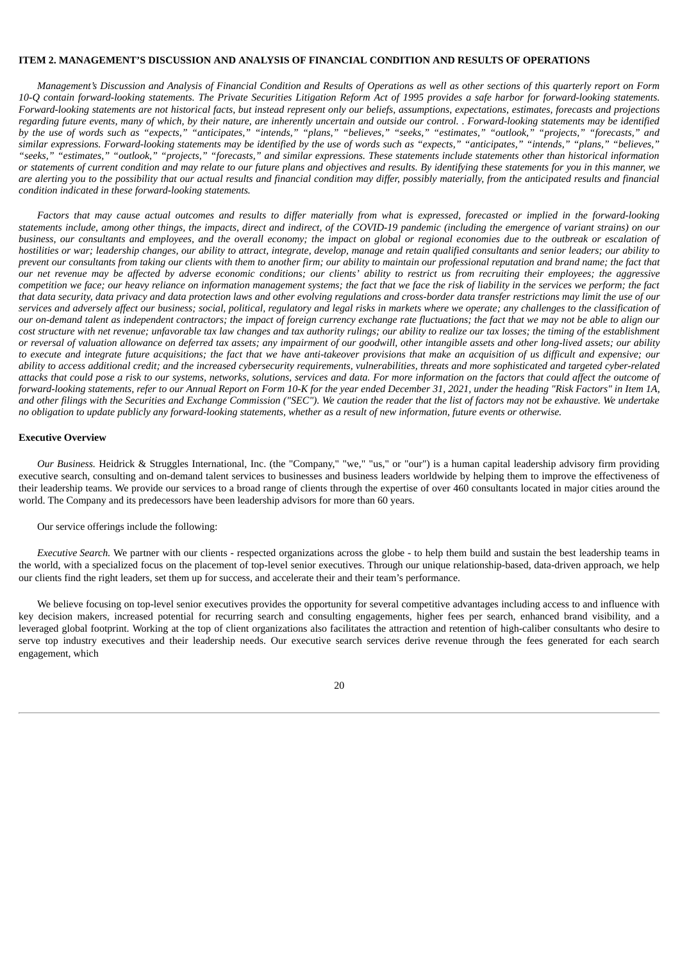### **ITEM 2. MANAGEMENT'S DISCUSSION AND ANALYSIS OF FINANCIAL CONDITION AND RESULTS OF OPERATIONS**

Management's Discussion and Analysis of Financial Condition and Results of Operations as well as other sections of this quarterly report on Form 10-Q contain forward-looking statements. The Private Securities Litigation Reform Act of 1995 provides a safe harbor for forward-looking statements. Forward-looking statements are not historical facts, but instead represent only our beliefs, assumptions, expectations, estimates, forecasts and projections regarding future events, many of which, by their nature, are inherently uncertain and outside our control. . Forward-looking statements may be identified by the use of words such as "expects," "anticipates," "intends," "plans," "believes," "seeks," "estimates," "outlook," "projects," "forecasts," and similar expressions. Forward-looking statements may be identified by the use of words such as "expects," "anticipates," "intends," "plans," "believes," "seeks," "estimates," "outlook," "projects," "forecasts," and similar expressions. These statements include statements other than historical information or statements of current condition and may relate to our future plans and objectives and results. By identifying these statements for you in this manner, we are alerting you to the possibility that our actual results and financial condition may differ, possibly materially, from the anticipated results and financial *condition indicated in these forward-looking statements.*

Factors that may cause actual outcomes and results to differ materially from what is expressed, forecasted or implied in the forward-looking statements include, among other things, the impacts, direct and indirect, of the COVID-19 pandemic (including the emergence of variant strains) on our business, our consultants and employees, and the overall economy; the impact on global or regional economies due to the outbreak or escalation of hostilities or war; leadership changes, our ability to attract, integrate, develop, manage and retain qualified consultants and senior leaders; our ability to prevent our consultants from taking our clients with them to another firm; our ability to maintain our professional reputation and brand name; the fact that our net revenue may be affected by adverse economic conditions; our clients' ability to restrict us from recruiting their employees; the aggressive competition we face; our heavy reliance on information management systems; the fact that we face the risk of liability in the services we perform; the fact that data security, data privacy and data protection laws and other evolving regulations and cross-border data transfer restrictions may limit the use of our services and adversely affect our business; social, political, requlatory and legal risks in markets where we operate; any challenges to the classification of our on-demand talent as independent contractors; the impact of foreign currency exchange rate fluctuations; the fact that we may not be able to align our cost structure with net revenue; unfavorable tax law changes and tax authority rulings; our ability to realize our tax losses; the timing of the establishment or reversal of valuation allowance on deferred tax assets; any impairment of our goodwill, other intangible assets and other long-lived assets; our ability to execute and integrate future acquisitions; the fact that we have anti-takeover provisions that make an acquisition of us difficult and expensive; our ability to access additional credit; and the increased cybersecurity requirements, vulnerabilities, threats and more sophisticated and targeted cyber-related attacks that could pose a risk to our systems, networks, solutions, services and data. For more information on the factors that could affect the outcome of forward-looking statements, refer to our Annual Report on Form 10-K for the year ended December 31, 2021, under the heading "Risk Factors" in Item 1A, and other filings with the Securities and Exchange Commission ("SEC"). We caution the reader that the list of factors may not be exhaustive. We undertake no obligation to update publicly any forward-looking statements, whether as a result of new information, future events or otherwise.

#### **Executive Overview**

*Our Business.* Heidrick & Struggles International, Inc. (the "Company," "we," "us," or "our") is a human capital leadership advisory firm providing executive search, consulting and on-demand talent services to businesses and business leaders worldwide by helping them to improve the effectiveness of their leadership teams. We provide our services to a broad range of clients through the expertise of over 460 consultants located in major cities around the world. The Company and its predecessors have been leadership advisors for more than 60 years.

### Our service offerings include the following:

*Executive Search.* We partner with our clients - respected organizations across the globe - to help them build and sustain the best leadership teams in the world, with a specialized focus on the placement of top-level senior executives. Through our unique relationship-based, data-driven approach, we help our clients find the right leaders, set them up for success, and accelerate their and their team's performance.

We believe focusing on top-level senior executives provides the opportunity for several competitive advantages including access to and influence with key decision makers, increased potential for recurring search and consulting engagements, higher fees per search, enhanced brand visibility, and a leveraged global footprint. Working at the top of client organizations also facilitates the attraction and retention of high-caliber consultants who desire to serve top industry executives and their leadership needs. Our executive search services derive revenue through the fees generated for each search engagement, which

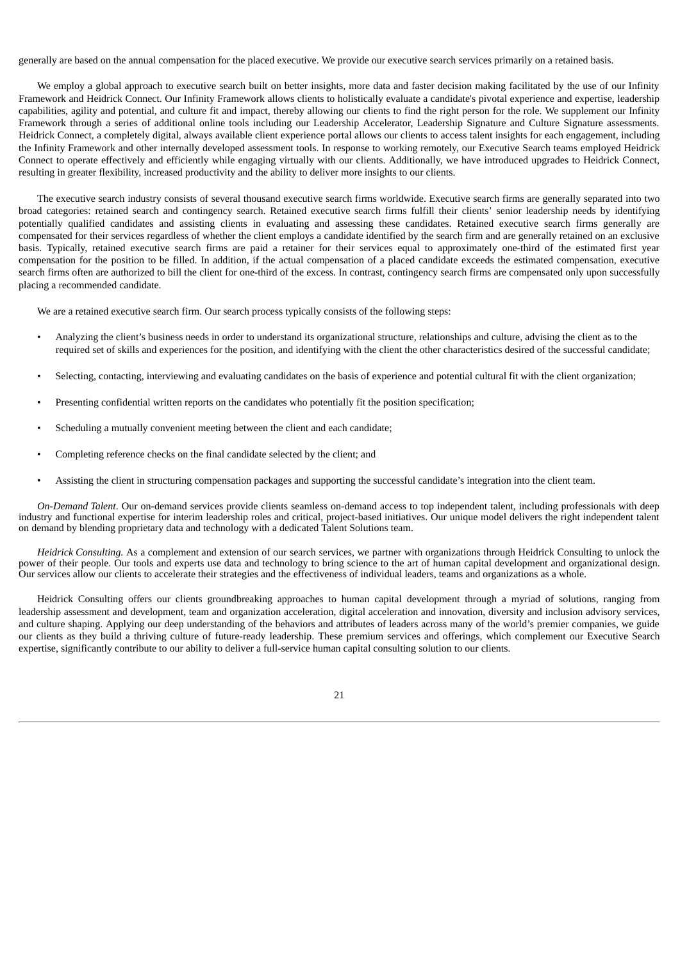generally are based on the annual compensation for the placed executive. We provide our executive search services primarily on a retained basis.

We employ a global approach to executive search built on better insights, more data and faster decision making facilitated by the use of our Infinity Framework and Heidrick Connect. Our Infinity Framework allows clients to holistically evaluate a candidate's pivotal experience and expertise, leadership capabilities, agility and potential, and culture fit and impact, thereby allowing our clients to find the right person for the role. We supplement our Infinity Framework through a series of additional online tools including our Leadership Accelerator, Leadership Signature and Culture Signature assessments. Heidrick Connect, a completely digital, always available client experience portal allows our clients to access talent insights for each engagement, including the Infinity Framework and other internally developed assessment tools. In response to working remotely, our Executive Search teams employed Heidrick Connect to operate effectively and efficiently while engaging virtually with our clients. Additionally, we have introduced upgrades to Heidrick Connect, resulting in greater flexibility, increased productivity and the ability to deliver more insights to our clients.

The executive search industry consists of several thousand executive search firms worldwide. Executive search firms are generally separated into two broad categories: retained search and contingency search. Retained executive search firms fulfill their clients' senior leadership needs by identifying potentially qualified candidates and assisting clients in evaluating and assessing these candidates. Retained executive search firms generally are compensated for their services regardless of whether the client employs a candidate identified by the search firm and are generally retained on an exclusive basis. Typically, retained executive search firms are paid a retainer for their services equal to approximately one-third of the estimated first year compensation for the position to be filled. In addition, if the actual compensation of a placed candidate exceeds the estimated compensation, executive search firms often are authorized to bill the client for one-third of the excess. In contrast, contingency search firms are compensated only upon successfully placing a recommended candidate.

We are a retained executive search firm. Our search process typically consists of the following steps:

- Analyzing the client's business needs in order to understand its organizational structure, relationships and culture, advising the client as to the required set of skills and experiences for the position, and identifying with the client the other characteristics desired of the successful candidate;
- Selecting, contacting, interviewing and evaluating candidates on the basis of experience and potential cultural fit with the client organization;
- Presenting confidential written reports on the candidates who potentially fit the position specification;
- Scheduling a mutually convenient meeting between the client and each candidate;
- Completing reference checks on the final candidate selected by the client; and
- Assisting the client in structuring compensation packages and supporting the successful candidate's integration into the client team.

*On-Demand Talent*. Our on-demand services provide clients seamless on-demand access to top independent talent, including professionals with deep industry and functional expertise for interim leadership roles and critical, project-based initiatives. Our unique model delivers the right independent talent on demand by blending proprietary data and technology with a dedicated Talent Solutions team.

*Heidrick Consulting.* As a complement and extension of our search services, we partner with organizations through Heidrick Consulting to unlock the power of their people. Our tools and experts use data and technology to bring science to the art of human capital development and organizational design. Our services allow our clients to accelerate their strategies and the effectiveness of individual leaders, teams and organizations as a whole.

Heidrick Consulting offers our clients groundbreaking approaches to human capital development through a myriad of solutions, ranging from leadership assessment and development, team and organization acceleration, digital acceleration and innovation, diversity and inclusion advisory services, and culture shaping. Applying our deep understanding of the behaviors and attributes of leaders across many of the world's premier companies, we guide our clients as they build a thriving culture of future-ready leadership. These premium services and offerings, which complement our Executive Search expertise, significantly contribute to our ability to deliver a full-service human capital consulting solution to our clients.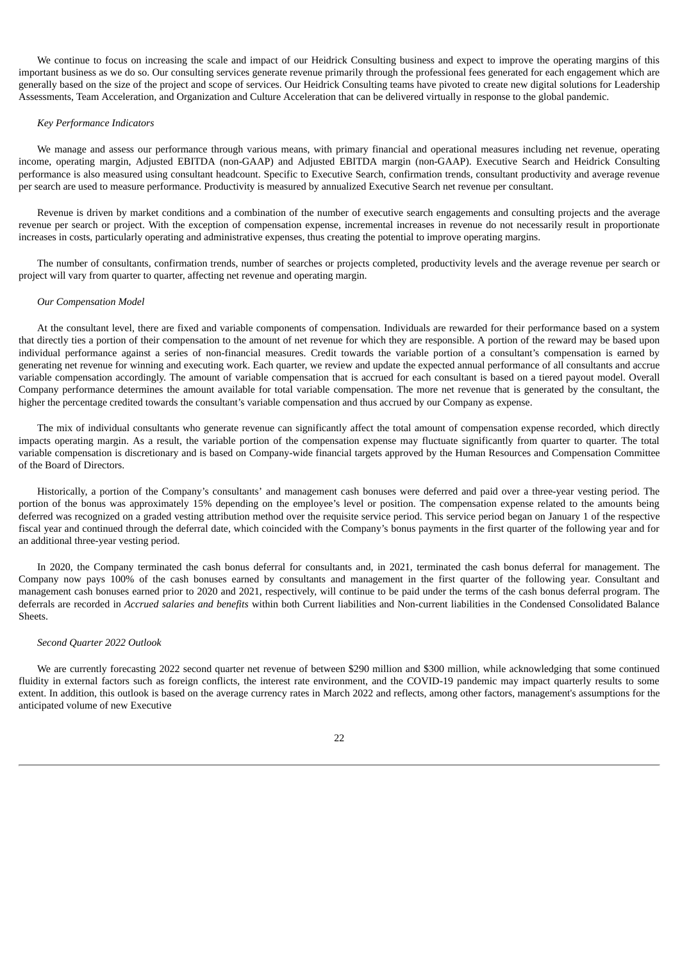We continue to focus on increasing the scale and impact of our Heidrick Consulting business and expect to improve the operating margins of this important business as we do so. Our consulting services generate revenue primarily through the professional fees generated for each engagement which are generally based on the size of the project and scope of services. Our Heidrick Consulting teams have pivoted to create new digital solutions for Leadership Assessments, Team Acceleration, and Organization and Culture Acceleration that can be delivered virtually in response to the global pandemic.

#### *Key Performance Indicators*

We manage and assess our performance through various means, with primary financial and operational measures including net revenue, operating income, operating margin, Adjusted EBITDA (non-GAAP) and Adjusted EBITDA margin (non-GAAP). Executive Search and Heidrick Consulting performance is also measured using consultant headcount. Specific to Executive Search, confirmation trends, consultant productivity and average revenue per search are used to measure performance. Productivity is measured by annualized Executive Search net revenue per consultant.

Revenue is driven by market conditions and a combination of the number of executive search engagements and consulting projects and the average revenue per search or project. With the exception of compensation expense, incremental increases in revenue do not necessarily result in proportionate increases in costs, particularly operating and administrative expenses, thus creating the potential to improve operating margins.

The number of consultants, confirmation trends, number of searches or projects completed, productivity levels and the average revenue per search or project will vary from quarter to quarter, affecting net revenue and operating margin.

#### *Our Compensation Model*

At the consultant level, there are fixed and variable components of compensation. Individuals are rewarded for their performance based on a system that directly ties a portion of their compensation to the amount of net revenue for which they are responsible. A portion of the reward may be based upon individual performance against a series of non-financial measures. Credit towards the variable portion of a consultant's compensation is earned by generating net revenue for winning and executing work. Each quarter, we review and update the expected annual performance of all consultants and accrue variable compensation accordingly. The amount of variable compensation that is accrued for each consultant is based on a tiered payout model. Overall Company performance determines the amount available for total variable compensation. The more net revenue that is generated by the consultant, the higher the percentage credited towards the consultant's variable compensation and thus accrued by our Company as expense.

The mix of individual consultants who generate revenue can significantly affect the total amount of compensation expense recorded, which directly impacts operating margin. As a result, the variable portion of the compensation expense may fluctuate significantly from quarter to quarter. The total variable compensation is discretionary and is based on Company-wide financial targets approved by the Human Resources and Compensation Committee of the Board of Directors.

Historically, a portion of the Company's consultants' and management cash bonuses were deferred and paid over a three-year vesting period. The portion of the bonus was approximately 15% depending on the employee's level or position. The compensation expense related to the amounts being deferred was recognized on a graded vesting attribution method over the requisite service period. This service period began on January 1 of the respective fiscal year and continued through the deferral date, which coincided with the Company's bonus payments in the first quarter of the following year and for an additional three-year vesting period.

In 2020, the Company terminated the cash bonus deferral for consultants and, in 2021, terminated the cash bonus deferral for management. The Company now pays 100% of the cash bonuses earned by consultants and management in the first quarter of the following year. Consultant and management cash bonuses earned prior to 2020 and 2021, respectively, will continue to be paid under the terms of the cash bonus deferral program. The deferrals are recorded in *Accrued salaries and benefits* within both Current liabilities and Non-current liabilities in the Condensed Consolidated Balance **Sheets** 

#### *Second Quarter 2022 Outlook*

We are currently forecasting 2022 second quarter net revenue of between \$290 million and \$300 million, while acknowledging that some continued fluidity in external factors such as foreign conflicts, the interest rate environment, and the COVID-19 pandemic may impact quarterly results to some extent. In addition, this outlook is based on the average currency rates in March 2022 and reflects, among other factors, management's assumptions for the anticipated volume of new Executive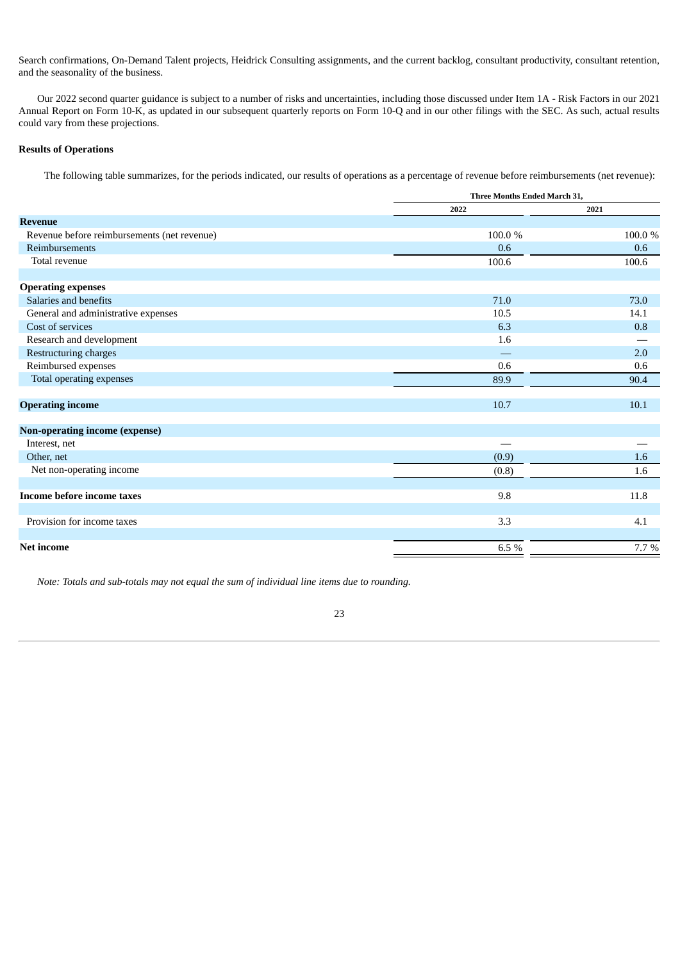Search confirmations, On-Demand Talent projects, Heidrick Consulting assignments, and the current backlog, consultant productivity, consultant retention, and the seasonality of the business.

Our 2022 second quarter guidance is subject to a number of risks and uncertainties, including those discussed under Item 1A - Risk Factors in our 2021 Annual Report on Form 10-K, as updated in our subsequent quarterly reports on Form 10-Q and in our other filings with the SEC. As such, actual results could vary from these projections.

### **Results of Operations**

The following table summarizes, for the periods indicated, our results of operations as a percentage of revenue before reimbursements (net revenue):

|                                             |        | Three Months Ended March 31, |  |  |  |
|---------------------------------------------|--------|------------------------------|--|--|--|
|                                             | 2022   | 2021                         |  |  |  |
| <b>Revenue</b>                              |        |                              |  |  |  |
| Revenue before reimbursements (net revenue) | 100.0% | 100.0%                       |  |  |  |
| Reimbursements                              | 0.6    | 0.6                          |  |  |  |
| Total revenue                               | 100.6  | 100.6                        |  |  |  |
|                                             |        |                              |  |  |  |
| <b>Operating expenses</b>                   |        |                              |  |  |  |
| Salaries and benefits                       | 71.0   | 73.0                         |  |  |  |
| General and administrative expenses         | 10.5   | 14.1                         |  |  |  |
| Cost of services                            | 6.3    | 0.8                          |  |  |  |
| Research and development                    | 1.6    |                              |  |  |  |
| Restructuring charges                       |        | 2.0                          |  |  |  |
| Reimbursed expenses                         | 0.6    | 0.6                          |  |  |  |
| Total operating expenses                    | 89.9   | 90.4                         |  |  |  |
| <b>Operating income</b>                     | 10.7   | 10.1                         |  |  |  |
| Non-operating income (expense)              |        |                              |  |  |  |
| Interest, net                               |        |                              |  |  |  |
| Other, net                                  | (0.9)  | 1.6                          |  |  |  |
| Net non-operating income                    | (0.8)  | 1.6                          |  |  |  |
| Income before income taxes                  | 9.8    | 11.8                         |  |  |  |
| Provision for income taxes                  | 3.3    | 4.1                          |  |  |  |
| <b>Net income</b>                           | 6.5%   | 7.7 %                        |  |  |  |

*Note: Totals and sub-totals may not equal the sum of individual line items due to rounding.*

23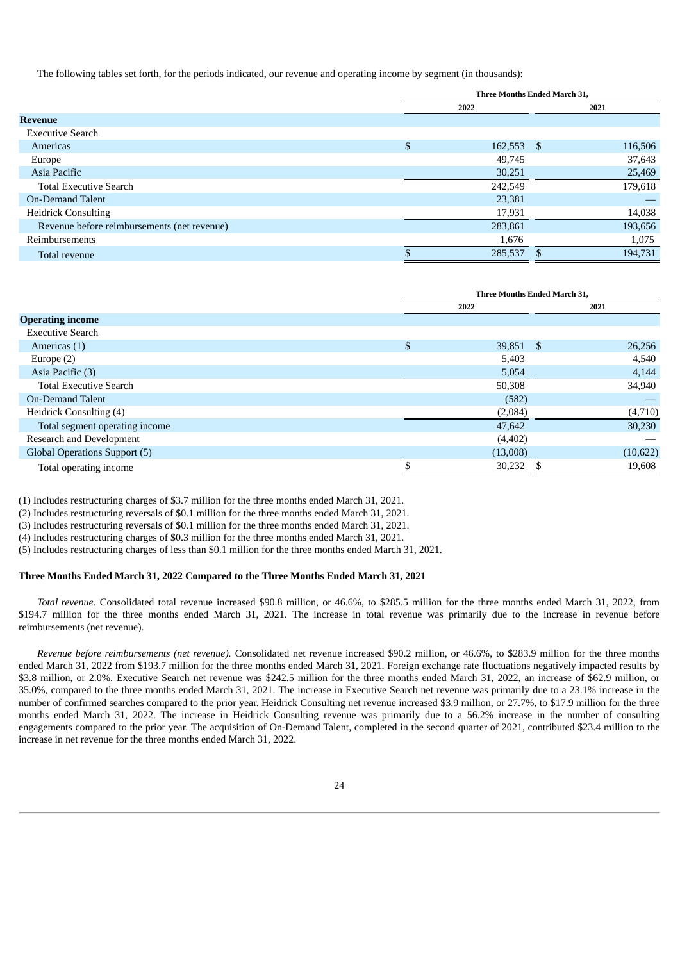The following tables set forth, for the periods indicated, our revenue and operating income by segment (in thousands):

|                                             | Three Months Ended March 31, |  |         |  |
|---------------------------------------------|------------------------------|--|---------|--|
|                                             | 2022                         |  | 2021    |  |
| <b>Revenue</b>                              |                              |  |         |  |
| <b>Executive Search</b>                     |                              |  |         |  |
| Americas                                    | \$<br>162,553 \$             |  | 116,506 |  |
| Europe                                      | 49.745                       |  | 37,643  |  |
| Asia Pacific                                | 30,251                       |  | 25,469  |  |
| <b>Total Executive Search</b>               | 242,549                      |  | 179,618 |  |
| <b>On-Demand Talent</b>                     | 23,381                       |  |         |  |
| <b>Heidrick Consulting</b>                  | 17,931                       |  | 14,038  |  |
| Revenue before reimbursements (net revenue) | 283,861                      |  | 193,656 |  |
| Reimbursements                              | 1,676                        |  | 1,075   |  |
| Total revenue                               | 285,537                      |  | 194,731 |  |

|                                | <b>Three Months Ended March 31,</b> |             |  |          |
|--------------------------------|-------------------------------------|-------------|--|----------|
|                                |                                     | 2022        |  | 2021     |
| <b>Operating income</b>        |                                     |             |  |          |
| <b>Executive Search</b>        |                                     |             |  |          |
| Americas (1)                   | \$                                  | $39,851$ \$ |  | 26,256   |
| Europe $(2)$                   |                                     | 5,403       |  | 4,540    |
| Asia Pacific (3)               |                                     | 5,054       |  | 4,144    |
| <b>Total Executive Search</b>  |                                     | 50,308      |  | 34,940   |
| <b>On-Demand Talent</b>        |                                     | (582)       |  |          |
| Heidrick Consulting (4)        |                                     | (2,084)     |  | (4,710)  |
| Total segment operating income |                                     | 47,642      |  | 30,230   |
| Research and Development       |                                     | (4, 402)    |  |          |
| Global Operations Support (5)  |                                     | (13,008)    |  | (10,622) |
| Total operating income         |                                     | 30,232      |  | 19,608   |

(1) Includes restructuring charges of \$3.7 million for the three months ended March 31, 2021.

(2) Includes restructuring reversals of \$0.1 million for the three months ended March 31, 2021.

(3) Includes restructuring reversals of \$0.1 million for the three months ended March 31, 2021.

(4) Includes restructuring charges of \$0.3 million for the three months ended March 31, 2021.

(5) Includes restructuring charges of less than \$0.1 million for the three months ended March 31, 2021.

### **Three Months Ended March 31, 2022 Compared to the Three Months Ended March 31, 2021**

*Total revenue.* Consolidated total revenue increased \$90.8 million, or 46.6%, to \$285.5 million for the three months ended March 31, 2022, from \$194.7 million for the three months ended March 31, 2021. The increase in total revenue was primarily due to the increase in revenue before reimbursements (net revenue).

*Revenue before reimbursements (net revenue).* Consolidated net revenue increased \$90.2 million, or 46.6%, to \$283.9 million for the three months ended March 31, 2022 from \$193.7 million for the three months ended March 31, 2021. Foreign exchange rate fluctuations negatively impacted results by \$3.8 million, or 2.0%. Executive Search net revenue was \$242.5 million for the three months ended March 31, 2022, an increase of \$62.9 million, or 35.0%, compared to the three months ended March 31, 2021. The increase in Executive Search net revenue was primarily due to a 23.1% increase in the number of confirmed searches compared to the prior year. Heidrick Consulting net revenue increased \$3.9 million, or 27.7%, to \$17.9 million for the three months ended March 31, 2022. The increase in Heidrick Consulting revenue was primarily due to a 56.2% increase in the number of consulting engagements compared to the prior year. The acquisition of On-Demand Talent, completed in the second quarter of 2021, contributed \$23.4 million to the increase in net revenue for the three months ended March 31, 2022.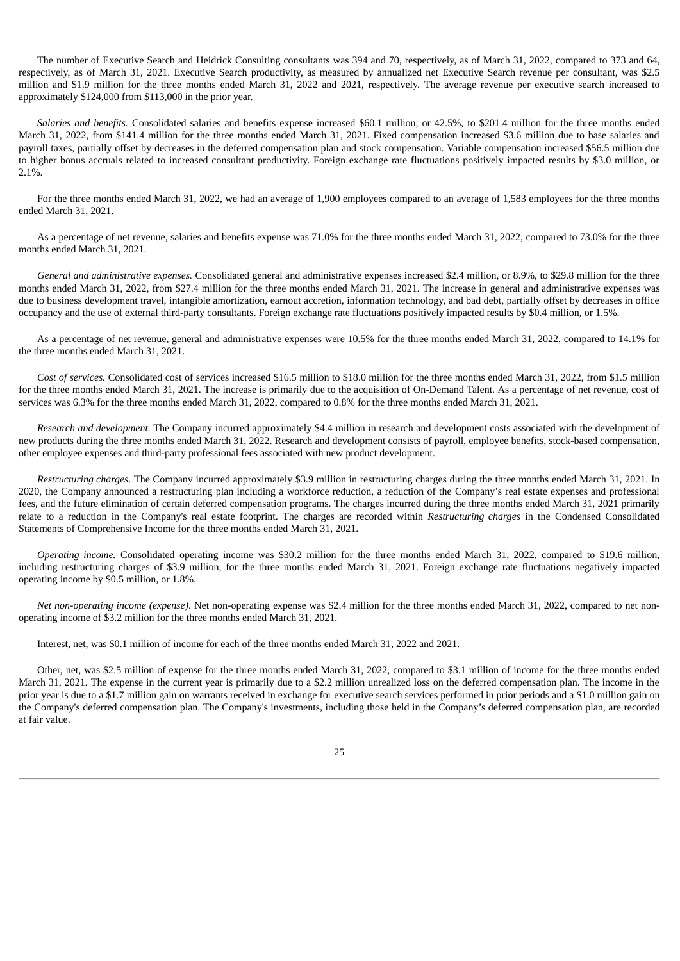The number of Executive Search and Heidrick Consulting consultants was 394 and 70, respectively, as of March 31, 2022, compared to 373 and 64, respectively, as of March 31, 2021. Executive Search productivity, as measured by annualized net Executive Search revenue per consultant, was \$2.5 million and \$1.9 million for the three months ended March 31, 2022 and 2021, respectively. The average revenue per executive search increased to approximately \$124,000 from \$113,000 in the prior year.

*Salaries and benefits.* Consolidated salaries and benefits expense increased \$60.1 million, or 42.5%, to \$201.4 million for the three months ended March 31, 2022, from \$141.4 million for the three months ended March 31, 2021. Fixed compensation increased \$3.6 million due to base salaries and payroll taxes, partially offset by decreases in the deferred compensation plan and stock compensation. Variable compensation increased \$56.5 million due to higher bonus accruals related to increased consultant productivity. Foreign exchange rate fluctuations positively impacted results by \$3.0 million, or 2.1%.

For the three months ended March 31, 2022, we had an average of 1,900 employees compared to an average of 1,583 employees for the three months ended March 31, 2021.

As a percentage of net revenue, salaries and benefits expense was 71.0% for the three months ended March 31, 2022, compared to 73.0% for the three months ended March 31, 2021.

*General and administrative expenses.* Consolidated general and administrative expenses increased \$2.4 million, or 8.9%, to \$29.8 million for the three months ended March 31, 2022, from \$27.4 million for the three months ended March 31, 2021. The increase in general and administrative expenses was due to business development travel, intangible amortization, earnout accretion, information technology, and bad debt, partially offset by decreases in office occupancy and the use of external third-party consultants. Foreign exchange rate fluctuations positively impacted results by \$0.4 million, or 1.5%.

As a percentage of net revenue, general and administrative expenses were 10.5% for the three months ended March 31, 2022, compared to 14.1% for the three months ended March 31, 2021.

*Cost of services.* Consolidated cost of services increased \$16.5 million to \$18.0 million for the three months ended March 31, 2022, from \$1.5 million for the three months ended March 31, 2021. The increase is primarily due to the acquisition of On-Demand Talent. As a percentage of net revenue, cost of services was 6.3% for the three months ended March 31, 2022, compared to 0.8% for the three months ended March 31, 2021.

*Research and development.* The Company incurred approximately \$4.4 million in research and development costs associated with the development of new products during the three months ended March 31, 2022. Research and development consists of payroll, employee benefits, stock-based compensation, other employee expenses and third-party professional fees associated with new product development.

*Restructuring charges*. The Company incurred approximately \$3.9 million in restructuring charges during the three months ended March 31, 2021. In 2020, the Company announced a restructuring plan including a workforce reduction, a reduction of the Company's real estate expenses and professional fees, and the future elimination of certain deferred compensation programs. The charges incurred during the three months ended March 31, 2021 primarily relate to a reduction in the Company's real estate footprint. The charges are recorded within *Restructuring charges* in the Condensed Consolidated Statements of Comprehensive Income for the three months ended March 31, 2021.

*Operating income.* Consolidated operating income was \$30.2 million for the three months ended March 31, 2022, compared to \$19.6 million, including restructuring charges of \$3.9 million, for the three months ended March 31, 2021. Foreign exchange rate fluctuations negatively impacted operating income by \$0.5 million, or 1.8%.

*Net non-operating income (expense)*. Net non-operating expense was \$2.4 million for the three months ended March 31, 2022, compared to net nonoperating income of \$3.2 million for the three months ended March 31, 2021.

Interest, net, was \$0.1 million of income for each of the three months ended March 31, 2022 and 2021.

Other, net, was \$2.5 million of expense for the three months ended March 31, 2022, compared to \$3.1 million of income for the three months ended March 31, 2021. The expense in the current year is primarily due to a \$2.2 million unrealized loss on the deferred compensation plan. The income in the prior year is due to a \$1.7 million gain on warrants received in exchange for executive search services performed in prior periods and a \$1.0 million gain on the Company's deferred compensation plan. The Company's investments, including those held in the Company's deferred compensation plan, are recorded at fair value.

25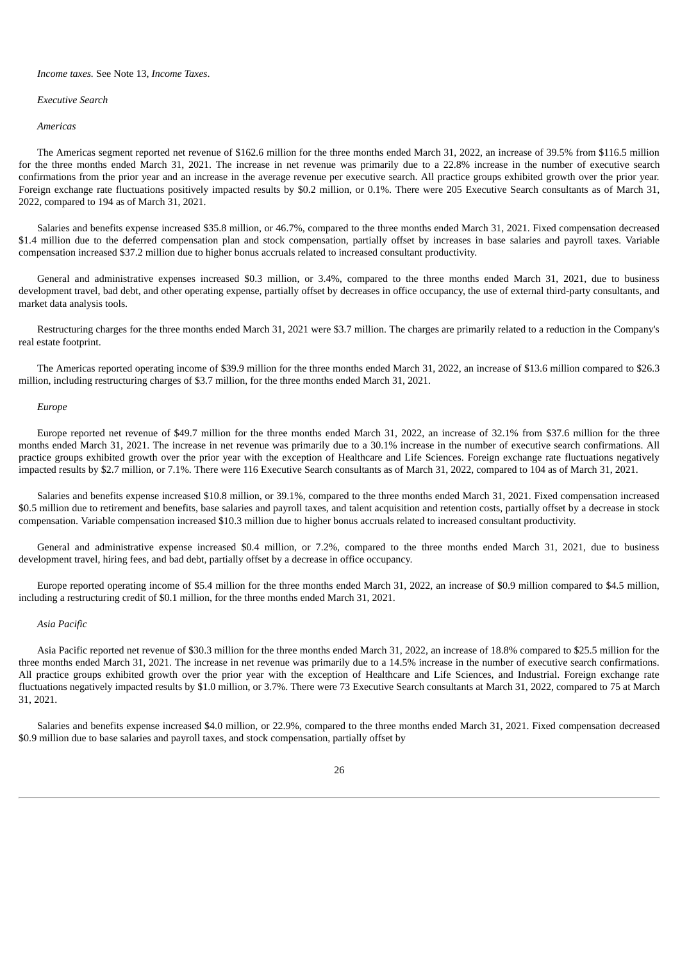#### *Income taxes.* See Note 13, *Income Taxes*.

### *Executive Search*

#### *Americas*

The Americas segment reported net revenue of \$162.6 million for the three months ended March 31, 2022, an increase of 39.5% from \$116.5 million for the three months ended March 31, 2021. The increase in net revenue was primarily due to a 22.8% increase in the number of executive search confirmations from the prior year and an increase in the average revenue per executive search. All practice groups exhibited growth over the prior year. Foreign exchange rate fluctuations positively impacted results by \$0.2 million, or 0.1%. There were 205 Executive Search consultants as of March 31, 2022, compared to 194 as of March 31, 2021.

Salaries and benefits expense increased \$35.8 million, or 46.7%, compared to the three months ended March 31, 2021. Fixed compensation decreased \$1.4 million due to the deferred compensation plan and stock compensation, partially offset by increases in base salaries and payroll taxes. Variable compensation increased \$37.2 million due to higher bonus accruals related to increased consultant productivity.

General and administrative expenses increased \$0.3 million, or 3.4%, compared to the three months ended March 31, 2021, due to business development travel, bad debt, and other operating expense, partially offset by decreases in office occupancy, the use of external third-party consultants, and market data analysis tools.

Restructuring charges for the three months ended March 31, 2021 were \$3.7 million. The charges are primarily related to a reduction in the Company's real estate footprint.

The Americas reported operating income of \$39.9 million for the three months ended March 31, 2022, an increase of \$13.6 million compared to \$26.3 million, including restructuring charges of \$3.7 million, for the three months ended March 31, 2021.

### *Europe*

Europe reported net revenue of \$49.7 million for the three months ended March 31, 2022, an increase of 32.1% from \$37.6 million for the three months ended March 31, 2021. The increase in net revenue was primarily due to a 30.1% increase in the number of executive search confirmations. All practice groups exhibited growth over the prior year with the exception of Healthcare and Life Sciences. Foreign exchange rate fluctuations negatively impacted results by \$2.7 million, or 7.1%. There were 116 Executive Search consultants as of March 31, 2022, compared to 104 as of March 31, 2021.

Salaries and benefits expense increased \$10.8 million, or 39.1%, compared to the three months ended March 31, 2021. Fixed compensation increased \$0.5 million due to retirement and benefits, base salaries and payroll taxes, and talent acquisition and retention costs, partially offset by a decrease in stock compensation. Variable compensation increased \$10.3 million due to higher bonus accruals related to increased consultant productivity.

General and administrative expense increased \$0.4 million, or 7.2%, compared to the three months ended March 31, 2021, due to business development travel, hiring fees, and bad debt, partially offset by a decrease in office occupancy.

Europe reported operating income of \$5.4 million for the three months ended March 31, 2022, an increase of \$0.9 million compared to \$4.5 million, including a restructuring credit of \$0.1 million, for the three months ended March 31, 2021.

### *Asia Pacific*

Asia Pacific reported net revenue of \$30.3 million for the three months ended March 31, 2022, an increase of 18.8% compared to \$25.5 million for the three months ended March 31, 2021. The increase in net revenue was primarily due to a 14.5% increase in the number of executive search confirmations. All practice groups exhibited growth over the prior year with the exception of Healthcare and Life Sciences, and Industrial. Foreign exchange rate fluctuations negatively impacted results by \$1.0 million, or 3.7%. There were 73 Executive Search consultants at March 31, 2022, compared to 75 at March 31, 2021.

Salaries and benefits expense increased \$4.0 million, or 22.9%, compared to the three months ended March 31, 2021. Fixed compensation decreased \$0.9 million due to base salaries and payroll taxes, and stock compensation, partially offset by

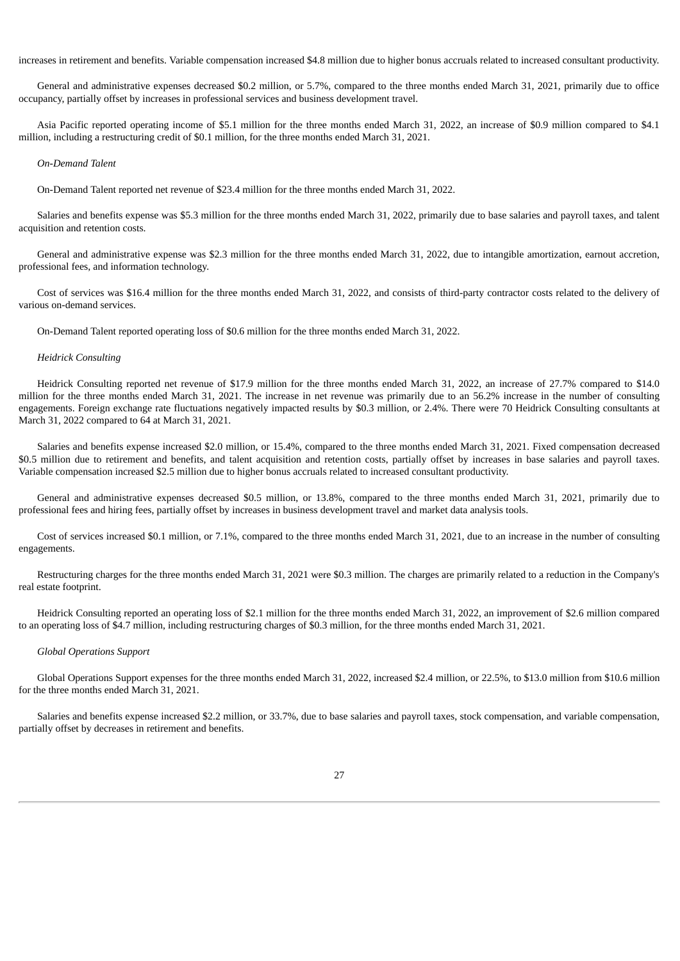increases in retirement and benefits. Variable compensation increased \$4.8 million due to higher bonus accruals related to increased consultant productivity.

General and administrative expenses decreased \$0.2 million, or 5.7%, compared to the three months ended March 31, 2021, primarily due to office occupancy, partially offset by increases in professional services and business development travel.

Asia Pacific reported operating income of \$5.1 million for the three months ended March 31, 2022, an increase of \$0.9 million compared to \$4.1 million, including a restructuring credit of \$0.1 million, for the three months ended March 31, 2021.

#### *On-Demand Talent*

On-Demand Talent reported net revenue of \$23.4 million for the three months ended March 31, 2022.

Salaries and benefits expense was \$5.3 million for the three months ended March 31, 2022, primarily due to base salaries and payroll taxes, and talent acquisition and retention costs.

General and administrative expense was \$2.3 million for the three months ended March 31, 2022, due to intangible amortization, earnout accretion, professional fees, and information technology.

Cost of services was \$16.4 million for the three months ended March 31, 2022, and consists of third-party contractor costs related to the delivery of various on-demand services.

On-Demand Talent reported operating loss of \$0.6 million for the three months ended March 31, 2022.

#### *Heidrick Consulting*

Heidrick Consulting reported net revenue of \$17.9 million for the three months ended March 31, 2022, an increase of 27.7% compared to \$14.0 million for the three months ended March 31, 2021. The increase in net revenue was primarily due to an 56.2% increase in the number of consulting engagements. Foreign exchange rate fluctuations negatively impacted results by \$0.3 million, or 2.4%. There were 70 Heidrick Consulting consultants at March 31, 2022 compared to 64 at March 31, 2021.

Salaries and benefits expense increased \$2.0 million, or 15.4%, compared to the three months ended March 31, 2021. Fixed compensation decreased \$0.5 million due to retirement and benefits, and talent acquisition and retention costs, partially offset by increases in base salaries and payroll taxes. Variable compensation increased \$2.5 million due to higher bonus accruals related to increased consultant productivity.

General and administrative expenses decreased \$0.5 million, or 13.8%, compared to the three months ended March 31, 2021, primarily due to professional fees and hiring fees, partially offset by increases in business development travel and market data analysis tools.

Cost of services increased \$0.1 million, or 7.1%, compared to the three months ended March 31, 2021, due to an increase in the number of consulting engagements.

Restructuring charges for the three months ended March 31, 2021 were \$0.3 million. The charges are primarily related to a reduction in the Company's real estate footprint.

Heidrick Consulting reported an operating loss of \$2.1 million for the three months ended March 31, 2022, an improvement of \$2.6 million compared to an operating loss of \$4.7 million, including restructuring charges of \$0.3 million, for the three months ended March 31, 2021.

#### *Global Operations Support*

Global Operations Support expenses for the three months ended March 31, 2022, increased \$2.4 million, or 22.5%, to \$13.0 million from \$10.6 million for the three months ended March 31, 2021.

Salaries and benefits expense increased \$2.2 million, or 33.7%, due to base salaries and payroll taxes, stock compensation, and variable compensation, partially offset by decreases in retirement and benefits.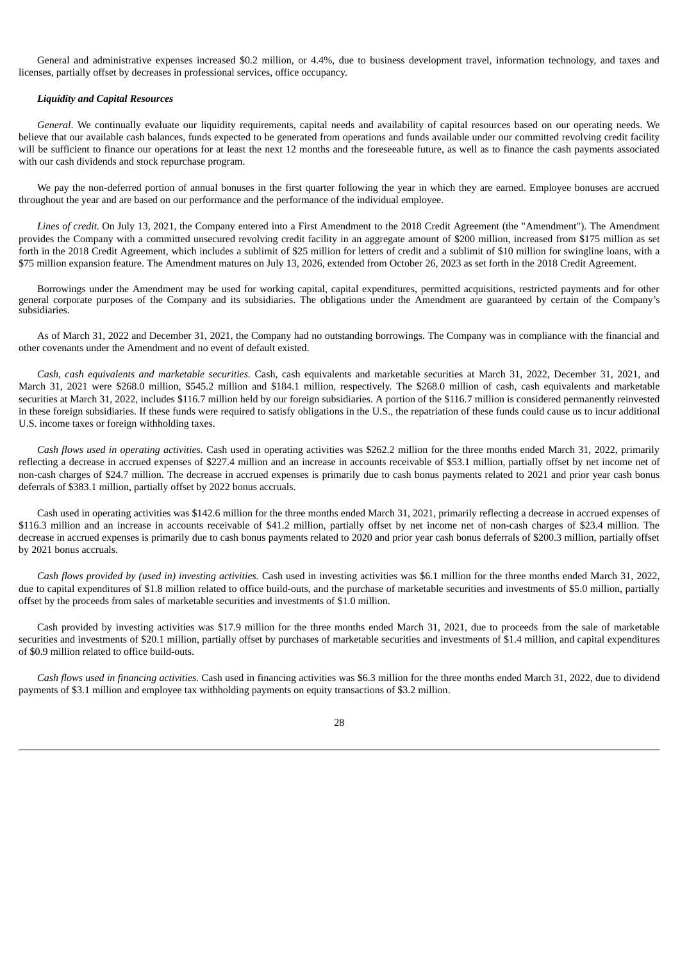General and administrative expenses increased \$0.2 million, or 4.4%, due to business development travel, information technology, and taxes and licenses, partially offset by decreases in professional services, office occupancy.

#### *Liquidity and Capital Resources*

*General*. We continually evaluate our liquidity requirements, capital needs and availability of capital resources based on our operating needs. We believe that our available cash balances, funds expected to be generated from operations and funds available under our committed revolving credit facility will be sufficient to finance our operations for at least the next 12 months and the foreseeable future, as well as to finance the cash payments associated with our cash dividends and stock repurchase program.

We pay the non-deferred portion of annual bonuses in the first quarter following the year in which they are earned. Employee bonuses are accrued throughout the year and are based on our performance and the performance of the individual employee.

*Lines of credit.* On July 13, 2021, the Company entered into a First Amendment to the 2018 Credit Agreement (the "Amendment"). The Amendment provides the Company with a committed unsecured revolving credit facility in an aggregate amount of \$200 million, increased from \$175 million as set forth in the 2018 Credit Agreement, which includes a sublimit of \$25 million for letters of credit and a sublimit of \$10 million for swingline loans, with a \$75 million expansion feature. The Amendment matures on July 13, 2026, extended from October 26, 2023 as set forth in the 2018 Credit Agreement.

Borrowings under the Amendment may be used for working capital, capital expenditures, permitted acquisitions, restricted payments and for other general corporate purposes of the Company and its subsidiaries. The obligations under the Amendment are guaranteed by certain of the Company's subsidiaries.

As of March 31, 2022 and December 31, 2021, the Company had no outstanding borrowings. The Company was in compliance with the financial and other covenants under the Amendment and no event of default existed.

*Cash, cash equivalents and marketable securities.* Cash, cash equivalents and marketable securities at March 31, 2022, December 31, 2021, and March 31, 2021 were \$268.0 million, \$545.2 million and \$184.1 million, respectively. The \$268.0 million of cash, cash equivalents and marketable securities at March 31, 2022, includes \$116.7 million held by our foreign subsidiaries. A portion of the \$116.7 million is considered permanently reinvested in these foreign subsidiaries. If these funds were required to satisfy obligations in the U.S., the repatriation of these funds could cause us to incur additional U.S. income taxes or foreign withholding taxes.

*Cash flows used in operating activities.* Cash used in operating activities was \$262.2 million for the three months ended March 31, 2022, primarily reflecting a decrease in accrued expenses of \$227.4 million and an increase in accounts receivable of \$53.1 million, partially offset by net income net of non-cash charges of \$24.7 million. The decrease in accrued expenses is primarily due to cash bonus payments related to 2021 and prior year cash bonus deferrals of \$383.1 million, partially offset by 2022 bonus accruals.

Cash used in operating activities was \$142.6 million for the three months ended March 31, 2021, primarily reflecting a decrease in accrued expenses of \$116.3 million and an increase in accounts receivable of \$41.2 million, partially offset by net income net of non-cash charges of \$23.4 million. The decrease in accrued expenses is primarily due to cash bonus payments related to 2020 and prior year cash bonus deferrals of \$200.3 million, partially offset by 2021 bonus accruals.

*Cash flows provided by (used in) investing activities.* Cash used in investing activities was \$6.1 million for the three months ended March 31, 2022, due to capital expenditures of \$1.8 million related to office build-outs, and the purchase of marketable securities and investments of \$5.0 million, partially offset by the proceeds from sales of marketable securities and investments of \$1.0 million.

Cash provided by investing activities was \$17.9 million for the three months ended March 31, 2021, due to proceeds from the sale of marketable securities and investments of \$20.1 million, partially offset by purchases of marketable securities and investments of \$1.4 million, and capital expenditures of \$0.9 million related to office build-outs.

*Cash flows used in financing activities.* Cash used in financing activities was \$6.3 million for the three months ended March 31, 2022, due to dividend payments of \$3.1 million and employee tax withholding payments on equity transactions of \$3.2 million.

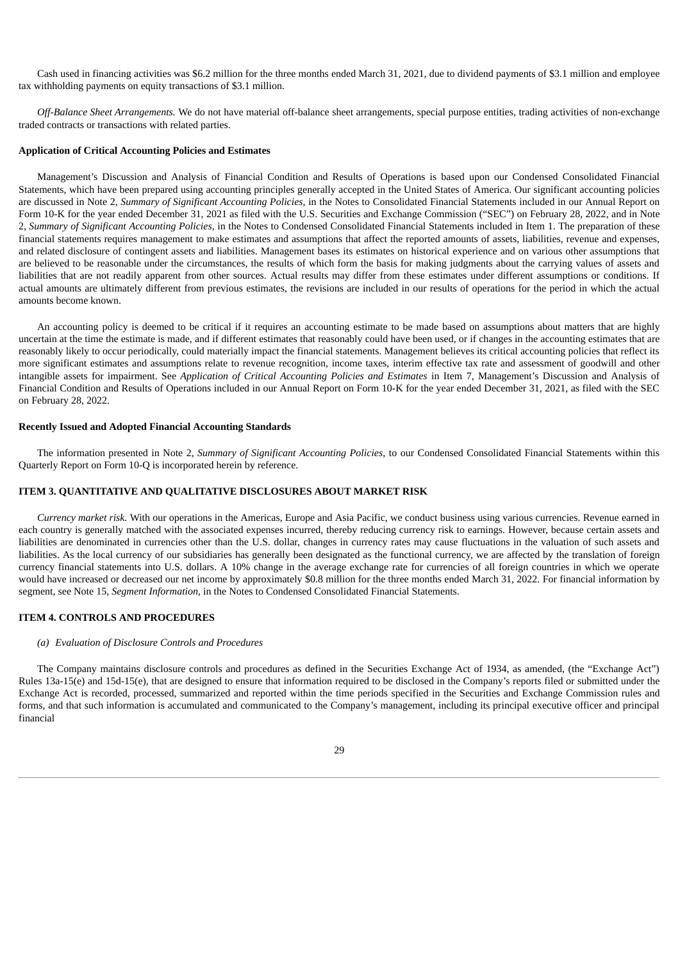Cash used in financing activities was \$6.2 million for the three months ended March 31, 2021, due to dividend payments of \$3.1 million and employee tax withholding payments on equity transactions of \$3.1 million.

*Off-Balance Sheet Arrangements.* We do not have material off-balance sheet arrangements, special purpose entities, trading activities of non-exchange traded contracts or transactions with related parties.

### **Application of Critical Accounting Policies and Estimates**

Management's Discussion and Analysis of Financial Condition and Results of Operations is based upon our Condensed Consolidated Financial Statements, which have been prepared using accounting principles generally accepted in the United States of America. Our significant accounting policies are discussed in Note 2, *Summary of Significant Accounting Policies*, in the Notes to Consolidated Financial Statements included in our Annual Report on Form 10-K for the year ended December 31, 2021 as filed with the U.S. Securities and Exchange Commission ("SEC") on February 28, 2022, and in Note 2, *Summary of Significant Accounting Policies*, in the Notes to Condensed Consolidated Financial Statements included in Item 1. The preparation of these financial statements requires management to make estimates and assumptions that affect the reported amounts of assets, liabilities, revenue and expenses, and related disclosure of contingent assets and liabilities. Management bases its estimates on historical experience and on various other assumptions that are believed to be reasonable under the circumstances, the results of which form the basis for making judgments about the carrying values of assets and liabilities that are not readily apparent from other sources. Actual results may differ from these estimates under different assumptions or conditions. If actual amounts are ultimately different from previous estimates, the revisions are included in our results of operations for the period in which the actual amounts become known.

An accounting policy is deemed to be critical if it requires an accounting estimate to be made based on assumptions about matters that are highly uncertain at the time the estimate is made, and if different estimates that reasonably could have been used, or if changes in the accounting estimates that are reasonably likely to occur periodically, could materially impact the financial statements. Management believes its critical accounting policies that reflect its more significant estimates and assumptions relate to revenue recognition, income taxes, interim effective tax rate and assessment of goodwill and other intangible assets for impairment. See *Application of Critical Accounting Policies and Estimates* in Item 7, Management's Discussion and Analysis of Financial Condition and Results of Operations included in our Annual Report on Form 10-K for the year ended December 31, 2021, as filed with the SEC on February 28, 2022.

### **Recently Issued and Adopted Financial Accounting Standards**

The information presented in Note 2, *Summary of Significant Accounting Policies*, to our Condensed Consolidated Financial Statements within this Quarterly Report on Form 10-Q is incorporated herein by reference.

### <span id="page-31-0"></span>**ITEM 3. QUANTITATIVE AND QUALITATIVE DISCLOSURES ABOUT MARKET RISK**

*Currency market risk.* With our operations in the Americas, Europe and Asia Pacific, we conduct business using various currencies. Revenue earned in each country is generally matched with the associated expenses incurred, thereby reducing currency risk to earnings. However, because certain assets and liabilities are denominated in currencies other than the U.S. dollar, changes in currency rates may cause fluctuations in the valuation of such assets and liabilities. As the local currency of our subsidiaries has generally been designated as the functional currency, we are affected by the translation of foreign currency financial statements into U.S. dollars. A 10% change in the average exchange rate for currencies of all foreign countries in which we operate would have increased or decreased our net income by approximately \$0.8 million for the three months ended March 31, 2022. For financial information by segment, see Note 15, *Segment Information*, in the Notes to Condensed Consolidated Financial Statements.

### <span id="page-31-1"></span>**ITEM 4. CONTROLS AND PROCEDURES**

### *(a) Evaluation of Disclosure Controls and Procedures*

The Company maintains disclosure controls and procedures as defined in the Securities Exchange Act of 1934, as amended, (the "Exchange Act") Rules 13a-15(e) and 15d-15(e), that are designed to ensure that information required to be disclosed in the Company's reports filed or submitted under the Exchange Act is recorded, processed, summarized and reported within the time periods specified in the Securities and Exchange Commission rules and forms, and that such information is accumulated and communicated to the Company's management, including its principal executive officer and principal financial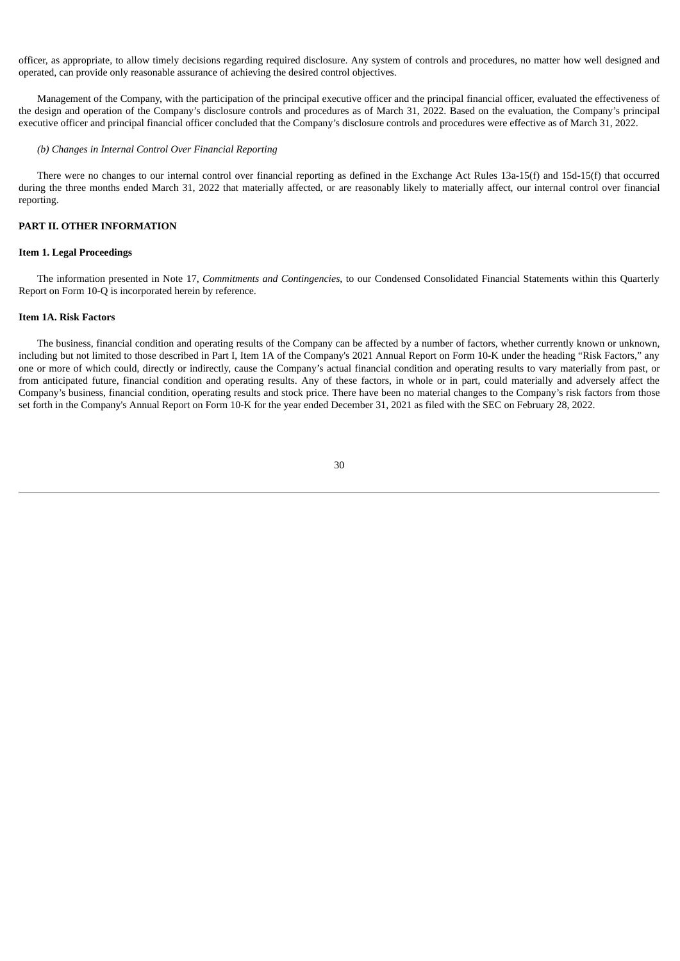officer, as appropriate, to allow timely decisions regarding required disclosure. Any system of controls and procedures, no matter how well designed and operated, can provide only reasonable assurance of achieving the desired control objectives.

Management of the Company, with the participation of the principal executive officer and the principal financial officer, evaluated the effectiveness of the design and operation of the Company's disclosure controls and procedures as of March 31, 2022. Based on the evaluation, the Company's principal executive officer and principal financial officer concluded that the Company's disclosure controls and procedures were effective as of March 31, 2022.

#### *(b) Changes in Internal Control Over Financial Reporting*

There were no changes to our internal control over financial reporting as defined in the Exchange Act Rules 13a-15(f) and 15d-15(f) that occurred during the three months ended March 31, 2022 that materially affected, or are reasonably likely to materially affect, our internal control over financial reporting.

#### <span id="page-32-0"></span>**PART II. OTHER INFORMATION**

#### <span id="page-32-1"></span>**Item 1. Legal Proceedings**

The information presented in Note 17, *Commitments and Contingencies*, to our Condensed Consolidated Financial Statements within this Quarterly Report on Form 10-Q is incorporated herein by reference.

### <span id="page-32-2"></span>**Item 1A. Risk Factors**

<span id="page-32-3"></span>The business, financial condition and operating results of the Company can be affected by a number of factors, whether currently known or unknown, including but not limited to those described in Part I, Item 1A of the Company's 2021 Annual Report on Form 10-K under the heading "Risk Factors," any one or more of which could, directly or indirectly, cause the Company's actual financial condition and operating results to vary materially from past, or from anticipated future, financial condition and operating results. Any of these factors, in whole or in part, could materially and adversely affect the Company's business, financial condition, operating results and stock price. There have been no material changes to the Company's risk factors from those set forth in the Company's Annual Report on Form 10-K for the year ended December 31, 2021 as filed with the SEC on February 28, 2022.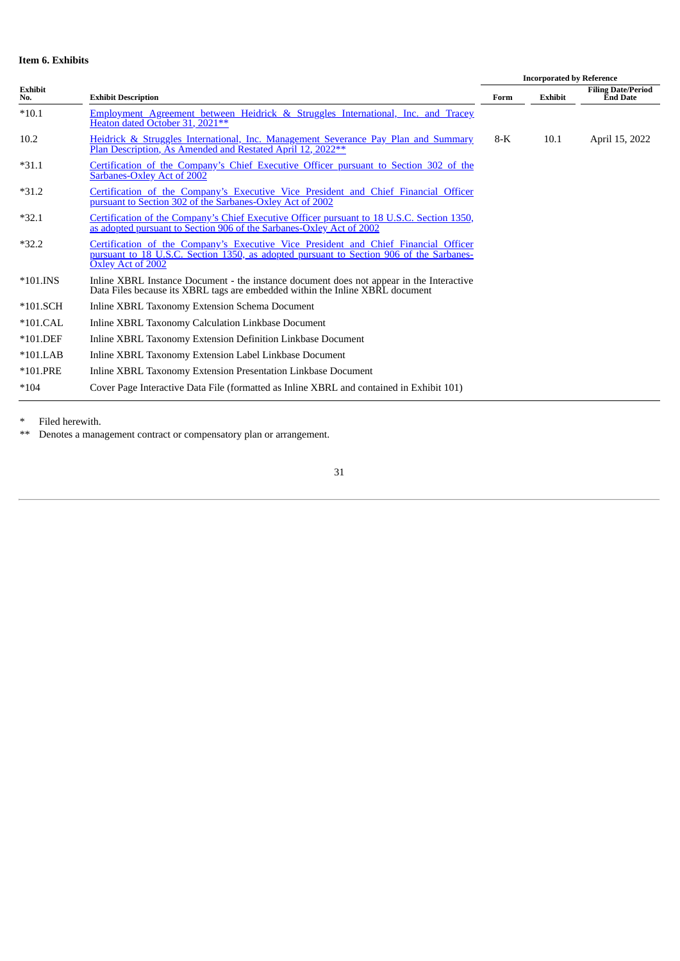## **Item 6. Exhibits**

|                       |                                                                                                                                                                                                     | <b>Incorporated by Reference</b> |                |                                              |  |  |
|-----------------------|-----------------------------------------------------------------------------------------------------------------------------------------------------------------------------------------------------|----------------------------------|----------------|----------------------------------------------|--|--|
| <b>Exhibit</b><br>No. | <b>Exhibit Description</b>                                                                                                                                                                          | Form                             | <b>Exhibit</b> | <b>Filing Date/Period</b><br><b>End Date</b> |  |  |
| $*10.1$               | <u>Employment Agreement between Heidrick &amp; Struggles International, Inc. and Tracey</u><br>Heaton dated October 31, 2021 <sup>**</sup>                                                          |                                  |                |                                              |  |  |
| 10.2                  | Heidrick & Struggles International, Inc. Management Severance Pay Plan and Summary<br>Plan Description, As Amended and Restated April 12, 2022 <sup>**</sup>                                        | $8-K$                            | 10.1           | April 15, 2022                               |  |  |
| $*31.1$               | <u>Certification of the Company's Chief Executive Officer pursuant to Section 302 of the</u><br>Sarbanes-Oxley Act of 2002                                                                          |                                  |                |                                              |  |  |
| $*31.2$               | Certification of the Company's Executive Vice President and Chief Financial Officer<br>pursuant to Section 302 of the Sarbanes-Oxley Act of 2002                                                    |                                  |                |                                              |  |  |
| $*32.1$               | Certification of the Company's Chief Executive Officer pursuant to 18 U.S.C. Section 1350,<br>as adopted pursuant to Section 906 of the Sarbanes-Oxley Act of 2002                                  |                                  |                |                                              |  |  |
| $*32.2$               | Certification of the Company's Executive Vice President and Chief Financial Officer<br>pursuant to 18 U.S.C. Section 1350, as adopted pursuant to Section 906 of the Sarbanes-<br>Oxley Act of 2002 |                                  |                |                                              |  |  |
| $*101$ . INS          | Inline XBRL Instance Document - the instance document does not appear in the Interactive<br>Data Files because its XBRL tags are embedded within the Inline XBRL document                           |                                  |                |                                              |  |  |
| $*101$ .SCH           | Inline XBRL Taxonomy Extension Schema Document                                                                                                                                                      |                                  |                |                                              |  |  |
| $*101.CAL$            | Inline XBRL Taxonomy Calculation Linkbase Document                                                                                                                                                  |                                  |                |                                              |  |  |
| $*101.$ DEF           | Inline XBRL Taxonomy Extension Definition Linkbase Document                                                                                                                                         |                                  |                |                                              |  |  |
| $*101.LAB$            | Inline XBRL Taxonomy Extension Label Linkbase Document                                                                                                                                              |                                  |                |                                              |  |  |
| $*101.PRE$            | Inline XBRL Taxonomy Extension Presentation Linkbase Document                                                                                                                                       |                                  |                |                                              |  |  |
| $*104$                | Cover Page Interactive Data File (formatted as Inline XBRL and contained in Exhibit 101)                                                                                                            |                                  |                |                                              |  |  |

\* Filed herewith.

<span id="page-33-0"></span>\*\* Denotes a management contract or compensatory plan or arrangement.

31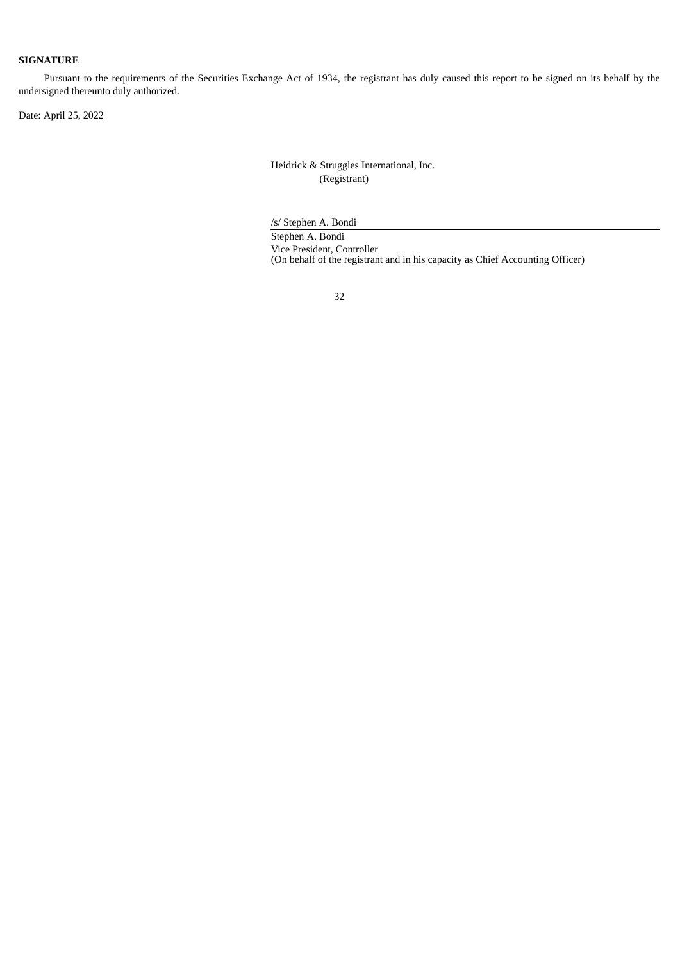## **SIGNATURE**

Pursuant to the requirements of the Securities Exchange Act of 1934, the registrant has duly caused this report to be signed on its behalf by the undersigned thereunto duly authorized.

Date: April 25, 2022

Heidrick & Struggles International, Inc. (Registrant)

/s/ Stephen A. Bondi

Stephen A. Bondi Vice President, Controller (On behalf of the registrant and in his capacity as Chief Accounting Officer)

32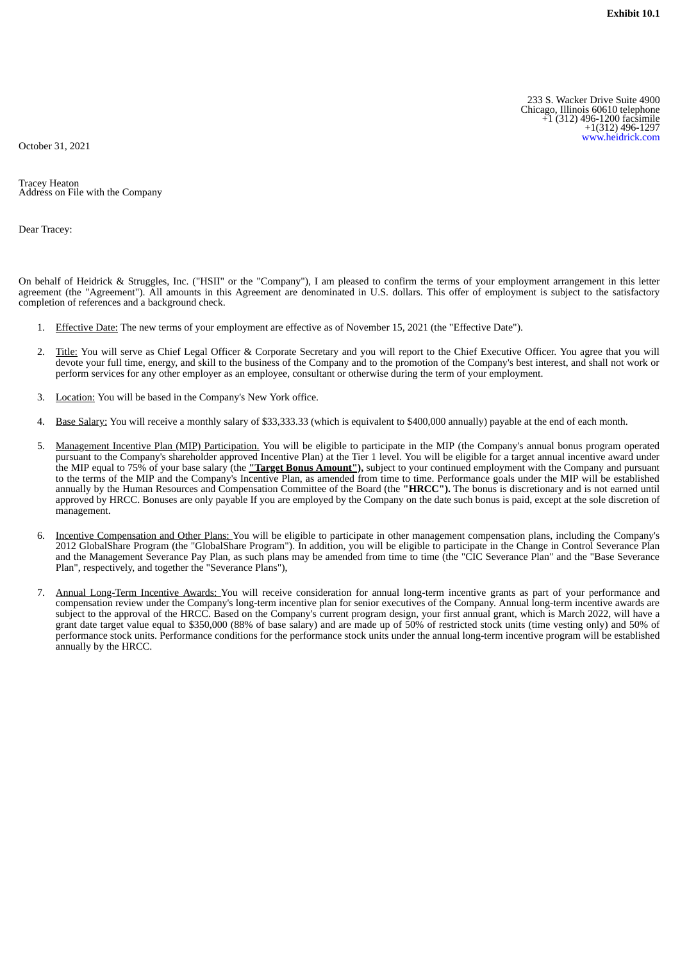233 S. Wacker Drive Suite 4900 Chicago, Illinois 60610 telephone +1 (312) 496-1200 facsimile +1(312) 496-1297 www.heidrick.com

<span id="page-35-0"></span>October 31, 2021

Tracey Heaton Address on File with the Company

Dear Tracey:

On behalf of Heidrick & Struggles, Inc. ("HSII" or the "Company"), I am pleased to confirm the terms of your employment arrangement in this letter agreement (the "Agreement"). All amounts in this Agreement are denominated in U.S. dollars. This offer of employment is subject to the satisfactory completion of references and a background check.

- 1. Effective Date: The new terms of your employment are effective as of November 15, 2021 (the "Effective Date").
- 2. Title: You will serve as Chief Legal Officer & Corporate Secretary and you will report to the Chief Executive Officer. You agree that you will devote your full time, energy, and skill to the business of the Company and to the promotion of the Company's best interest, and shall not work or perform services for any other employer as an employee, consultant or otherwise during the term of your employment.
- 3. Location: You will be based in the Company's New York office.
- 4. Base Salary: You will receive a monthly salary of \$33,333.33 (which is equivalent to \$400,000 annually) payable at the end of each month.
- 5. Management Incentive Plan (MIP) Participation. You will be eligible to participate in the MIP (the Company's annual bonus program operated pursuant to the Company's shareholder approved Incentive Plan) at the Tier 1 level. You will be eligible for a target annual incentive award under the MIP equal to 75% of your base salary (the **"Target Bonus Amount"),** subject to your continued employment with the Company and pursuant to the terms of the MIP and the Company's Incentive Plan, as amended from time to time. Performance goals under the MIP will be established annually by the Human Resources and Compensation Committee of the Board (the **"HRCC").** The bonus is discretionary and is not earned until approved by HRCC. Bonuses are only payable If you are employed by the Company on the date such bonus is paid, except at the sole discretion of management.
- 6. Incentive Compensation and Other Plans: You will be eligible to participate in other management compensation plans, including the Company's 2012 GlobalShare Program (the "GlobalShare Program"). In addition, you will be eligible to participate in the Change in Control Severance Plan and the Management Severance Pay Plan, as such plans may be amended from time to time (the "CIC Severance Plan" and the "Base Severance Plan", respectively, and together the "Severance Plans"),
- 7. Annual Long-Term Incentive Awards: You will receive consideration for annual long-term incentive grants as part of your performance and compensation review under the Company's long-term incentive plan for senior executives of the Company. Annual long-term incentive awards are subject to the approval of the HRCC. Based on the Company's current program design, your first annual grant, which is March 2022, will have a grant date target value equal to \$350,000 (88% of base salary) and are made up of 50% of restricted stock units (time vesting only) and 50% of performance stock units. Performance conditions for the performance stock units under the annual long-term incentive program will be established annually by the HRCC.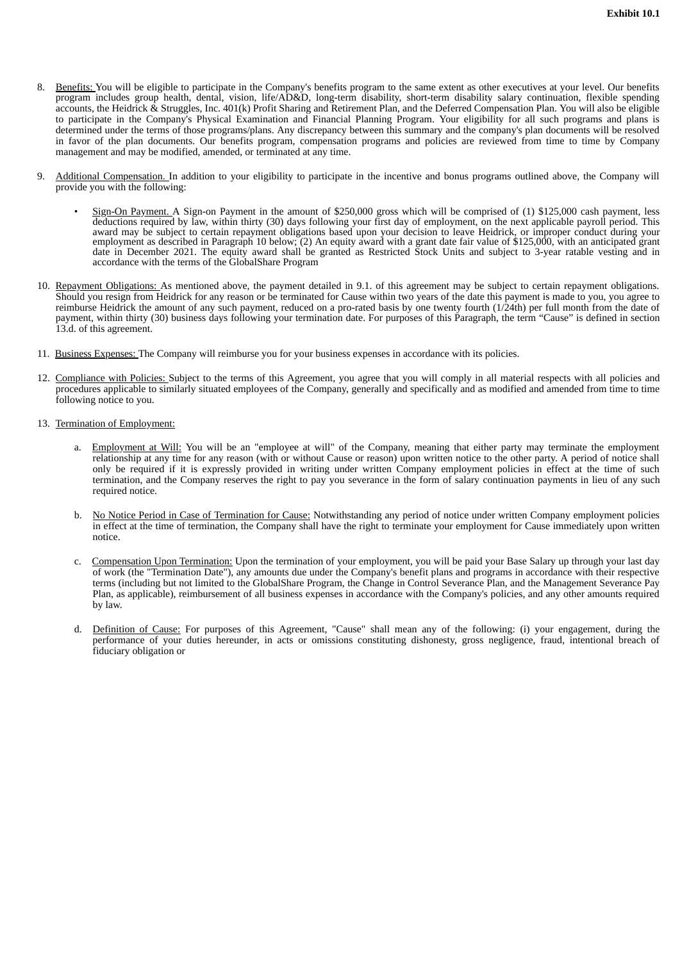- 8. Benefits: You will be eligible to participate in the Company's benefits program to the same extent as other executives at your level. Our benefits program includes group health, dental, vision, life/AD&D, long-term disability, short-term disability salary continuation, flexible spending accounts, the Heidrick & Struggles, Inc. 401(k) Profit Sharing and Retirement Plan, and the Deferred Compensation Plan. You will also be eligible to participate in the Company's Physical Examination and Financial Planning Program. Your eligibility for all such programs and plans is determined under the terms of those programs/plans. Any discrepancy between this summary and the company's plan documents will be resolved in favor of the plan documents. Our benefits program, compensation programs and policies are reviewed from time to time by Company management and may be modified, amended, or terminated at any time.
- 9. Additional Compensation. In addition to your eligibility to participate in the incentive and bonus programs outlined above, the Company will provide you with the following:
	- Sign-On Payment. A Sign-on Payment in the amount of \$250,000 gross which will be comprised of (1) \$125,000 cash payment, less deductions required by law, within thirty (30) days following your first day of employment, on the next applicable payroll period. This award may be subject to certain repayment obligations based upon your decision to leave Heidrick, or improper conduct during your employment as described in Paragraph 10 below; (2) An equity award with a grant date fair value of \$125,000, with an anticipated grant date in December 2021. The equity award shall be granted as Restricted Stock Units and subject to 3-year ratable vesting and in accordance with the terms of the GlobalShare Program
- 10. Repayment Obligations: As mentioned above, the payment detailed in 9.1. of this agreement may be subject to certain repayment obligations. Should you resign from Heidrick for any reason or be terminated for Cause within two years of the date this payment is made to you, you agree to reimburse Heidrick the amount of any such payment, reduced on a pro-rated basis by one twenty fourth (1/24th) per full month from the date of payment, within thirty (30) business days following your termination date. For purposes of this Paragraph, the term "Cause" is defined in section 13.d. of this agreement.
- 11. Business Expenses: The Company will reimburse you for your business expenses in accordance with its policies.
- 12. Compliance with Policies: Subject to the terms of this Agreement, you agree that you will comply in all material respects with all policies and procedures applicable to similarly situated employees of the Company, generally and specifically and as modified and amended from time to time following notice to you.
- 13. Termination of Employment:
	- Employment at Will: You will be an "employee at will" of the Company, meaning that either party may terminate the employment relationship at any time for any reason (with or without Cause or reason) upon written notice to the other party. A period of notice shall only be required if it is expressly provided in writing under written Company employment policies in effect at the time of such termination, and the Company reserves the right to pay you severance in the form of salary continuation payments in lieu of any such required notice.
	- b. No Notice Period in Case of Termination for Cause: Notwithstanding any period of notice under written Company employment policies in effect at the time of termination, the Company shall have the right to terminate your employment for Cause immediately upon written notice.
	- c. Compensation Upon Termination: Upon the termination of your employment, you will be paid your Base Salary up through your last day of work (the "Termination Date"), any amounts due under the Company's benefit plans and programs in accordance with their respective terms (including but not limited to the GlobalShare Program, the Change in Control Severance Plan, and the Management Severance Pay Plan, as applicable), reimbursement of all business expenses in accordance with the Company's policies, and any other amounts required by law.
	- d. Definition of Cause: For purposes of this Agreement, "Cause" shall mean any of the following: (i) your engagement, during the performance of your duties hereunder, in acts or omissions constituting dishonesty, gross negligence, fraud, intentional breach of fiduciary obligation or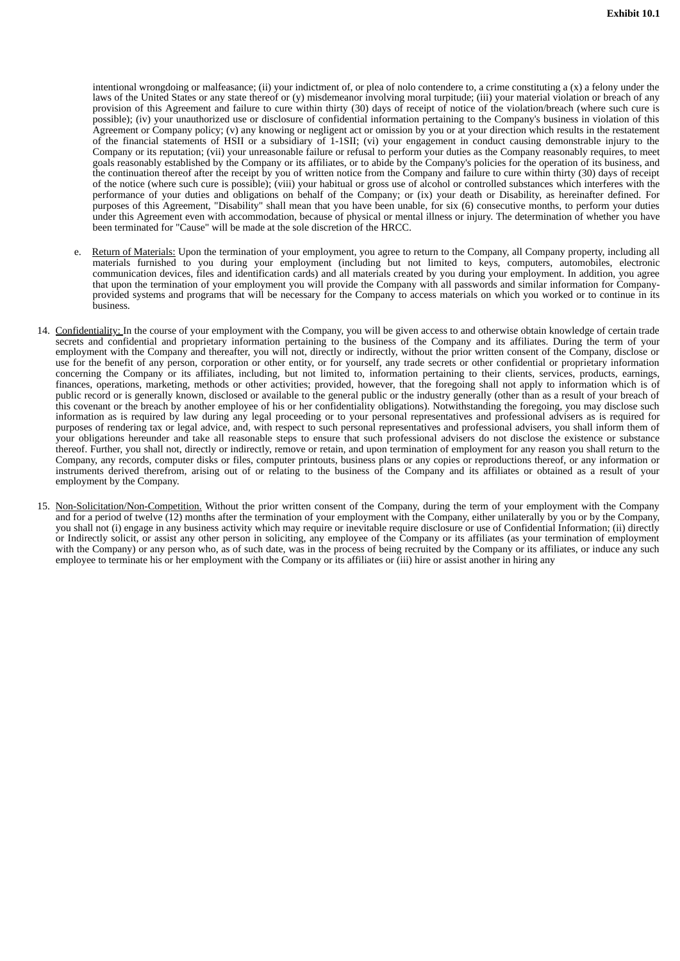intentional wrongdoing or malfeasance; (ii) your indictment of, or plea of nolo contendere to, a crime constituting a (x) a felony under the laws of the United States or any state thereof or (y) misdemeanor involving moral turpitude; (iii) your material violation or breach of any provision of this Agreement and failure to cure within thirty (30) days of receipt of notice of the violation/breach (where such cure is possible); (iv) your unauthorized use or disclosure of confidential information pertaining to the Company's business in violation of this Agreement or Company policy; (v) any knowing or negligent act or omission by you or at your direction which results in the restatement of the financial statements of HSII or a subsidiary of 1-1SII; (vi) your engagement in conduct causing demonstrable injury to the Company or its reputation; (vii) your unreasonable failure or refusal to perform your duties as the Company reasonably requires, to meet goals reasonably established by the Company or its affiliates, or to abide by the Company's policies for the operation of its business, and the continuation thereof after the receipt by you of written notice from the Company and failure to cure within thirty (30) days of receipt of the notice (where such cure is possible); (viii) your habitual or gross use of alcohol or controlled substances which interferes with the performance of your duties and obligations on behalf of the Company; or (ix) your death or Disability, as hereinafter defined. For purposes of this Agreement, "Disability" shall mean that you have been unable, for six (6) consecutive months, to perform your duties under this Agreement even with accommodation, because of physical or mental illness or injury. The determination of whether you have been terminated for "Cause" will be made at the sole discretion of the HRCC.

- e. Return of Materials: Upon the termination of your employment, you agree to return to the Company, all Company property, including all materials furnished to you during your employment (including but not limited to keys, computers, automobiles, electronic communication devices, files and identification cards) and all materials created by you during your employment. In addition, you agree that upon the termination of your employment you will provide the Company with all passwords and similar information for Companyprovided systems and programs that will be necessary for the Company to access materials on which you worked or to continue in its **business**
- 14. Confidentiality: In the course of your employment with the Company, you will be given access to and otherwise obtain knowledge of certain trade secrets and confidential and proprietary information pertaining to the business of the Company and its affiliates. During the term of your employment with the Company and thereafter, you will not, directly or indirectly, without the prior written consent of the Company, disclose or use for the benefit of any person, corporation or other entity, or for yourself, any trade secrets or other confidential or proprietary information concerning the Company or its affiliates, including, but not limited to, information pertaining to their clients, services, products, earnings, finances, operations, marketing, methods or other activities; provided, however, that the foregoing shall not apply to information which is of public record or is generally known, disclosed or available to the general public or the industry generally (other than as a result of your breach of this covenant or the breach by another employee of his or her confidentiality obligations). Notwithstanding the foregoing, you may disclose such information as is required by law during any legal proceeding or to your personal representatives and professional advisers as is required for purposes of rendering tax or legal advice, and, with respect to such personal representatives and professional advisers, you shall inform them of your obligations hereunder and take all reasonable steps to ensure that such professional advisers do not disclose the existence or substance thereof. Further, you shall not, directly or indirectly, remove or retain, and upon termination of employment for any reason you shall return to the Company, any records, computer disks or files, computer printouts, business plans or any copies or reproductions thereof, or any information or instruments derived therefrom, arising out of or relating to the business of the Company and its affiliates or obtained as a result of your employment by the Company.
- 15. Non-Solicitation/Non-Competition. Without the prior written consent of the Company, during the term of your employment with the Company and for a period of twelve (12) months after the termination of your employment with the Company, either unilaterally by you or by the Company, you shall not (i) engage in any business activity which may require or inevitable require disclosure or use of Confidential Information; (ii) directly or Indirectly solicit, or assist any other person in soliciting, any employee of the Company or its affiliates (as your termination of employment with the Company) or any person who, as of such date, was in the process of being recruited by the Company or its affiliates, or induce any such employee to terminate his or her employment with the Company or its affiliates or (iii) hire or assist another in hiring any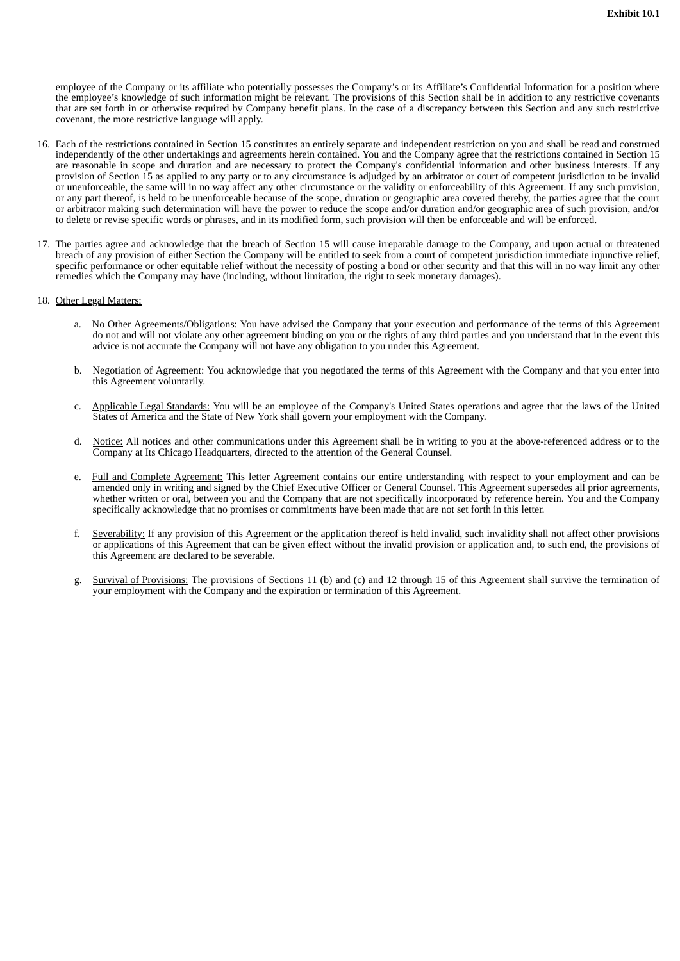employee of the Company or its affiliate who potentially possesses the Company's or its Affiliate's Confidential Information for a position where the employee's knowledge of such information might be relevant. The provisions of this Section shall be in addition to any restrictive covenants that are set forth in or otherwise required by Company benefit plans. In the case of a discrepancy between this Section and any such restrictive covenant, the more restrictive language will apply.

- 16. Each of the restrictions contained in Section 15 constitutes an entirely separate and independent restriction on you and shall be read and construed independently of the other undertakings and agreements herein contained. You and the Company agree that the restrictions contained in Section 15 are reasonable in scope and duration and are necessary to protect the Company's confidential information and other business interests. If any provision of Section 15 as applied to any party or to any circumstance is adjudged by an arbitrator or court of competent jurisdiction to be invalid or unenforceable, the same will in no way affect any other circumstance or the validity or enforceability of this Agreement. If any such provision, or any part thereof, is held to be unenforceable because of the scope, duration or geographic area covered thereby, the parties agree that the court or arbitrator making such determination will have the power to reduce the scope and/or duration and/or geographic area of such provision, and/or to delete or revise specific words or phrases, and in its modified form, such provision will then be enforceable and will be enforced.
- 17. The parties agree and acknowledge that the breach of Section 15 will cause irreparable damage to the Company, and upon actual or threatened breach of any provision of either Section the Company will be entitled to seek from a court of competent jurisdiction immediate injunctive relief, specific performance or other equitable relief without the necessity of posting a bond or other security and that this will in no way limit any other remedies which the Company may have (including, without limitation, the right to seek monetary damages).
- 18. Other Legal Matters:
	- a. No Other Agreements/Obligations: You have advised the Company that your execution and performance of the terms of this Agreement do not and will not violate any other agreement binding on you or the rights of any third parties and you understand that in the event this advice is not accurate the Company will not have any obligation to you under this Agreement.
	- b. Negotiation of Agreement: You acknowledge that you negotiated the terms of this Agreement with the Company and that you enter into this Agreement voluntarily.
	- c. Applicable Legal Standards: You will be an employee of the Company's United States operations and agree that the laws of the United States of America and the State of New York shall govern your employment with the Company.
	- d. Notice: All notices and other communications under this Agreement shall be in writing to you at the above-referenced address or to the Company at Its Chicago Headquarters, directed to the attention of the General Counsel.
	- e. Full and Complete Agreement: This letter Agreement contains our entire understanding with respect to your employment and can be amended only in writing and signed by the Chief Executive Officer or General Counsel. This Agreement supersedes all prior agreements, whether written or oral, between you and the Company that are not specifically incorporated by reference herein. You and the Company specifically acknowledge that no promises or commitments have been made that are not set forth in this letter.
	- f. Severability: If any provision of this Agreement or the application thereof is held invalid, such invalidity shall not affect other provisions or applications of this Agreement that can be given effect without the invalid provision or application and, to such end, the provisions of this Agreement are declared to be severable.
	- g. Survival of Provisions: The provisions of Sections 11 (b) and (c) and 12 through 15 of this Agreement shall survive the termination of your employment with the Company and the expiration or termination of this Agreement.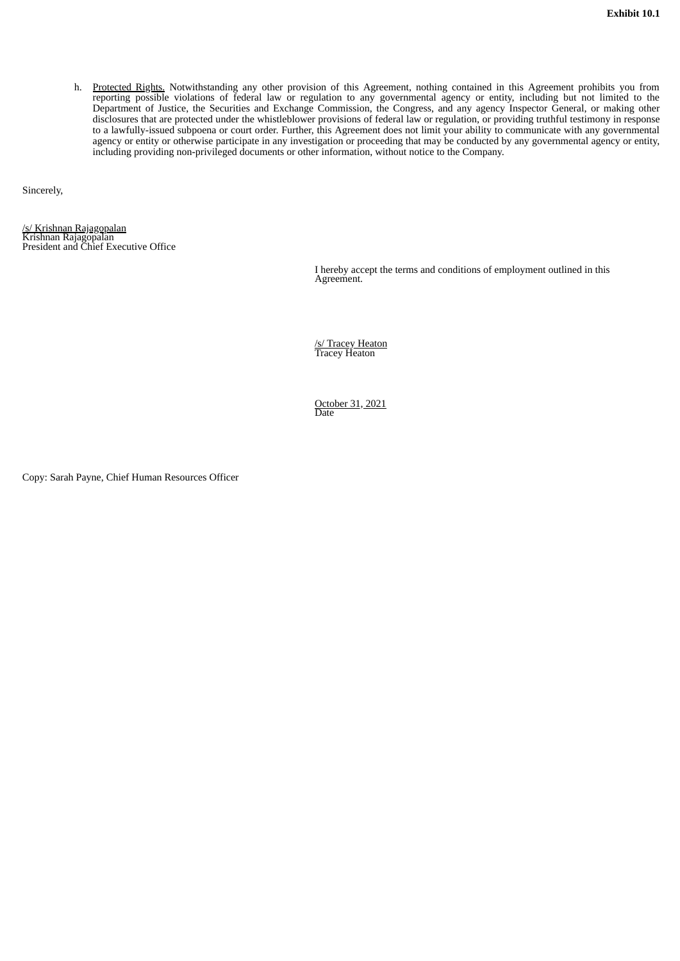h. Protected Rights. Notwithstanding any other provision of this Agreement, nothing contained in this Agreement prohibits you from reporting possible violations of federal law or regulation to any governmental agency or entity, including but not limited to the Department of Justice, the Securities and Exchange Commission, the Congress, and any agency Inspector General, or making other disclosures that are protected under the whistleblower provisions of federal law or regulation, or providing truthful testimony in response to a lawfully-issued subpoena or court order. Further, this Agreement does not limit your ability to communicate with any governmental agency or entity or otherwise participate in any investigation or proceeding that may be conducted by any governmental agency or entity, including providing non-privileged documents or other information, without notice to the Company.

Sincerely,

/s/ Krishnan Rajagopalan Krishnan Rajagopalan President and Chief Executive Office

> I hereby accept the terms and conditions of employment outlined in this Agreement.

/s/ Tracey Heaton Tracey Heaton

October 31, 2021 Date

Copy: Sarah Payne, Chief Human Resources Officer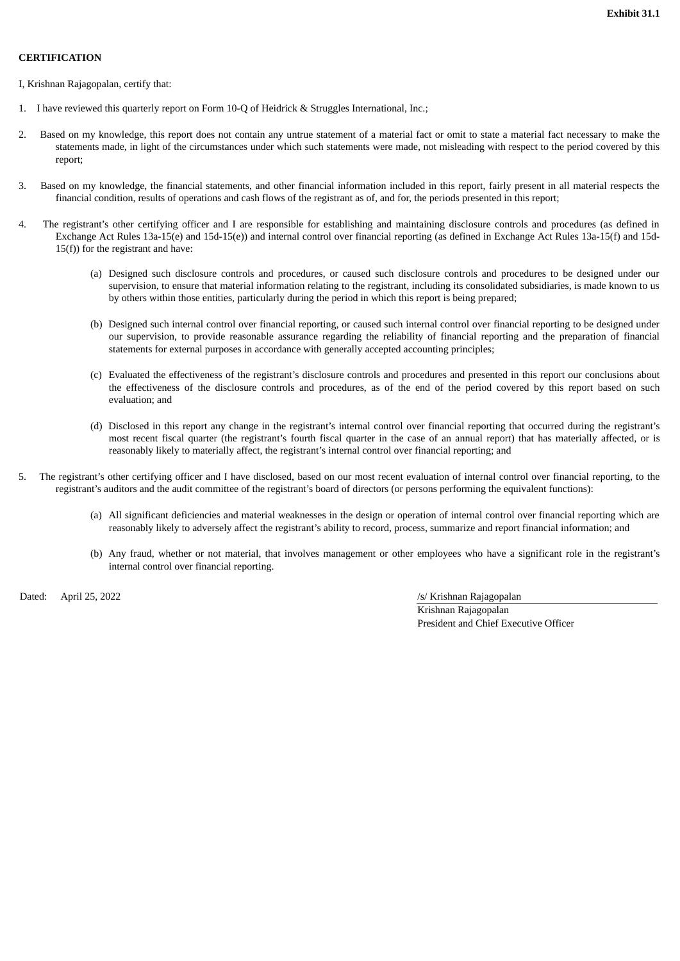<span id="page-40-0"></span>I, Krishnan Rajagopalan, certify that:

- 1. I have reviewed this quarterly report on Form 10-Q of Heidrick & Struggles International, Inc.;
- 2. Based on my knowledge, this report does not contain any untrue statement of a material fact or omit to state a material fact necessary to make the statements made, in light of the circumstances under which such statements were made, not misleading with respect to the period covered by this report;
- 3. Based on my knowledge, the financial statements, and other financial information included in this report, fairly present in all material respects the financial condition, results of operations and cash flows of the registrant as of, and for, the periods presented in this report;
- 4. The registrant's other certifying officer and I are responsible for establishing and maintaining disclosure controls and procedures (as defined in Exchange Act Rules 13a-15(e) and 15d-15(e)) and internal control over financial reporting (as defined in Exchange Act Rules 13a-15(f) and 15d- $15(f)$ ) for the registrant and have:
	- (a) Designed such disclosure controls and procedures, or caused such disclosure controls and procedures to be designed under our supervision, to ensure that material information relating to the registrant, including its consolidated subsidiaries, is made known to us by others within those entities, particularly during the period in which this report is being prepared;
	- (b) Designed such internal control over financial reporting, or caused such internal control over financial reporting to be designed under our supervision, to provide reasonable assurance regarding the reliability of financial reporting and the preparation of financial statements for external purposes in accordance with generally accepted accounting principles;
	- (c) Evaluated the effectiveness of the registrant's disclosure controls and procedures and presented in this report our conclusions about the effectiveness of the disclosure controls and procedures, as of the end of the period covered by this report based on such evaluation; and
	- (d) Disclosed in this report any change in the registrant's internal control over financial reporting that occurred during the registrant's most recent fiscal quarter (the registrant's fourth fiscal quarter in the case of an annual report) that has materially affected, or is reasonably likely to materially affect, the registrant's internal control over financial reporting; and
- 5. The registrant's other certifying officer and I have disclosed, based on our most recent evaluation of internal control over financial reporting, to the registrant's auditors and the audit committee of the registrant's board of directors (or persons performing the equivalent functions):
	- (a) All significant deficiencies and material weaknesses in the design or operation of internal control over financial reporting which are reasonably likely to adversely affect the registrant's ability to record, process, summarize and report financial information; and
	- (b) Any fraud, whether or not material, that involves management or other employees who have a significant role in the registrant's internal control over financial reporting.

Dated: April 25, 2022 */s/ Krishnan Rajagopalan* 

Krishnan Rajagopalan

President and Chief Executive Officer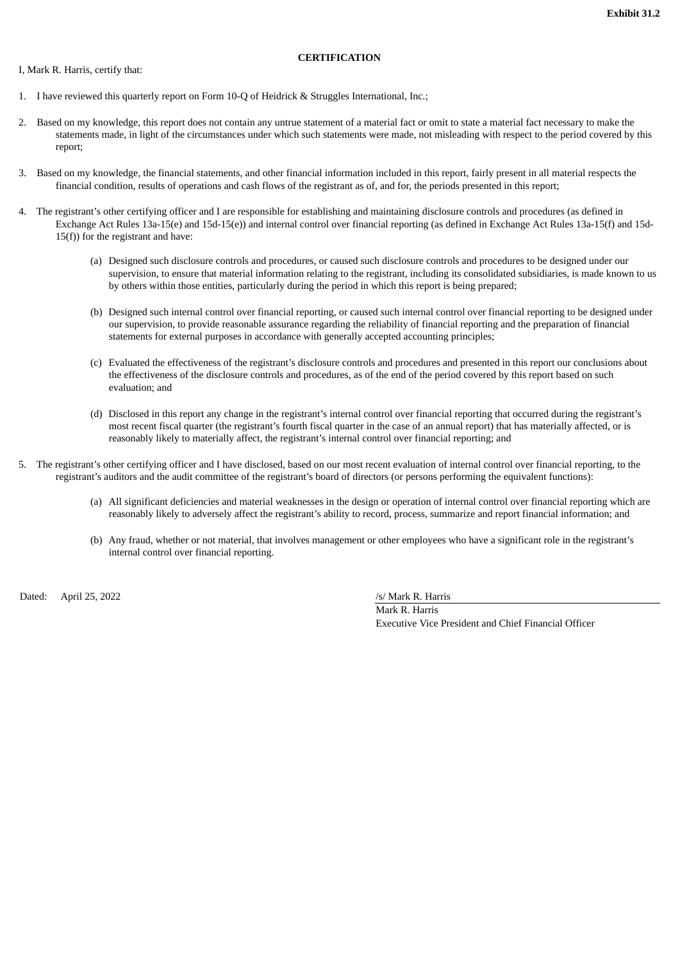<span id="page-41-0"></span>I, Mark R. Harris, certify that:

- 1. I have reviewed this quarterly report on Form 10-Q of Heidrick & Struggles International, Inc.;
- 2. Based on my knowledge, this report does not contain any untrue statement of a material fact or omit to state a material fact necessary to make the statements made, in light of the circumstances under which such statements were made, not misleading with respect to the period covered by this report;
- 3. Based on my knowledge, the financial statements, and other financial information included in this report, fairly present in all material respects the financial condition, results of operations and cash flows of the registrant as of, and for, the periods presented in this report;
- 4. The registrant's other certifying officer and I are responsible for establishing and maintaining disclosure controls and procedures (as defined in Exchange Act Rules 13a-15(e) and 15d-15(e)) and internal control over financial reporting (as defined in Exchange Act Rules 13a-15(f) and 15d-15(f)) for the registrant and have:
	- (a) Designed such disclosure controls and procedures, or caused such disclosure controls and procedures to be designed under our supervision, to ensure that material information relating to the registrant, including its consolidated subsidiaries, is made known to us by others within those entities, particularly during the period in which this report is being prepared;
	- (b) Designed such internal control over financial reporting, or caused such internal control over financial reporting to be designed under our supervision, to provide reasonable assurance regarding the reliability of financial reporting and the preparation of financial statements for external purposes in accordance with generally accepted accounting principles;
	- (c) Evaluated the effectiveness of the registrant's disclosure controls and procedures and presented in this report our conclusions about the effectiveness of the disclosure controls and procedures, as of the end of the period covered by this report based on such evaluation; and
	- (d) Disclosed in this report any change in the registrant's internal control over financial reporting that occurred during the registrant's most recent fiscal quarter (the registrant's fourth fiscal quarter in the case of an annual report) that has materially affected, or is reasonably likely to materially affect, the registrant's internal control over financial reporting; and
- 5. The registrant's other certifying officer and I have disclosed, based on our most recent evaluation of internal control over financial reporting, to the registrant's auditors and the audit committee of the registrant's board of directors (or persons performing the equivalent functions):
	- (a) All significant deficiencies and material weaknesses in the design or operation of internal control over financial reporting which are reasonably likely to adversely affect the registrant's ability to record, process, summarize and report financial information; and
	- (b) Any fraud, whether or not material, that involves management or other employees who have a significant role in the registrant's internal control over financial reporting.

Dated: April 25, 2022 /s/ Mark R. Harris

Mark R. Harris Executive Vice President and Chief Financial Officer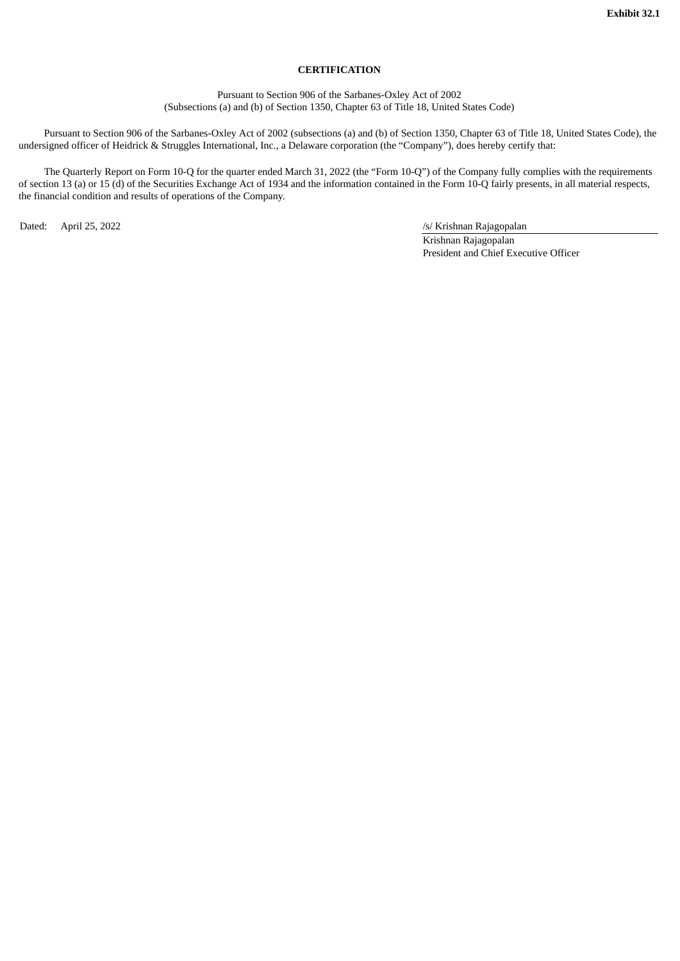Pursuant to Section 906 of the Sarbanes-Oxley Act of 2002 (Subsections (a) and (b) of Section 1350, Chapter 63 of Title 18, United States Code)

<span id="page-42-0"></span>Pursuant to Section 906 of the Sarbanes-Oxley Act of 2002 (subsections (a) and (b) of Section 1350, Chapter 63 of Title 18, United States Code), the undersigned officer of Heidrick & Struggles International, Inc., a Delaware corporation (the "Company"), does hereby certify that:

The Quarterly Report on Form 10-Q for the quarter ended March 31, 2022 (the "Form 10-Q") of the Company fully complies with the requirements of section 13 (a) or 15 (d) of the Securities Exchange Act of 1934 and the information contained in the Form 10-Q fairly presents, in all material respects, the financial condition and results of operations of the Company.

Dated: April 25, 2022 */s/ Krishnan Rajagopalan* Krishnan Rajagopalan President and Chief Executive Officer